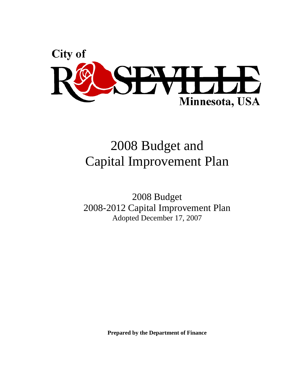

# 2008 Budget and Capital Improvement Plan

2008 Budget 2008-2012 Capital Improvement Plan Adopted December 17, 2007

**Prepared by the Department of Finance**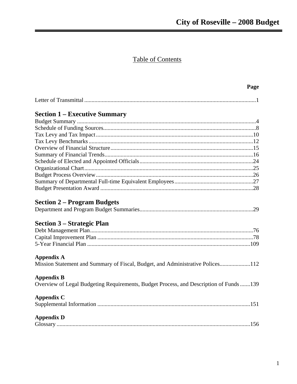# **Table of Contents**

|                                                                                       | Page |
|---------------------------------------------------------------------------------------|------|
|                                                                                       |      |
| <b>Section 1 – Executive Summary</b>                                                  |      |
|                                                                                       |      |
|                                                                                       |      |
|                                                                                       |      |
|                                                                                       |      |
|                                                                                       |      |
|                                                                                       |      |
|                                                                                       |      |
|                                                                                       |      |
|                                                                                       |      |
|                                                                                       |      |
|                                                                                       |      |
| <b>Section 2 – Program Budgets</b>                                                    |      |
|                                                                                       |      |
| Section 3 – Strategic Plan                                                            |      |
|                                                                                       |      |
|                                                                                       |      |
|                                                                                       |      |
| Appendix A                                                                            |      |
| Mission Statement and Summary of Fiscal, Budget, and Administrative Polices112        |      |
| <b>Appendix B</b>                                                                     |      |
| Overview of Legal Budgeting Requirements, Budget Process, and Description of Funds139 |      |
| Appendix C                                                                            |      |
|                                                                                       |      |
| <b>Appendix D</b>                                                                     |      |
|                                                                                       |      |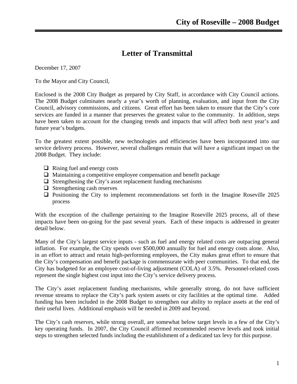# **Letter of Transmittal**

December 17, 2007

To the Mayor and City Council,

Enclosed is the 2008 City Budget as prepared by City Staff, in accordance with City Council actions. The 2008 Budget culminates nearly a year's worth of planning, evaluation, and input from the City Council, advisory commissions, and citizens. Great effort has been taken to ensure that the City's core services are funded in a manner that preserves the greatest value to the community. In addition, steps have been taken to account for the changing trends and impacts that will affect both next year's and future year's budgets.

To the greatest extent possible, new technologies and efficiencies have been incorporated into our service delivery process. However, several challenges remain that will have a significant impact on the 2008 Budget. They include:

- $\Box$  Rising fuel and energy costs
- $\Box$  Maintaining a competitive employee compensation and benefit package
- $\Box$  Strengthening the City's asset replacement funding mechanisms
- $\Box$  Strengthening cash reserves
- $\Box$  Positioning the City to implement recommendations set forth in the Imagine Roseville 2025 process

With the exception of the challenge pertaining to the Imagine Roseville 2025 process, all of these impacts have been on-going for the past several years. Each of these impacts is addressed in greater detail below.

Many of the City's largest service inputs - such as fuel and energy related costs are outpacing general inflation. For example, the City spends over \$500,000 annually for fuel and energy costs alone. Also, in an effort to attract and retain high-performing employees, the City makes great effort to ensure that the City's compensation and benefit package is commensurate with peer communities. To that end, the City has budgeted for an employee cost-of-living adjustment (COLA) of 3.5%. Personnel-related costs represent the single highest cost input into the City's service delivery process.

The City's asset replacement funding mechanisms, while generally strong, do not have sufficient revenue streams to replace the City's park system assets or city facilities at the optimal time. Added funding has been included in the 2008 Budget to strengthen our ability to replace assets at the end of their useful lives. Additional emphasis will be needed in 2009 and beyond.

The City's cash reserves, while strong overall, are somewhat below target levels in a few of the City's key operating funds. In 2007, the City Council affirmed recommended reserve levels and took initial steps to strengthen selected funds including the establishment of a dedicated tax levy for this purpose.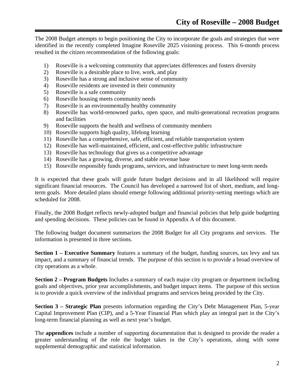The 2008 Budget attempts to begin positioning the City to incorporate the goals and strategies that were identified in the recently completed Imagine Roseville 2025 visioning process. This 6-month process resulted in the citizen recommendation of the following goals:

- 1) Roseville is a welcoming community that appreciates differences and fosters diversity
- 2) Roseville is a desirable place to live, work, and play
- 3) Roseville has a strong and inclusive sense of community
- 4) Roseville residents are invested in their community
- 5) Roseville is a safe community
- 6) Roseville housing meets community needs
- 7) Roseville is an environmentally healthy community
- 8) Roseville has world-renowned parks, open space, and multi-generational recreation programs and facilities
- 9) Roseville supports the health and wellness of community members
- 10) Roseville supports high quality, lifelong learning
- 11) Roseville has a comprehensive, safe, efficient, and reliable transportation system
- 12) Roseville has well-maintained, efficient, and cost-effective public infrastructure
- 13) Roseville has technology that gives us a competitive advantage
- 14) Roseville has a growing, diverse, and stable revenue base
- 15) Roseville responsibly funds programs, services, and infrastructure to meet long-term needs

It is expected that these goals will guide future budget decisions and in all likelihood will require significant financial resources. The Council has developed a narrowed list of short, medium, and longterm goals. More detailed plans should emerge following additional priority-setting meetings which are scheduled for 2008.

Finally, the 2008 Budget reflects newly-adopted budget and financial policies that help guide budgeting and spending decisions. These policies can be found in Appendix A of this document.

The following budget document summarizes the 2008 Budget for all City programs and services. The information is presented in three sections.

**Section 1 – Executive Summary** features a summary of the budget, funding sources, tax levy and tax impact, and a summary of financial trends. The purpose of this section is to provide a broad overview of city operations as a whole.

**Section 2 – Program Budgets** Includes a summary of each major city program or department including goals and objectives, prior year accomplishments, and budget impact items. The purpose of this section is to provide a quick overview of the individual programs and services being provided by the City.

**Section 3 – Strategic Plan** presents information regarding the City's Debt Management Plan, 5-year Capital Improvement Plan (CIP), and a 5-Year Financial Plan which play an integral part in the City's long-term financial planning as well as next year's budget.

The **appendices** include a number of supporting documentation that is designed to provide the reader a greater understanding of the role the budget takes in the City's operations, along with some supplemental demographic and statistical information.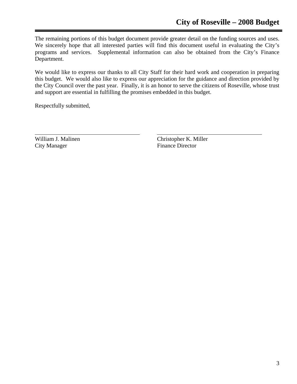The remaining portions of this budget document provide greater detail on the funding sources and uses. We sincerely hope that all interested parties will find this document useful in evaluating the City's programs and services. Supplemental information can also be obtained from the City's Finance Department.

We would like to express our thanks to all City Staff for their hard work and cooperation in preparing this budget. We would also like to express our appreciation for the guidance and direction provided by the City Council over the past year. Finally, it is an honor to serve the citizens of Roseville, whose trust and support are essential in fulfilling the promises embedded in this budget.

Respectfully submitted,

City Manager Finance Director

William J. Malinen Christopher K. Miller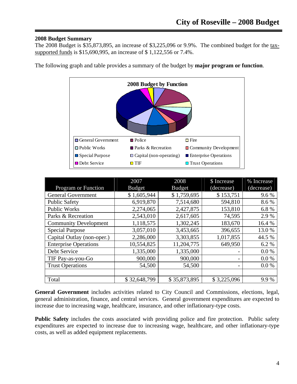## **2008 Budget Summary**

The 2008 Budget is \$35,873,895, an increase of \$3,225,096 or 9.9%. The combined budget for the taxsupported funds is \$15,690,995, an increase of \$ 1,122,556 or 7.4%.



The following graph and table provides a summary of the budget by **major program or function**.

| Program or Function          | 2007<br><b>Budget</b> | 2008<br><b>Budget</b> | \$ Increase<br>(decrease) | % Increase<br>(decrease) |
|------------------------------|-----------------------|-----------------------|---------------------------|--------------------------|
| <b>General Government</b>    | \$1,605,944           | \$1,759,695           | \$153,751                 | 9.6%                     |
| <b>Public Safety</b>         | 6,919,870             | 7,514,680             | 594,810                   | 8.6%                     |
| <b>Public Works</b>          | 2,274,065             | 2,427,875             | 153,810                   | 6.8%                     |
| Parks & Recreation           | 2,543,010             | 2,617,605             | 74,595                    | 2.9 %                    |
| <b>Community Development</b> | 1,118,575             | 1,302,245             | 183,670                   | 16.4 %                   |
| <b>Special Purpose</b>       | 3,057,010             | 3,453,665             | 396,655                   | 13.0 %                   |
| Capital Outlay (non-oper.)   | 2,286,000             | 3,303,855             | 1,017,855                 | 44.5 %                   |
| <b>Enterprise Operations</b> | 10,554,825            | 11,204,775            | 649,950                   | 6.2%                     |
| Debt Service                 | 1,335,000             | 1,335,000             |                           | 0.0 %                    |
| TIF Pay-as-you-Go            | 900,000               | 900,000               | $\overline{a}$            | 0.0 %                    |
| <b>Trust Operations</b>      | 54,500                | 54,500                | $\overline{\phantom{0}}$  | 0.0 %                    |
|                              |                       |                       |                           |                          |
| Total                        | \$32,648,799          | \$35,873,895          | \$3,225,096               | 9.9%                     |

**General Government** includes activities related to City Council and Commissions, elections, legal, general administration, finance, and central services. General government expenditures are expected to increase due to increasing wage, healthcare, insurance, and other inflationary-type costs.

**Public Safety** includes the costs associated with providing police and fire protection. Public safety expenditures are expected to increase due to increasing wage, healthcare, and other inflationary-type costs, as well as added equipment replacements.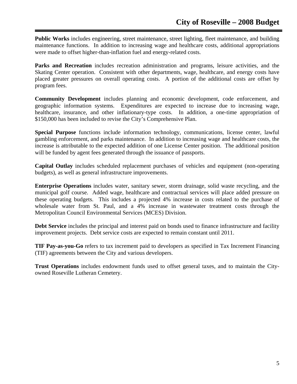**Public Works** includes engineering, street maintenance, street lighting, fleet maintenance, and building maintenance functions. In addition to increasing wage and healthcare costs, additional appropriations were made to offset higher-than-inflation fuel and energy-related costs.

Parks and Recreation includes recreation administration and programs, leisure activities, and the Skating Center operation. Consistent with other departments, wage, healthcare, and energy costs have placed greater pressures on overall operating costs. A portion of the additional costs are offset by program fees.

**Community Development** includes planning and economic development, code enforcement, and geographic information systems. Expenditures are expected to increase due to increasing wage, healthcare, insurance, and other inflationary-type costs. In addition, a one-time appropriation of \$150,000 has been included to revise the City's Comprehensive Plan.

**Special Purpose** functions include information technology, communications, license center, lawful gambling enforcement, and parks maintenance. In addition to increasing wage and healthcare costs, the increase is attributable to the expected addition of one License Center position. The additional position will be funded by agent fees generated through the issuance of passports.

**Capital Outlay** includes scheduled replacement purchases of vehicles and equipment (non-operating budgets), as well as general infrastructure improvements.

**Enterprise Operations** includes water, sanitary sewer, storm drainage, solid waste recycling, and the municipal golf course. Added wage, healthcare and contractual services will place added pressure on these operating budgets. This includes a projected 4% increase in costs related to the purchase of wholesale water from St. Paul, and a 4% increase in wastewater treatment costs through the Metropolitan Council Environmental Services (MCES) Division.

**Debt Service** includes the principal and interest paid on bonds used to finance infrastructure and facility improvement projects. Debt service costs are expected to remain constant until 2011.

**TIF Pay-as-you-Go** refers to tax increment paid to developers as specified in Tax Increment Financing (TIF) agreements between the City and various developers.

**Trust Operations** includes endowment funds used to offset general taxes, and to maintain the Cityowned Roseville Lutheran Cemetery.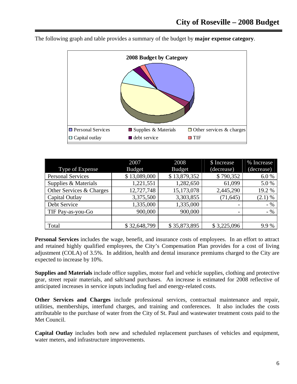

The following graph and table provides a summary of the budget by **major expense category**.

|                          | 2007          | 2008          | \$ Increase              | % Increase |
|--------------------------|---------------|---------------|--------------------------|------------|
| Type of Expense          | <b>Budget</b> | <b>Budget</b> | (decrease)               | (decrease) |
| <b>Personal Services</b> | \$13,089,000  | \$13,879,352  | \$790,352                | 6.0%       |
| Supplies & Materials     | 1,221,551     | 1,282,650     | 61,099                   | 5.0%       |
| Other Services & Charges | 12,727,748    | 15,173,078    | 2,445,290                | 19.2 %     |
| Capital Outlay           | 3,375,500     | 3,303,855     | (71, 645)                | (2.1) %    |
| Debt Service             | 1,335,000     | 1,335,000     | $\overline{\phantom{0}}$ | $-$ %      |
| TIF Pay-as-you-Go        | 900,000       | 900,000       |                          | $-9/0$     |
|                          |               |               |                          |            |
| Total                    | \$32,648,799  | \$35,873,895  | \$3,225,096              | 9.9%       |

**Personal Services** includes the wage, benefit, and insurance costs of employees. In an effort to attract and retained highly qualified employees, the City's Compensation Plan provides for a cost of living adjustment (COLA) of 3.5%. In addition, health and dental insurance premiums charged to the City are expected to increase by 10%.

**Supplies and Materials** include office supplies, motor fuel and vehicle supplies, clothing and protective gear, street repair materials, and salt/sand purchases. An increase is estimated for 2008 reflective of anticipated increases in service inputs including fuel and energy-related costs.

**Other Services and Charges** include professional services, contractual maintenance and repair, utilities, memberships, interfund charges, and training and conferences. It also includes the costs attributable to the purchase of water from the City of St. Paul and wastewater treatment costs paid to the Met Council.

**Capital Outlay** includes both new and scheduled replacement purchases of vehicles and equipment, water meters, and infrastructure improvements.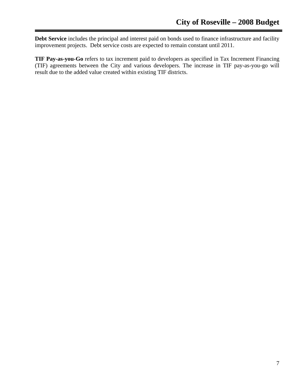**Debt Service** includes the principal and interest paid on bonds used to finance infrastructure and facility improvement projects. Debt service costs are expected to remain constant until 2011.

**TIF Pay-as-you-Go** refers to tax increment paid to developers as specified in Tax Increment Financing (TIF) agreements between the City and various developers. The increase in TIF pay-as-you-go will result due to the added value created within existing TIF districts.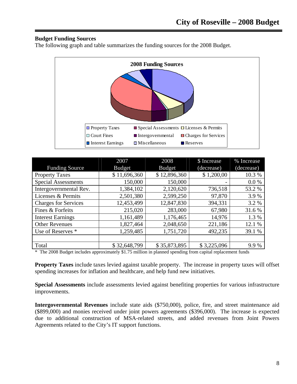## **Budget Funding Sources**

The following graph and table summarizes the funding sources for the 2008 Budget.



|                             | 2007          | 2008          | \$ Increase | % Increase |
|-----------------------------|---------------|---------------|-------------|------------|
| <b>Funding Source</b>       | <b>Budget</b> | <b>Budget</b> | (decrease)  | (decrease) |
| <b>Property Taxes</b>       | \$11,696,360  | \$12,896,360  | \$1,200,00  | 10.3%      |
| <b>Special Assessments</b>  | 150,000       | 150,000       |             | 0.0 %      |
| Intergovernmental Rev.      | 1,384,102     | 2,120,620     | 736,518     | 53.2 %     |
| Licenses & Permits          | 2,501,380     | 2,599,250     | 97,870      | 3.9%       |
| <b>Charges for Services</b> | 12,453,499    | 12,847,830    | 394,331     | 3.2 %      |
| Fines & Forfeits            | 215,020       | 283,000       | 67,980      | 31.6 %     |
| <b>Interest Earnings</b>    | 1,161,489     | 1,176,465     | 14,976      | 1.3 %      |
| <b>Other Revenues</b>       | 1,827,464     | 2,048,650     | 221,186     | 12.1 %     |
| Use of Reserves *           | 1,259,485     | 1,751,720     | 492,235     | 39.1 %     |
|                             |               |               |             |            |
| Total                       | \$32,648,799  | \$35,873,895  | \$3,225,096 | 9.9%       |

\* The 2008 Budget includes approximately \$1.75 million in planned spending from capital replacement funds

**Property Taxes** include taxes levied against taxable property. The increase in property taxes will offset spending increases for inflation and healthcare, and help fund new initiatives.

**Special Assessments** include assessments levied against benefiting properties for various infrastructure improvements.

**Intergovernmental Revenues** include state aids (\$750,000), police, fire, and street maintenance aid (\$899,000) and monies received under joint powers agreements (\$396,000). The increase is expected due to additional construction of MSA-related streets, and added revenues from Joint Powers Agreements related to the City's IT support functions.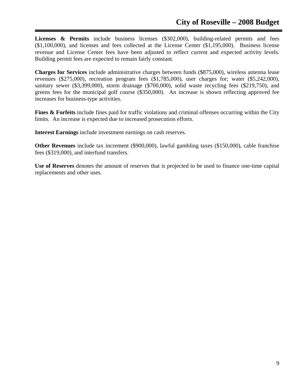Licenses & Permits include business licenses (\$302,000), building-related permits and fees (\$1,100,000), and licenses and fees collected at the License Center (\$1,195,000). Business license revenue and License Center fees have been adjusted to reflect current and expected activity levels. Building permit fees are expected to remain fairly constant.

**Charges for Services** include administrative charges between funds (\$875,000), wireless antenna lease revenues (\$275,000), recreation program fees (\$1,785,000), user charges for; water (\$5,242,000), sanitary sewer (\$3,399,000), storm drainage (\$700,000), solid waste recycling fees (\$219,750), and greens fees for the municipal golf course (\$350,000). An increase is shown reflecting approved fee increases for business-type activities.

**Fines & Forfeits** include fines paid for traffic violations and criminal offenses occurring within the City limits. An increase is expected due to increased prosecution efforts.

**Interest Earnings** include investment earnings on cash reserves.

**Other Revenues** include tax increment (\$900,000), lawful gambling taxes (\$150,000), cable franchise fees (\$319,000), and interfund transfers.

**Use of Reserves** denotes the amount of reserves that is projected to be used to finance one-time capital replacements and other uses.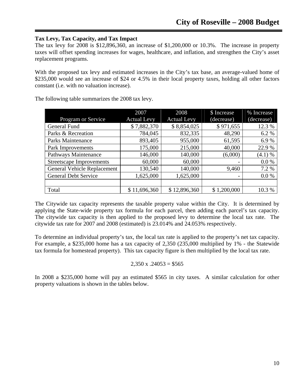## **Tax Levy, Tax Capacity, and Tax Impact**

The tax levy for 2008 is \$12,896,360, an increase of \$1,200,000 or 10.3%. The increase in property taxes will offset spending increases for wages, healthcare, and inflation, and strengthen the City's asset replacement programs.

With the proposed tax levy and estimated increases in the City's tax base, an average-valued home of \$235,000 would see an increase of \$24 or 4.5% in their local property taxes, holding all other factors constant (i.e. with no valuation increase).

|                                 | 2007               | 2008               | \$ Increase | % Increase |
|---------------------------------|--------------------|--------------------|-------------|------------|
| Program or Service              | <b>Actual Levy</b> | <b>Actual Levy</b> | (decrease)  | (decrease) |
| General Fund                    | \$7,882,370        | \$8,854,025        | \$971,655   | 12.3 %     |
| Parks & Recreation              | 784,045            | 832,335            | 48,290      | 6.2 %      |
| <b>Parks Maintenance</b>        | 893,405            | 955,000            | 61,595      | 6.9%       |
| Park Improvements               | 175,000            | 215,000            | 40,000      | 22.9 %     |
| Pathways Maintenance            | 146,000            | 140,000            | (6,000)     | (4.1) %    |
| <b>Streetscape Improvements</b> | 60,000             | 60,000             |             | 0.0 %      |
| General Vehicle Replacement     | 130,540            | 140,000            | 9,460       | 7.2 %      |
| <b>General Debt Service</b>     | 1,625,000          | 1,625,000          |             | 0.0 %      |
|                                 |                    |                    |             |            |
| Total                           | \$11,696,360       | \$12,896,360       | \$1,200,000 | 10.3 %     |

The following table summarizes the 2008 tax levy.

The Citywide tax capacity represents the taxable property value within the City. It is determined by applying the State-wide property tax formula for each parcel, then adding each parcel's tax capacity. The citywide tax capacity is then applied to the proposed levy to determine the local tax rate. The citywide tax rate for 2007 and 2008 (estimated) is 23.014% and 24.053% respectively.

To determine an individual property's tax, the local tax rate is applied to the property's net tax capacity. For example, a \$235,000 home has a tax capacity of 2,350 (235,000 multiplied by 1% - the Statewide tax formula for homestead property). This tax capacity figure is then multiplied by the local tax rate.

#### $2,350 \text{ x } .24053 = $565$

In 2008 a \$235,000 home will pay an estimated \$565 in city taxes. A similar calculation for other property valuations is shown in the tables below.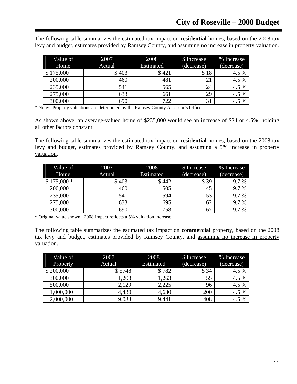The following table summarizes the estimated tax impact on **residential** homes, based on the 2008 tax levy and budget, estimates provided by Ramsey County, and assuming no increase in property valuation.

| Value of  | 2007   | 2008      | \$ Increase | % Increase |
|-----------|--------|-----------|-------------|------------|
| Home      | Actual | Estimated | (decrease)  | (decrease) |
| \$175,000 | \$403  | \$421     | \$18        | 4.5 %      |
| 200,000   | 460    | 481       | 21          | 4.5 %      |
| 235,000   | 541    | 565       | 24          | 4.5 %      |
| 275,000   | 633    | 661       | 29          | 4.5 %      |
| 300,000   | 690    | 722       | 31          | 4.5 %      |

\* Note: Property valuations are determined by the Ramsey County Assessor's Office

As shown above, an average-valued home of \$235,000 would see an increase of \$24 or 4.5%, holding all other factors constant.

The following table summarizes the estimated tax impact on **residential** homes, based on the 2008 tax levy and budget, estimates provided by Ramsey County, and assuming a 5% increase in property valuation.

| Value of    | 2007   | 2008      | \$ Increase | % Increase |
|-------------|--------|-----------|-------------|------------|
| Home        | Actual | Estimated | (decrease)  | (decrease) |
| $$175,000*$ | \$403  | \$442     | \$39        | 9.7 %      |
| 200,000     | 460    | 505       | 45          | 9.7%       |
| 235,000     | 541    | 594       | 53          | 9.7%       |
| 275,000     | 633    | 695       | 62          | 9.7%       |
| 300,000     | 690    | 758       | 67          | 9.7%       |

\* Original value shown. 2008 Impact reflects a 5% valuation increase.

The following table summarizes the estimated tax impact on **commercial** property, based on the 2008 tax levy and budget, estimates provided by Ramsey County, and assuming no increase in property valuation.

| Value of  | 2007   | 2008      | \$ Increase | % Increase |
|-----------|--------|-----------|-------------|------------|
| Property  | Actual | Estimated | (decrease)  | (decrease) |
| \$200,000 | \$5748 | \$782     | \$34        | 4.5 %      |
| 300,000   | 1,208  | 1,263     | 55          | 4.5 %      |
| 500,000   | 2,129  | 2,225     | 96          | 4.5 %      |
| 1,000,000 | 4,430  | 4,630     | 200         | 4.5 %      |
| 2,000,000 | 9,033  | 9,441     | 408         | 4.5 %      |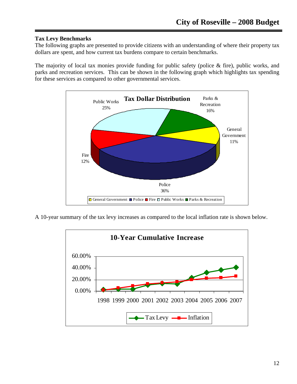## **Tax Levy Benchmarks**

The following graphs are presented to provide citizens with an understanding of where their property tax dollars are spent, and how current tax burdens compare to certain benchmarks.

The majority of local tax monies provide funding for public safety (police & fire), public works, and parks and recreation services. This can be shown in the following graph which highlights tax spending for these services as compared to other governmental services.



A 10-year summary of the tax levy increases as compared to the local inflation rate is shown below.

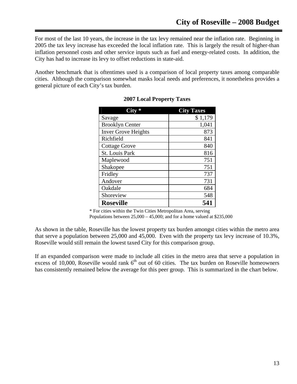For most of the last 10 years, the increase in the tax levy remained near the inflation rate. Beginning in 2005 the tax levy increase has exceeded the local inflation rate. This is largely the result of higher-than inflation personnel costs and other service inputs such as fuel and energy-related costs. In addition, the City has had to increase its levy to offset reductions in state-aid.

Another benchmark that is oftentimes used is a comparison of local property taxes among comparable cities. Although the comparison somewhat masks local needs and preferences, it nonetheless provides a general picture of each City's tax burden.

|                            | <b>City Taxes</b> |
|----------------------------|-------------------|
| Savage                     | \$1,179           |
| <b>Brooklyn Center</b>     | 1,041             |
| <b>Inver Grove Heights</b> | 873               |
| Richfield                  | 841               |
| <b>Cottage Grove</b>       | 840               |
| <b>St. Louis Park</b>      | 816               |
| Maplewood                  | 751               |
| Shakopee                   | 751               |
| Fridley                    | 737               |
| Andover                    | 731               |
| Oakdale                    | 684               |
| Shoreview                  | 548               |
| <b>Roseville</b>           | 541               |

## **2007 Local Property Taxes**

\* For cities within the Twin Cities Metropolitan Area, serving Populations between  $25,000 - 45,000$ ; and for a home valued at \$235,000

As shown in the table, Roseville has the lowest property tax burden amongst cities within the metro area that serve a population between 25,000 and 45,000. Even with the property tax levy increase of 10.3%, Roseville would still remain the lowest taxed City for this comparison group.

If an expanded comparison were made to include all cities in the metro area that serve a population in excess of 10,000, Roseville would rank  $6<sup>th</sup>$  out of 60 cities. The tax burden on Roseville homeowners has consistently remained below the average for this peer group. This is summarized in the chart below.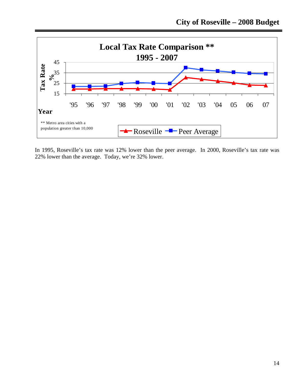

In 1995, Roseville's tax rate was 12% lower than the peer average. In 2000, Roseville's tax rate was 22% lower than the average. Today, we're 32% lower.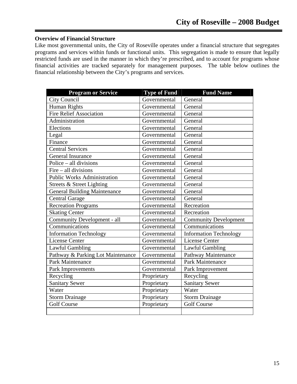#### **Overview of Financial Structure**

Like most governmental units, the City of Roseville operates under a financial structure that segregates programs and services within funds or functional units. This segregation is made to ensure that legally restricted funds are used in the manner in which they're prescribed, and to account for programs whose financial activities are tracked separately for management purposes. The table below outlines the financial relationship between the City's programs and services.

| <b>Program or Service</b>           | <b>Type of Fund</b> | <b>Fund Name</b>              |
|-------------------------------------|---------------------|-------------------------------|
| City Council                        | Governmental        | General                       |
| Human Rights                        | Governmental        | General                       |
| <b>Fire Relief Association</b>      | Governmental        | General                       |
| Administration                      | Governmental        | General                       |
| Elections                           | Governmental        | General                       |
| Legal                               | Governmental        | General                       |
| Finance                             | Governmental        | General                       |
| <b>Central Services</b>             | Governmental        | General                       |
| <b>General Insurance</b>            | Governmental        | General                       |
| Police – all divisions              | Governmental        | General                       |
| $Fire - all divisions$              | Governmental        | General                       |
| <b>Public Works Administration</b>  | Governmental        | General                       |
| Streets & Street Lighting           | Governmental        | General                       |
| <b>General Building Maintenance</b> | Governmental        | General                       |
| <b>Central Garage</b>               | Governmental        | General                       |
| <b>Recreation Programs</b>          | Governmental        | Recreation                    |
| <b>Skating Center</b>               | Governmental        | Recreation                    |
| Community Development - all         | Governmental        | <b>Community Development</b>  |
| Communications                      | Governmental        | Communications                |
| <b>Information Technology</b>       | Governmental        | <b>Information Technology</b> |
| <b>License Center</b>               | Governmental        | <b>License Center</b>         |
| Lawful Gambling                     | Governmental        | <b>Lawful Gambling</b>        |
| Pathway & Parking Lot Maintenance   | Governmental        | Pathway Maintenance           |
| Park Maintenance                    | Governmental        | Park Maintenance              |
| Park Improvements                   | Governmental        | Park Improvement              |
| Recycling                           | Proprietary         | Recycling                     |
| <b>Sanitary Sewer</b>               | Proprietary         | <b>Sanitary Sewer</b>         |
| Water                               | Proprietary         | Water                         |
| <b>Storm Drainage</b>               | Proprietary         | <b>Storm Drainage</b>         |
| <b>Golf Course</b>                  | Proprietary         | <b>Golf Course</b>            |
|                                     |                     |                               |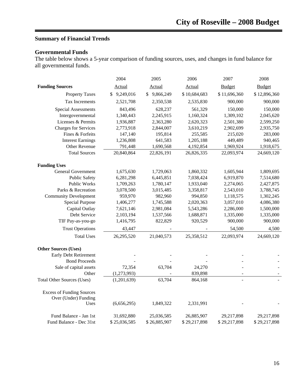# **Summary of Financial Trends**

# **Governmental Funds**

The table below shows a 5-year comparison of funding sources, uses, and changes in fund balance for all governmental funds.

|                                   | 2004         | 2005         | 2006         | 2007                     | 2008          |
|-----------------------------------|--------------|--------------|--------------|--------------------------|---------------|
| <b>Funding Sources</b>            | Actual       | Actual       | Actual       | <b>Budget</b>            | <b>Budget</b> |
| <b>Property Taxes</b>             | \$9,249,016  | \$9,866,249  | \$10,684,683 | \$11,696,360             | \$12,896,360  |
| Tax Increments                    | 2,521,708    | 2,350,538    | 2,535,830    | 900,000                  | 900,000       |
| <b>Special Assessments</b>        | 843,496      | 628,237      | 561,329      | 150,000                  | 150,000       |
| Intergovernmental                 | 1,340,443    | 2,245,915    | 1,160,324    | 1,309,102                | 2,045,620     |
| Licenses & Permits                | 1,936,887    | 2,363,280    | 2,620,323    | 2,501,380                | 2,599,250     |
| <b>Charges for Services</b>       | 2,773,918    | 2,844,007    | 3,610,219    | 2,902,699                | 2,935,750     |
| Fines & Forfeits                  | 147,140      | 195,814      | 255,585      | 215,020                  | 283,000       |
| <b>Interest Earnings</b>          | 1,236,808    | 641,583      | 1,205,188    | 449,489                  | 940,465       |
| Other Revenue                     | 791,448      | 1,690,568    | 4,192,854    | 1,969,924                | 1,918,675     |
| <b>Total Sources</b>              | 20,840,864   | 22,826,191   | 26,826,335   | 22,093,974               | 24,669,120    |
| <b>Funding Uses</b>               |              |              |              |                          |               |
| <b>General Government</b>         | 1,675,630    | 1,729,063    | 1,860,332    | 1,605,944                | 1,809,695     |
| <b>Public Safety</b>              | 6,281,298    | 6,445,851    | 7,038,424    | 6,919,870                | 7,514,680     |
| <b>Public Works</b>               | 1,709,263    | 1,780,147    | 1,933,040    | 2,274,065                | 2,427,875     |
| Parks & Recreation                | 3,078,500    | 3,015,485    | 3,358,817    | 2,543,010                | 3,788,745     |
| <b>Community Development</b>      | 959,970      | 982,960      | 994,850      | 1,118,575                | 1,302,245     |
| <b>Special Purpose</b>            | 1,406,277    | 1,745,588    | 2,020,363    | 3,057,010                | 4,086,380     |
| Capital Outlay                    | 7,621,146    | 2,981,084    | 5,543,286    | 2,286,000                | 1,500,000     |
| Debt Service                      | 2,103,194    | 1,537,566    | 1,688,871    | 1,335,000                | 1,335,000     |
| TIF Pay-as-you-go                 | 1,416,795    | 822,829      | 920,529      | 900,000                  | 900,000       |
| <b>Trust Operations</b>           | 43,447       |              |              | 54,500                   | 4,500         |
| <b>Total Uses</b>                 | 26,295,520   | 21,040,573   | 25,358,512   | 22,093,974               | 24,669,120    |
| <b>Other Sources (Uses)</b>       |              |              |              |                          |               |
| Early Debt Retirement             |              |              |              |                          |               |
| <b>Bond Proceeds</b>              |              |              |              |                          |               |
| Sale of capital assets            | 72,354       | 63,704       | 24,270       |                          |               |
| Other                             | (1,273,993)  |              | 839,898      | $\overline{\phantom{a}}$ |               |
| <b>Total Other Sources (Uses)</b> | (1,201,639)  | 63,704       | 864,168      | $\overline{\phantom{a}}$ |               |
| <b>Excess of Funding Sources</b>  |              |              |              |                          |               |
| Over (Under) Funding              |              |              |              |                          |               |
| Uses                              | (6,656,295)  | 1,849,322    | 2,331,991    |                          |               |
| Fund Balance - Jan 1st            | 31,692,880   | 25,036,585   | 26,885,907   | 29,217,898               | 29,217,898    |
| Fund Balance - Dec 31st           | \$25,036,585 | \$26,885,907 | \$29,217,898 | \$29,217,898             | \$29,217,898  |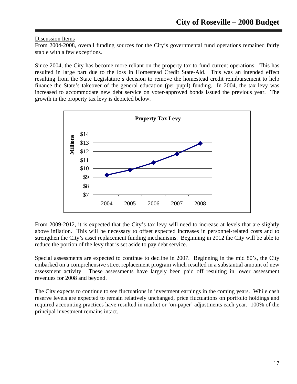#### Discussion Items

From 2004-2008, overall funding sources for the City's governmental fund operations remained fairly stable with a few exceptions.

Since 2004, the City has become more reliant on the property tax to fund current operations. This has resulted in large part due to the loss in Homestead Credit State-Aid. This was an intended effect resulting from the State Legislature's decision to remove the homestead credit reimbursement to help finance the State's takeover of the general education (per pupil) funding. In 2004, the tax levy was increased to accommodate new debt service on voter-approved bonds issued the previous year. The growth in the property tax levy is depicted below.



From 2009-2012, it is expected that the City's tax levy will need to increase at levels that are slightly above inflation. This will be necessary to offset expected increases in personnel-related costs and to strengthen the City's asset replacement funding mechanisms. Beginning in 2012 the City will be able to reduce the portion of the levy that is set aside to pay debt service.

Special assessments are expected to continue to decline in 2007. Beginning in the mid 80's, the City embarked on a comprehensive street replacement program which resulted in a substantial amount of new assessment activity. These assessments have largely been paid off resulting in lower assessment revenues for 2008 and beyond.

The City expects to continue to see fluctuations in investment earnings in the coming years. While cash reserve levels are expected to remain relatively unchanged, price fluctuations on portfolio holdings and required accounting practices have resulted in market or 'on-paper' adjustments each year. 100% of the principal investment remains intact.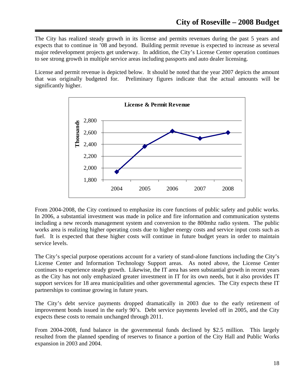The City has realized steady growth in its license and permits revenues during the past 5 years and expects that to continue in '08 and beyond. Building permit revenue is expected to increase as several major redevelopment projects get underway. In addition, the City's License Center operation continues to see strong growth in multiple service areas including passports and auto dealer licensing.

License and permit revenue is depicted below. It should be noted that the year 2007 depicts the amount that was originally budgeted for. Preliminary figures indicate that the actual amounts will be significantly higher.



From 2004-2008, the City continued to emphasize its core functions of public safety and public works. In 2006, a substantial investment was made in police and fire information and communication systems including a new records management system and conversion to the 800mhz radio system. The public works area is realizing higher operating costs due to higher energy costs and service input costs such as fuel. It is expected that these higher costs will continue in future budget years in order to maintain service levels.

The City's special purpose operations account for a variety of stand-alone functions including the City's License Center and Information Technology Support areas. As noted above, the License Center continues to experience steady growth. Likewise, the IT area has seen substantial growth in recent years as the City has not only emphasized greater investment in IT for its own needs, but it also provides IT support services for 18 area municipalities and other governmental agencies. The City expects these IT partnerships to continue growing in future years.

The City's debt service payments dropped dramatically in 2003 due to the early retirement of improvement bonds issued in the early 90's. Debt service payments leveled off in 2005, and the City expects these costs to remain unchanged through 2011.

From 2004-2008, fund balance in the governmental funds declined by \$2.5 million. This largely resulted from the planned spending of reserves to finance a portion of the City Hall and Public Works expansion in 2003 and 2004.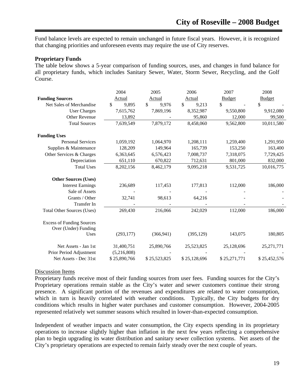Fund balance levels are expected to remain unchanged in future fiscal years. However, it is recognized that changing priorities and unforeseen events may require the use of City reserves.

#### **Proprietary Funds**

The table below shows a 5-year comparison of funding sources, uses, and changes in fund balance for all proprietary funds, which includes Sanitary Sewer, Water, Storm Sewer, Recycling, and the Golf Course.

|                                                          | 2004         | 2005         | 2006         | 2007          | 2008          |
|----------------------------------------------------------|--------------|--------------|--------------|---------------|---------------|
| <b>Funding Sources</b>                                   | Actual       | Actual       | Actual       | <b>Budget</b> | <b>Budget</b> |
| Net Sales of Merchandise                                 | \$<br>9,895  | \$<br>9,976  | \$<br>9,213  | \$            | \$            |
| <b>User Charges</b>                                      | 7,615,762    | 7,869,196    | 8,352,987    | 9,550,800     | 9,912,080     |
| <b>Other Revenue</b>                                     | 13,892       |              | 95,860       | 12,000        | 99,500        |
| <b>Total Sources</b>                                     | 7,639,549    | 7,879,172    | 8,458,060    | 9,562,800     | 10,011,580    |
| <b>Funding Uses</b>                                      |              |              |              |               |               |
| <b>Personal Services</b>                                 | 1,059,192    | 1,064,970    | 1,208,111    | 1,259,400     | 1,291,950     |
| Supplies & Maintenance                                   | 128,209      | 149,964      | 165,739      | 153,250       | 163,400       |
| Other Services & Charges                                 | 6,363,645    | 6,576,423    | 7,008,737    | 7,318,075     | 7,729,425     |
| Depreciation                                             | 651,110      | 670,822      | 712,631      | 801,000       | 832,000       |
| <b>Total Uses</b>                                        | 8,202,156    | 8,462,179    | 9,095,218    | 9,531,725     | 10,016,775    |
| <b>Other Sources (Uses)</b>                              |              |              |              |               |               |
| <b>Interest Earnings</b>                                 | 236,689      | 117,453      | 177,813      | 112,000       | 186,000       |
| Sale of Assets                                           |              |              |              |               |               |
| Grants / Other                                           | 32,741       | 98,613       | 64,216       |               |               |
| Transfer In                                              |              |              |              |               |               |
| <b>Total Other Sources (Uses)</b>                        | 269,430      | 216,066      | 242,029      | 112,000       | 186,000       |
| <b>Excess of Funding Sources</b><br>Over (Under) Funding |              |              |              |               |               |
| Uses                                                     | (293, 177)   | (366, 941)   | (395, 129)   | 143,075       | 180,805       |
| Net Assets - Jan 1st                                     | 31,400,751   | 25,890,766   | 25,523,825   | 25,128,696    | 25,271,771    |
| Prior Period Adjustment                                  | (5,216,808)  |              |              |               |               |
| Net Assets - Dec 31st                                    | \$25,890,766 | \$25,523,825 | \$25,128,696 | \$25,271,771  | \$25,452,576  |

#### Discussion Items

Proprietary funds receive most of their funding sources from user fees. Funding sources for the City's Proprietary operations remain stable as the City's water and sewer customers continue their strong presence. A significant portion of the revenues and expenditures are related to water consumption, which in turn is heavily correlated with weather conditions. Typically, the City budgets for dry conditions which results in higher water purchases and customer consumption. However, 2004-2005 represented relatively wet summer seasons which resulted in lower-than-expected consumption.

Independent of weather impacts and water consumption, the City expects spending in its proprietary operations to increase slightly higher than inflation in the next few years reflecting a comprehensive plan to begin upgrading its water distribution and sanitary sewer collection systems. Net assets of the City's proprietary operations are expected to remain fairly steady over the next couple of years.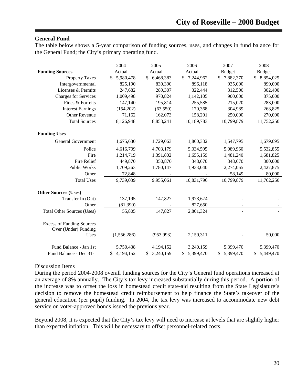## **General Fund**

The table below shows a 5-year comparison of funding sources, uses, and changes in fund balance for the General Fund; the City's primary operating fund.

|                                                          | 2004            | 2005            | 2006            | 2007            | 2008                      |
|----------------------------------------------------------|-----------------|-----------------|-----------------|-----------------|---------------------------|
| <b>Funding Sources</b>                                   | Actual          | Actual          | <b>Actual</b>   | <b>Budget</b>   | <b>Budget</b>             |
| <b>Property Taxes</b>                                    | 5,980,478<br>\$ | 6,468,383<br>S. | 7,244,962<br>\$ | \$7,882,370     | 8,854,025<br>$\mathbb{S}$ |
| Intergovernmental                                        | 825,190         | 830,390         | 896,118         | 935,000         | 899,000                   |
| Licenses & Permits                                       | 247,682         | 289,307         | 322,444         | 312,500         | 302,400                   |
| <b>Charges for Services</b>                              | 1,009,498       | 970,824         | 1,142,105       | 900,000         | 875,000                   |
| Fines & Forfeits                                         | 147,140         | 195,814         | 255,585         | 215,020         | 283,000                   |
| <b>Interest Earnings</b>                                 | (154,202)       | (63, 550)       | 170,368         | 304,989         | 268,825                   |
| Other Revenue                                            | 71,162          | 162,073         | 158,201         | 250,000         | 270,000                   |
| <b>Total Sources</b>                                     | 8,126,948       | 8,853,241       | 10,189,783      | 10,799,879      | 11,752,250                |
| <b>Funding Uses</b>                                      |                 |                 |                 |                 |                           |
| <b>General Government</b>                                | 1,675,630       | 1,729,063       | 1,860,332       | 1,547,795       | 1,679,695                 |
| Police                                                   | 4,616,709       | 4,703,179       | 5,034,595       | 5,089,960       | 5,532,855                 |
| Fire                                                     | 1,214,719       | 1,391,802       | 1,655,159       | 1,481,240       | 1,681,825                 |
| <b>Fire Relief</b>                                       | 449,870         | 350,870         | 348,670         | 348,670         | 300,000                   |
| <b>Public Works</b>                                      | 1,709,263       | 1,780,147       | 1,933,040       | 2,274,065       | 2,427,875                 |
| Other                                                    | 72,848          |                 |                 | 58,149          | 80,000                    |
| <b>Total Uses</b>                                        | 9,739,039       | 9,955,061       | 10,831,796      | 10,799,879      | 11,702,250                |
| <b>Other Sources (Uses)</b>                              |                 |                 |                 |                 |                           |
| Transfer In (Out)                                        | 137,195         | 147,827         | 1,973,674       |                 |                           |
| Other                                                    | (81, 390)       |                 | 827,650         |                 |                           |
| <b>Total Other Sources (Uses)</b>                        | 55,805          | 147,827         | 2,801,324       | $\sim$          |                           |
| <b>Excess of Funding Sources</b><br>Over (Under) Funding |                 |                 |                 |                 |                           |
| Uses                                                     | (1,556,286)     | (953, 993)      | 2,159,311       |                 | 50,000                    |
| Fund Balance - Jan 1st                                   | 5,750,438       | 4,194,152       | 3,240,159       | 5,399,470       | 5,399,470                 |
| Fund Balance - Dec 31st                                  | 4,194,152<br>\$ | 3,240,159<br>\$ | 5,399,470<br>\$ | 5,399,470<br>\$ | 5,449,470<br>\$           |

#### Discussion Items

During the period 2004-2008 overall funding sources for the City's General fund operations increased at an average of 8% annually. The City's tax levy increased substantially during this period. A portion of the increase was to offset the loss in homestead credit state-aid resulting from the State Legislature's decision to remove the homestead credit reimbursement to help finance the State's takeover of the general education (per pupil) funding. In 2004, the tax levy was increased to accommodate new debt service on voter-approved bonds issued the previous year.

Beyond 2008, it is expected that the City's tax levy will need to increase at levels that are slightly higher than expected inflation. This will be necessary to offset personnel-related costs.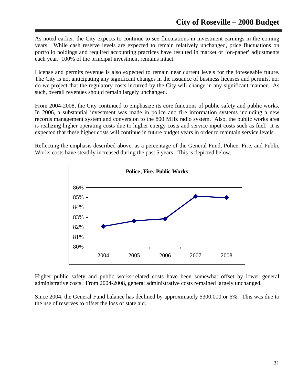As noted earlier, the City expects to continue to see fluctuations in investment earnings in the coming years. While cash reserve levels are expected to remain relatively unchanged, price fluctuations on portfolio holdings and required accounting practices have resulted in market or 'on-paper' adjustments each year. 100% of the principal investment remains intact.

License and permits revenue is also expected to remain near current levels for the foreseeable future. The City is not anticipating any significant changes in the issuance of business licenses and permits, nor do we project that the regulatory costs incurred by the City will change in any significant manner. As such, overall revenues should remain largely unchanged.

From 2004-2008, the City continued to emphasize its core functions of public safety and public works. In 2006, a substantial investment was made in police and fire information systems including a new records management system and conversion to the 800 MHz radio system. Also, the public works area is realizing higher operating costs due to higher energy costs and service input costs such as fuel. It is expected that these higher costs will continue in future budget years in order to maintain service levels.

Reflecting the emphasis described above, as a percentage of the General Fund, Police, Fire, and Public Works costs have steadily increased during the past 5 years. This is depicted below.



Higher public safety and public works-related costs have been somewhat offset by lower general administrative costs. From 2004-2008, general administrative costs remained largely unchanged.

Since 2004, the General Fund balance has declined by approximately \$300,000 or 6%. This was due to the use of reserves to offset the loss of state aid.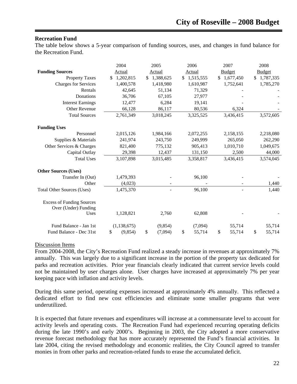#### **Recreation Fund**

The table below shows a 5-year comparison of funding sources, uses, and changes in fund balance for the Recreation Fund.

|                                                          | 2004                        | 2005          | 2006         | 2007          | 2008            |
|----------------------------------------------------------|-----------------------------|---------------|--------------|---------------|-----------------|
| <b>Funding Sources</b>                                   | Actual                      | Actual        | Actual       | <b>Budget</b> | <b>Budget</b>   |
| <b>Property Taxes</b>                                    | 1,202,815<br>$\mathbb{S}^-$ | \$1,388,625   | \$1,515,555  | \$1,677,450   | 1,787,335<br>\$ |
| <b>Charges for Services</b>                              | 1,400,578                   | 1,418,980     | 1,610,987    | 1,752,641     | 1,785,270       |
| Rentals                                                  | 42,645                      | 51,134        | 71,329       |               |                 |
| Donations                                                | 36,706                      | 67,105        | 27,977       |               |                 |
| <b>Interest Earnings</b>                                 | 12,477                      | 6,284         | 19,141       |               |                 |
| <b>Other Revenue</b>                                     | 66,128                      | 86,117        | 80,536       | 6,324         |                 |
| <b>Total Sources</b>                                     | 2,761,349                   | 3,018,245     | 3,325,525    | 3,436,415     | 3,572,605       |
| <b>Funding Uses</b>                                      |                             |               |              |               |                 |
| Personnel                                                | 2,015,126                   | 1,984,166     | 2,072,255    | 2,158,155     | 2,218,080       |
| Supplies & Materials                                     | 241,974                     | 243,750       | 249,999      | 265,050       | 262,290         |
| Other Services & Charges                                 | 821,400                     | 775,132       | 905,413      | 1,010,710     | 1,049,675       |
| Capital Outlay                                           | 29,398                      | 12,437        | 131,150      | 2,500         | 44,000          |
| <b>Total Uses</b>                                        | 3,107,898                   | 3,015,485     | 3,358,817    | 3,436,415     | 3,574,045       |
| <b>Other Sources (Uses)</b>                              |                             |               |              |               |                 |
| Transfer In (Out)                                        | 1,479,393                   |               | 96,100       |               |                 |
| Other                                                    | (4,023)                     |               |              |               | 1,440           |
| <b>Total Other Sources (Uses)</b>                        | 1,475,370                   |               | 96,100       |               | 1,440           |
| <b>Excess of Funding Sources</b><br>Over (Under) Funding |                             |               |              |               |                 |
| Uses                                                     | 1,128,821                   | 2,760         | 62,808       |               |                 |
| Fund Balance - Jan 1st                                   | (1, 138, 675)               | (9, 854)      | (7,094)      | 55,714        | 55,714          |
| Fund Balance - Dec 31st                                  | \$<br>(9,854)               | \$<br>(7,094) | 55,714<br>\$ | \$<br>55,714  | \$<br>55,714    |

#### Discussion Items

From 2004-2008, the City's Recreation Fund realized a steady increase in revenues at approximately 7% annually. This was largely due to a significant increase in the portion of the property tax dedicated for parks and recreation activities. Prior year financials clearly indicated that current service levels could not be maintained by user charges alone. User charges have increased at approximately 7% per year keeping pace with inflation and activity levels.

During this same period, operating expenses increased at approximately 4% annually. This reflected a dedicated effort to find new cost efficiencies and eliminate some smaller programs that were underutilized.

It is expected that future revenues and expenditures will increase at a commensurate level to account for activity levels and operating costs. The Recreation Fund had experienced recurring operating deficits during the late 1990's and early 2000's. Beginning in 2003, the City adopted a more conservative revenue forecast methodology that has more accurately represented the Fund's financial activities. In late 2004, citing the revised methodology and economic realities, the City Council agreed to transfer monies in from other parks and recreation-related funds to erase the accumulated deficit.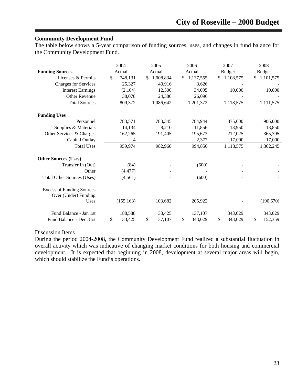#### **Community Development Fund**

The table below shows a 5-year comparison of funding sources, uses, and changes in fund balance for the Community Development Fund.

|                                                          | 2004          | 2005            | 2006            | 2007          |    | 2008          |
|----------------------------------------------------------|---------------|-----------------|-----------------|---------------|----|---------------|
| <b>Funding Sources</b>                                   | Actual        | Actual          | Actual          | <b>Budget</b> |    | <b>Budget</b> |
| Licenses & Permits                                       | \$<br>748,131 | \$<br>1,008,834 | \$<br>1,137,555 | \$1,108,575   | S. | 1,101,575     |
| <b>Charges for Services</b>                              | 25,327        | 40,916          | 3,626           |               |    |               |
| <b>Interest Earnings</b>                                 | (2,164)       | 12,506          | 34,095          | 10,000        |    | 10,000        |
| Other Revenue                                            | 38,078        | 24,386          | 26,096          |               |    |               |
| <b>Total Sources</b>                                     | 809,372       | 1,086,642       | 1,201,372       | 1,118,575     |    | 1,111,575     |
| <b>Funding Uses</b>                                      |               |                 |                 |               |    |               |
| Personnel                                                | 783,571       | 783,345         | 784,944         | 875,600       |    | 906,000       |
| Supplies & Materials                                     | 14,134        | 8,210           | 11,856          | 13,950        |    | 13,850        |
| Other Services & Charges                                 | 162,265       | 191,405         | 195,673         | 212,025       |    | 365,395       |
| Capital Outlay                                           | 4             |                 | 2,377           | 17,000        |    | 17,000        |
| <b>Total Uses</b>                                        | 959,974       | 982,960         | 994,850         | 1,118,575     |    | 1,302,245     |
| <b>Other Sources (Uses)</b>                              |               |                 |                 |               |    |               |
| Transfer In (Out)                                        | (84)          |                 | (600)           |               |    |               |
| Other                                                    | (4, 477)      |                 |                 |               |    |               |
| <b>Total Other Sources (Uses)</b>                        | (4, 561)      |                 | (600)           |               |    |               |
| <b>Excess of Funding Sources</b><br>Over (Under) Funding |               |                 |                 |               |    |               |
| Uses                                                     | (155, 163)    | 103,682         | 205,922         |               |    | (190,670)     |
| Fund Balance - Jan 1st                                   | 188,588       | 33,425          | 137,107         | 343,029       |    | 343,029       |
| Fund Balance - Dec 31st                                  | \$<br>33,425  | \$<br>137,107   | \$<br>343,029   | \$<br>343,029 | \$ | 152,359       |

#### Discussion Items

During the period 2004-2008, the Community Development Fund realized a substantial fluctuation in overall activity which was indicative of changing market conditions for both housing and commercial development. It is expected that beginning in 2008, development at several major areas will begin, which should stabilize the Fund's operations.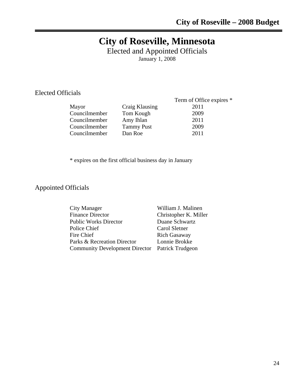# **City of Roseville, Minnesota**

Elected and Appointed Officials January 1, 2008

Elected Officials

| латя          |                   |                          |
|---------------|-------------------|--------------------------|
|               |                   | Term of Office expires * |
| Mayor         | Craig Klausing    | 2011                     |
| Councilmember | Tom Kough         | 2009                     |
| Councilmember | Amy Ihlan         | 2011                     |
| Councilmember | <b>Tammy Pust</b> | 2009                     |
| Councilmember | Dan Roe           | 2011                     |
|               |                   |                          |

\* expires on the first official business day in January

Appointed Officials

| William J. Malinen                              |
|-------------------------------------------------|
| Christopher K. Miller                           |
| Duane Schwartz                                  |
| Carol Sletner                                   |
| <b>Rich Gasaway</b>                             |
| Lonnie Brokke                                   |
| Community Development Director Patrick Trudgeon |
|                                                 |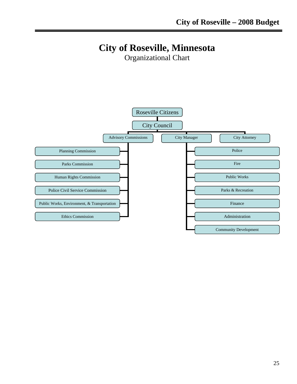# **City of Roseville, Minnesota**

Organizational Chart

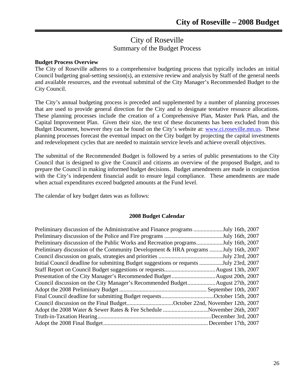# City of Roseville Summary of the Budget Process

#### **Budget Process Overview**

The City of Roseville adheres to a comprehensive budgeting process that typically includes an initial Council budgeting goal-setting session(s), an extensive review and analysis by Staff of the general needs and available resources, and the eventual submittal of the City Manager's Recommended Budget to the City Council.

The City's annual budgeting process is preceded and supplemented by a number of planning processes that are used to provide general direction for the City and to designate tentative resource allocations. These planning processes include the creation of a Comprehensive Plan, Master Park Plan, and the Capital Improvement Plan. Given their size, the text of these documents has been excluded from this Budget Document, however they can be found on the City's website at: www.ci.roseville.mn.us. These planning processes forecast the eventual impact on the City budget by projecting the capital investments and redevelopment cycles that are needed to maintain service levels and achieve overall objectives.

The submittal of the Recommended Budget is followed by a series of public presentations to the City Council that is designed to give the Council and citizens an overview of the proposed Budget, and to prepare the Council in making informed budget decisions. Budget amendments are made in conjunction with the City's independent financial audit to ensure legal compliance. These amendments are made when actual expenditures exceed budgeted amounts at the Fund level.

The calendar of key budget dates was as follows:

#### **2008 Budget Calendar**

| Preliminary discussion of the Administrative and Finance programs July 16th, 2007      |  |
|----------------------------------------------------------------------------------------|--|
|                                                                                        |  |
| Preliminary discussion of the Public Works and Recreation programsJuly 16th, 2007      |  |
| Preliminary discussion of the Community Development & HRA programs  July 16th, 2007    |  |
|                                                                                        |  |
| Initial Council deadline for submitting Budget suggestions or requests July 23rd, 2007 |  |
|                                                                                        |  |
|                                                                                        |  |
|                                                                                        |  |
|                                                                                        |  |
| Final Council deadline for submitting Budget requestsOctober 15th, 2007                |  |
| Council discussion on the Final BudgetOctober 22nd, November 12th, 2007                |  |
| Adopt the 2008 Water & Sewer Rates & Fee Schedule November 26th, 2007                  |  |
|                                                                                        |  |
|                                                                                        |  |
|                                                                                        |  |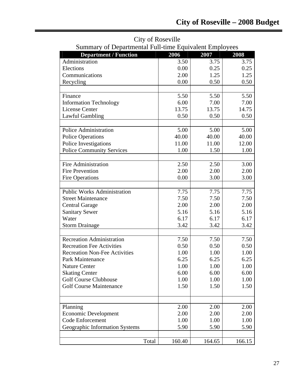|                                      | Summary of Departmental Full-time Equivalent Employees |        |        |  |  |
|--------------------------------------|--------------------------------------------------------|--------|--------|--|--|
| <b>Department / Function</b>         | 2006                                                   | 2007   | 2008   |  |  |
| Administration                       | 3.50                                                   | 3.75   | 3.75   |  |  |
| Elections                            | 0.00                                                   | 0.25   | 0.25   |  |  |
| Communications                       | 2.00                                                   | 1.25   | 1.25   |  |  |
| Recycling                            | 0.00                                                   | 0.50   | 0.50   |  |  |
|                                      |                                                        |        |        |  |  |
| Finance                              | 5.50                                                   | 5.50   | 5.50   |  |  |
| <b>Information Technology</b>        | 6.00                                                   | 7.00   | 7.00   |  |  |
| <b>License Center</b>                | 13.75                                                  | 13.75  | 14.75  |  |  |
| <b>Lawful Gambling</b>               | 0.50                                                   | 0.50   | 0.50   |  |  |
|                                      |                                                        |        |        |  |  |
| <b>Police Administration</b>         | 5.00                                                   | 5.00   | 5.00   |  |  |
| <b>Police Operations</b>             | 40.00                                                  | 40.00  | 40.00  |  |  |
| Police Investigations                | 11.00                                                  | 11.00  | 12.00  |  |  |
| <b>Police Community Services</b>     | 1.00                                                   | 1.50   | 1.00   |  |  |
|                                      |                                                        |        |        |  |  |
| <b>Fire Administration</b>           | 2.50                                                   | 2.50   | 3.00   |  |  |
| <b>Fire Prevention</b>               | 2.00                                                   | 2.00   | 2.00   |  |  |
| <b>Fire Operations</b>               | 0.00                                                   | 3.00   | 3.00   |  |  |
|                                      |                                                        |        |        |  |  |
| <b>Public Works Administration</b>   | 7.75                                                   | 7.75   | 7.75   |  |  |
| <b>Street Maintenance</b>            | 7.50                                                   | 7.50   | 7.50   |  |  |
| <b>Central Garage</b>                | 2.00                                                   | 2.00   | 2.00   |  |  |
| <b>Sanitary Sewer</b>                | 5.16                                                   | 5.16   | 5.16   |  |  |
| Water                                | 6.17                                                   | 6.17   | 6.17   |  |  |
| <b>Storm Drainage</b>                | 3.42                                                   | 3.42   | 3.42   |  |  |
|                                      |                                                        |        |        |  |  |
| <b>Recreation Administration</b>     | 7.50                                                   | 7.50   | 7.50   |  |  |
| <b>Recreation Fee Activities</b>     | 0.50                                                   | 0.50   | 0.50   |  |  |
| <b>Recreation Non-Fee Activities</b> | 1.00                                                   | 1.00   | 1.00   |  |  |
| Park Maintenance                     | 6.25                                                   | 6.25   | 6.25   |  |  |
| <b>Nature Center</b>                 | 1.00                                                   | 1.00   | 1.00   |  |  |
| <b>Skating Center</b>                | 6.00                                                   | 6.00   | 6.00   |  |  |
| <b>Golf Course Clubhouse</b>         | 1.00                                                   | 1.00   | 1.00   |  |  |
| <b>Golf Course Maintenance</b>       | 1.50                                                   | 1.50   | 1.50   |  |  |
|                                      |                                                        |        |        |  |  |
|                                      |                                                        |        |        |  |  |
| Planning                             | 2.00                                                   | 2.00   | 2.00   |  |  |
| <b>Economic Development</b>          | 2.00                                                   | 2.00   | 2.00   |  |  |
| <b>Code Enforcement</b>              | 1.00                                                   | 1.00   | 1.00   |  |  |
| Geographic Information Systems       | 5.90                                                   | 5.90   | 5.90   |  |  |
|                                      |                                                        |        |        |  |  |
| Total                                | 160.40                                                 | 164.65 | 166.15 |  |  |

City of Roseville Summary of Departmental Full-time Equivalent Employees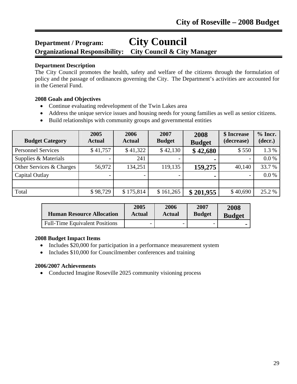# **Department / Program: City Council**

**Organizational Responsibility: City Council & City Manager**

# **Department Description**

The City Council promotes the health, safety and welfare of the citizens through the formulation of policy and the passage of ordinances governing the City. The Department's activities are accounted for in the General Fund.

# **2008 Goals and Objectives**

- Continue evaluating redevelopment of the Twin Lakes area
- Address the unique service issues and housing needs for young families as well as senior citizens.
- Build relationships with community groups and governmental entities

| <b>Budget Category</b>    | 2005<br><b>Actual</b> | 2006<br><b>Actual</b> | 2007<br><b>Budget</b> | 2008<br><b>Budget</b> | \$ Increase<br>(decrease) | $%$ Incr.<br>(decr.) |
|---------------------------|-----------------------|-----------------------|-----------------------|-----------------------|---------------------------|----------------------|
| <b>Personnel Services</b> | \$41,757              | \$41,322              | \$42,130              | \$42,680              | \$550                     | 1.3 %                |
| Supplies & Materials      |                       | 241                   |                       | ۰                     | $\overline{\phantom{0}}$  | 0.0 %                |
| Other Services & Charges  | 56,972                | 134,251               | 119,135               | 159,275               | 40,140                    | 33.7 %               |
| Capital Outlay            |                       |                       |                       | $\blacksquare$        |                           | 0.0 %                |
|                           |                       |                       |                       |                       |                           |                      |
| Total                     | \$98,729              | \$175,814             | \$161,265             | \$201,955             | \$40,690                  | 25.2 %               |

| <b>Human Resource Allocation</b>      | 2005   | 2006          | 2007                     | 2008          |
|---------------------------------------|--------|---------------|--------------------------|---------------|
|                                       | Actual | <b>Actual</b> | <b>Budget</b>            | <b>Budget</b> |
| <b>Full-Time Equivalent Positions</b> | -      | -             | $\overline{\phantom{0}}$ |               |

# **2008 Budget Impact Items**

- Includes \$20,000 for participation in a performance measurement system
- Includes \$10,000 for Councilmember conferences and training

# **2006/2007 Achievements**

• Conducted Imagine Roseville 2025 community visioning process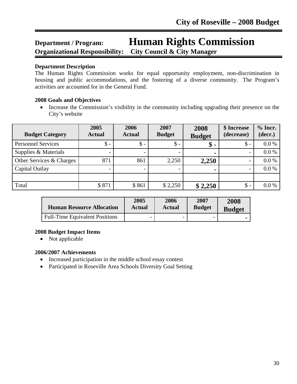# **Department / Program: Human Rights Commission Organizational Responsibility: City Council & City Manager**

## **Department Description**

The Human Rights Commission works for equal opportunity employment, non-discrimination in housing and public accommodations, and the fostering of a diverse community. The Program's activities are accounted for in the General Fund.

# **2008 Goals and Objectives**

• Increase the Commission's visibility in the community including upgrading their presence on the City's website

| <b>Budget Category</b>    | 2005<br><b>Actual</b> | 2006<br><b>Actual</b> | 2007<br><b>Budget</b> | 2008<br><b>Budget</b> | \$ Increase<br>(decrease) | $%$ Incr.<br>(decr.) |
|---------------------------|-----------------------|-----------------------|-----------------------|-----------------------|---------------------------|----------------------|
| <b>Personnel Services</b> | $\$ -                 | $\mathcal{S}$ -       | $\$\,$                | \$                    | $\mathsf{\$}$ -           | 0.0 %                |
| Supplies & Materials      |                       |                       |                       | ٠                     |                           | 0.0 %                |
| Other Services & Charges  | 871                   | 861                   | 2,250                 | 2,250                 |                           | 0.0 %                |
| Capital Outlay            |                       |                       |                       | $\blacksquare$        |                           | 0.0 %                |
|                           |                       |                       |                       |                       |                           |                      |
| Total                     | \$871                 | \$861                 | \$2,250               | \$2,250               | $\$\$ -                   | 0.0 %                |

| <b>Human Resource Allocation</b>      | 2005   | 2006                     | 2007          | 2008          |
|---------------------------------------|--------|--------------------------|---------------|---------------|
|                                       | Actual | Actual                   | <b>Budget</b> | <b>Budget</b> |
| <b>Full-Time Equivalent Positions</b> | -      | $\overline{\phantom{a}}$ |               |               |

# **2008 Budget Impact Items**

• Not applicable

# **2006/2007 Achievements**

- Increased participation in the middle school essay contest
- Participated in Roseville Area Schools Diversity Goal Setting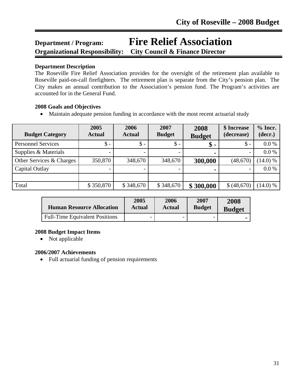# **Department / Program: Fire Relief Association Organizational Responsibility: City Council & Finance Director**

## **Department Description**

The Roseville Fire Relief Association provides for the oversight of the retirement plan available to Roseville paid-on-call firefighters. The retirement plan is separate from the City's pension plan. The City makes an annual contribution to the Association's pension fund. The Program's activities are accounted for in the General Fund.

## **2008 Goals and Objectives**

• Maintain adequate pension funding in accordance with the most recent actuarial study

| <b>Budget Category</b>    | 2005<br><b>Actual</b> | 2006<br><b>Actual</b> | 2007<br><b>Budget</b> | 2008<br><b>Budget</b> | \$ Increase<br>(decrease) | $%$ Incr.<br>(decr.) |
|---------------------------|-----------------------|-----------------------|-----------------------|-----------------------|---------------------------|----------------------|
| <b>Personnel Services</b> | $\mathsf{\$}$ -       | $\mathsf{\$}$ -       | $\mathbb{S}$ -        | $\$\,$                | $\mathsf{\$}$ -           | $0.0\%$              |
| Supplies & Materials      |                       |                       |                       |                       |                           | 0.0 %                |
| Other Services & Charges  | 350,870               | 348,670               | 348,670               | 300,000               | (48,670)                  | (14.0) %             |
| Capital Outlay            |                       |                       |                       |                       | $\overline{\phantom{a}}$  | 0.0 %                |
|                           |                       |                       |                       |                       |                           |                      |
| Total                     | \$350,870             | \$348,670             | \$348,670             | \$300,000             | \$ (48,670)               | (14.0) %             |

| <b>Human Resource Allocation</b>      | 2005   | 2006          | 2007          | 2008          |
|---------------------------------------|--------|---------------|---------------|---------------|
|                                       | Actual | <b>Actual</b> | <b>Budget</b> | <b>Budget</b> |
| <b>Full-Time Equivalent Positions</b> | -      |               |               |               |

# **2008 Budget Impact Items**

• Not applicable

#### **2006/2007 Achievements**

• Full actuarial funding of pension requirements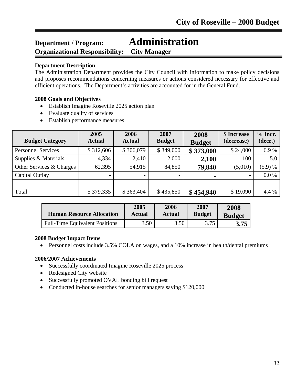# **Department / Program: Administration Organizational Responsibility: City Manager**

## **Department Description**

The Administration Department provides the City Council with information to make policy decisions and proposes recommendations concerning measures or actions considered necessary for effective and efficient operations. The Department's activities are accounted for in the General Fund.

## **2008 Goals and Objectives**

- Establish Imagine Roseville 2025 action plan
- Evaluate quality of services
- Establish performance measures

| <b>Budget Category</b>    | 2005<br><b>Actual</b> | 2006<br><b>Actual</b> | 2007<br><b>Budget</b> | 2008<br><b>Budget</b> | \$ Increase<br>(decrease) | $%$ Incr.<br>(decr.) |
|---------------------------|-----------------------|-----------------------|-----------------------|-----------------------|---------------------------|----------------------|
| <b>Personnel Services</b> | \$312,606             | \$306,079             | \$349,000             | \$373,000             | \$24,000                  | 6.9%                 |
| Supplies & Materials      | 4,334                 | 2,410                 | 2,000                 | 2,100                 | 100                       | 5.0                  |
| Other Services & Charges  | 62,395                | 54,915                | 84,850                | 79,840                | (5,010)                   | (5.9) %              |
| Capital Outlay            |                       |                       |                       | $\blacksquare$        |                           | 0.0 %                |
|                           |                       |                       |                       |                       |                           |                      |
| Total                     | \$379,335             | \$363,404             | \$435,850             | \$454,940             | \$19,090                  | 4.4 %                |

| <b>Human Resource Allocation</b>      | 2005   | 2006          | 2007          | 2008          |
|---------------------------------------|--------|---------------|---------------|---------------|
|                                       | Actual | <b>Actual</b> | <b>Budget</b> | <b>Budget</b> |
| <b>Full-Time Equivalent Positions</b> | 3.50   | 3.50          | 3.75          | 3.75          |

#### **2008 Budget Impact Items**

• Personnel costs include 3.5% COLA on wages, and a 10% increase in health/dental premiums

# **2006/2007 Achievements**

- Successfully coordinated Imagine Roseville 2025 process
- Redesigned City website
- Successfully promoted OVAL bonding bill request
- Conducted in-house searches for senior managers saving \$120,000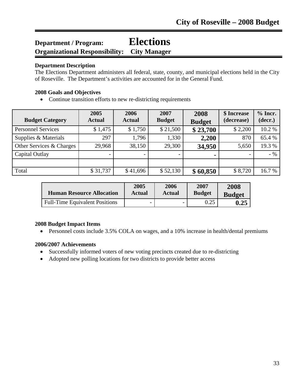# **Department / Program: Elections Organizational Responsibility: City Manager**

## **Department Description**

The Elections Department administers all federal, state, county, and municipal elections held in the City of Roseville. The Department's activities are accounted for in the General Fund.

## **2008 Goals and Objectives**

• Continue transition efforts to new re-districting requirements

| <b>Budget Category</b>    | 2005<br><b>Actual</b>    | 2006<br><b>Actual</b>    | 2007<br><b>Budget</b> | 2008<br><b>Budget</b> | \$ Increase<br>(decrease) | $%$ Incr.<br>(decr.) |
|---------------------------|--------------------------|--------------------------|-----------------------|-----------------------|---------------------------|----------------------|
| <b>Personnel Services</b> | \$1,475                  | \$1,750                  | \$21,500              | \$23,700              | \$2,200                   | 10.2%                |
| Supplies & Materials      | 297                      | 1,796                    | 1,330                 | 2,200                 | 870                       | 65.4 %               |
| Other Services & Charges  | 29,968                   | 38,150                   | 29,300                | 34,950                | 5,650                     | 19.3 %               |
| Capital Outlay            | $\overline{\phantom{0}}$ | $\overline{\phantom{0}}$ |                       | $\blacksquare$        | $\overline{\phantom{0}}$  | $-9/0$               |
|                           |                          |                          |                       |                       |                           |                      |
| Total                     | \$31,737                 | \$41,696                 | \$52,130              | \$60,850              | \$8,720                   | 16.7 %               |

| <b>Human Resource Allocation</b>      | 2005   | 2006                     | 2007          | 2008          |
|---------------------------------------|--------|--------------------------|---------------|---------------|
|                                       | Actual | Actual                   | <b>Budget</b> | <b>Budget</b> |
| <b>Full-Time Equivalent Positions</b> | -      | $\overline{\phantom{0}}$ |               | 0.25          |

#### **2008 Budget Impact Items**

• Personnel costs include 3.5% COLA on wages, and a 10% increase in health/dental premiums

# **2006/2007 Achievements**

- Successfully informed voters of new voting precincts created due to re-districting
- Adopted new polling locations for two districts to provide better access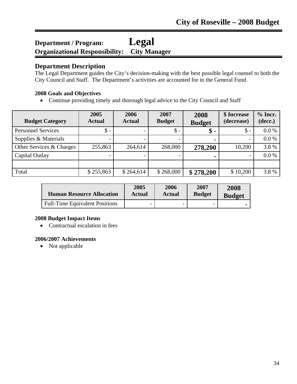# **Department / Program: Legal Organizational Responsibility: City Manager**

# **Department Description**

The Legal Department guides the City's decision-making with the best possible legal counsel to both the City Council and Staff. The Department's activities are accounted for in the General Fund.

# **2008 Goals and Objectives**

• Continue providing timely and thorough legal advice to the City Council and Staff

| <b>Budget Category</b>    | 2005<br><b>Actual</b> | 2006<br><b>Actual</b> | 2007<br><b>Budget</b> | 2008<br><b>Budget</b> | \$ Increase<br>(decrease) | $%$ Incr.<br>(decr.) |
|---------------------------|-----------------------|-----------------------|-----------------------|-----------------------|---------------------------|----------------------|
| <b>Personnel Services</b> | $\mathsf{\$}$ -       |                       | $\$\,$                | $\$\,$                | $\mathcal{S}$ -           | $0.0\%$              |
| Supplies & Materials      |                       |                       |                       | $\blacksquare$        |                           | $0.0\%$              |
| Other Services & Charges  | 255,863               | 264,614               | 268,000               | 278,200               | 10,200                    | 3.8%                 |
| Capital Outlay            |                       |                       |                       |                       |                           | $0.0\%$              |
|                           |                       |                       |                       |                       |                           |                      |
| Total                     | \$255,863             | \$264,614             | \$268,000             | \$278,200             | \$10,200                  | 3.8%                 |

| <b>Human Resource Allocation</b>      | 2005   | 2006          | 2007          | 2008          |
|---------------------------------------|--------|---------------|---------------|---------------|
|                                       | Actual | <b>Actual</b> | <b>Budget</b> | <b>Budget</b> |
| <b>Full-Time Equivalent Positions</b> | -      |               | -             |               |

# **2008 Budget Impact Items**

• Contractual escalation in fees

# **2006/2007 Achievements**

• Not applicable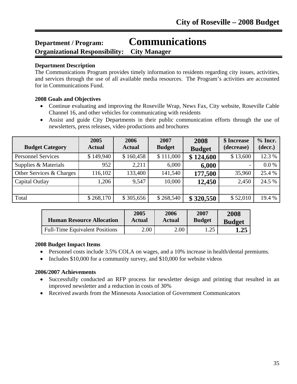# **Department / Program: Communications**

**Organizational Responsibility: City Manager**

#### **Department Description**

l

The Communications Program provides timely information to residents regarding city issues, activities, and services through the use of all available media resources. The Program's activities are accounted for in Communications Fund.

#### **2008 Goals and Objectives**

- Continue evaluating and improving the Roseville Wrap, News Fax, City website, Roseville Cable Channel 16, and other vehicles for communicating with residents
- Assist and guide City Departments in their public communication efforts through the use of newsletters, press releases, video productions and brochures

| <b>Budget Category</b>    | 2005<br><b>Actual</b> | 2006<br><b>Actual</b> | 2007<br><b>Budget</b> | 2008<br><b>Budget</b> | \$ Increase<br>(decrease) | $%$ Incr.<br>(decr.) |
|---------------------------|-----------------------|-----------------------|-----------------------|-----------------------|---------------------------|----------------------|
| <b>Personnel Services</b> | \$149,940             | \$160,458             | \$111,000             | \$124,600             | \$13,600                  | 12.3 %               |
| Supplies & Materials      | 952                   | 2,211                 | 6,000                 | 6,000                 |                           | 0.0 %                |
| Other Services & Charges  | 116,102               | 133,400               | 141,540               | 177,500               | 35,960                    | 25.4 %               |
| Capital Outlay            | 1,206                 | 9,547                 | 10,000                | 12,450                | 2,450                     | 24.5 %               |
|                           |                       |                       |                       |                       |                           |                      |
| Total                     | \$268,170             | \$305,656             | \$268,540             | \$320,550             | \$52,010                  | 19.4 %               |

| <b>Human Resource Allocation</b>      | 2005   | 2006   | 2007          | 2008          |
|---------------------------------------|--------|--------|---------------|---------------|
|                                       | Actual | Actual | <b>Budget</b> | <b>Budget</b> |
| <b>Full-Time Equivalent Positions</b> | 2.00   | 2.00   | 1.25          | 1.25          |

#### **2008 Budget Impact Items**

- Personnel costs include 3.5% COLA on wages, and a 10% increase in health/dental premiums.
- Includes \$10,000 for a community survey, and \$10,000 for website videos

- Successfully conducted an RFP process for newsletter design and printing that resulted in an improved newsletter and a reduction in costs of 30%
- Received awards from the Minnesota Association of Government Communicators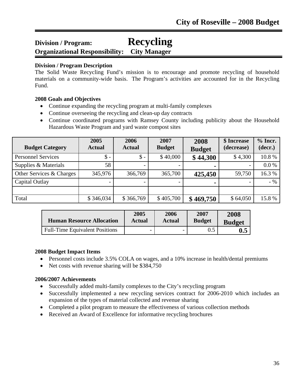## **Division / Program: Recycling Organizational Responsibility: City Manager**

#### **Division / Program Description**

l

The Solid Waste Recycling Fund's mission is to encourage and promote recycling of household materials on a community-wide basis. The Program's activities are accounted for in the Recycling Fund.

#### **2008 Goals and Objectives**

- Continue expanding the recycling program at multi-family complexes
- Continue overseeing the recycling and clean-up day contracts
- Continue coordinated programs with Ramsey County including publicity about the Household Hazardous Waste Program and yard waste compost sites

| <b>Budget Category</b>    | 2005<br><b>Actual</b> | 2006<br><b>Actual</b> | 2007<br><b>Budget</b> | 2008<br><b>Budget</b> | \$ Increase<br>(decrease) | $%$ Incr.<br>(decr.) |
|---------------------------|-----------------------|-----------------------|-----------------------|-----------------------|---------------------------|----------------------|
| <b>Personnel Services</b> | $\mathsf{\$}$ -       | $\mathsf{\$}$ -       | \$40,000              | \$44,300              | \$4,300                   | 10.8%                |
| Supplies & Materials      | 58                    |                       |                       | ۰                     |                           | 0.0 %                |
| Other Services & Charges  | 345,976               | 366,769               | 365,700               | 425,450               | 59,750                    | 16.3%                |
| Capital Outlay            |                       |                       |                       | -                     |                           | $-9/0$               |
|                           |                       |                       |                       |                       |                           |                      |
| Total                     | \$346,034             | \$366,769             | \$405,700             | \$469,750             | \$64,050                  | 15.8%                |

| <b>Human Resource Allocation</b>      | 2005   | 2006                     | 2007          | 2008           |
|---------------------------------------|--------|--------------------------|---------------|----------------|
|                                       | Actual | Actual                   | <b>Budget</b> | <b>Budget</b>  |
| <b>Full-Time Equivalent Positions</b> | -      | $\overline{\phantom{0}}$ |               | $\mathbf{0.5}$ |

#### **2008 Budget Impact Items**

- Personnel costs include 3.5% COLA on wages, and a 10% increase in health/dental premiums
- Net costs with revenue sharing will be \$384,750

- Successfully added multi-family complexes to the City's recycling program
- Successfully implemented a new recycling services contract for 2006-2010 which includes an expansion of the types of material collected and revenue sharing
- Completed a pilot program to measure the effectiveness of various collection methods
- Received an Award of Excellence for informative recycling brochures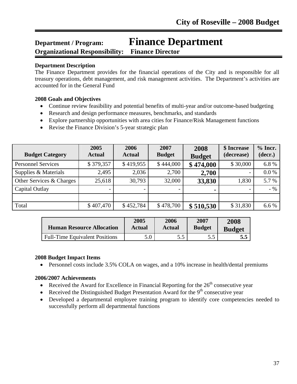## **Department / Program: Finance Department Organizational Responsibility: Finance Director**

#### **Department Description**

l

The Finance Department provides for the financial operations of the City and is responsible for all treasury operations, debt management, and risk management activities. The Department's activities are accounted for in the General Fund

#### **2008 Goals and Objectives**

- Continue review feasibility and potential benefits of multi-year and/or outcome-based budgeting
- Research and design performance measures, benchmarks, and standards
- Explore partnership opportunities with area cities for Finance/Risk Management functions
- Revise the Finance Division's 5-year strategic plan

| <b>Budget Category</b>    | 2005<br><b>Actual</b> | 2006<br><b>Actual</b> | 2007<br><b>Budget</b> | 2008<br><b>Budget</b> | \$ Increase<br>(decrease) | $%$ Incr.<br>(decr.) |
|---------------------------|-----------------------|-----------------------|-----------------------|-----------------------|---------------------------|----------------------|
| <b>Personnel Services</b> | \$379,357             | \$419,955             | \$444,000             | \$474,000             | \$30,000                  | 6.8%                 |
| Supplies & Materials      | 2,495                 | 2,036                 | 2,700                 | 2,700                 |                           | 0.0 %                |
| Other Services & Charges  | 25,618                | 30,793                | 32,000                | 33,830                | 1,830                     | 5.7 %                |
| Capital Outlay            |                       |                       |                       |                       |                           | $-9/0$               |
|                           |                       |                       |                       |                       |                           |                      |
| Total                     | \$407,470             | \$452,784             | \$478,700             | \$510,530             | \$31,830                  | 6.6 %                |

| <b>Human Resource Allocation</b>      | 2005   | 2006          | 2007          | 2008          |
|---------------------------------------|--------|---------------|---------------|---------------|
|                                       | Actual | <b>Actual</b> | <b>Budget</b> | <b>Budget</b> |
| <b>Full-Time Equivalent Positions</b> | 5.0    | 5.5           |               | 5.5           |

#### **2008 Budget Impact Items**

• Personnel costs include 3.5% COLA on wages, and a 10% increase in health/dental premiums

- Received the Award for Excellence in Financial Reporting for the  $26<sup>th</sup>$  consecutive year
- Received the Distinguished Budget Presentation Award for the  $9<sup>th</sup>$  consecutive year
- Developed a departmental employee training program to identify core competencies needed to successfully perform all departmental functions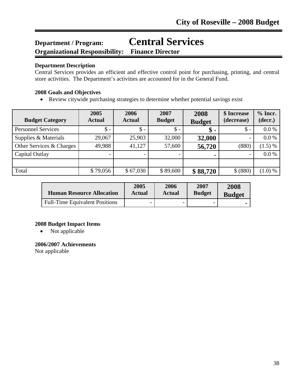## **Department / Program: Central Services Organizational Responsibility: Finance Director**

#### **Department Description**

l

Central Services provides an efficient and effective control point for purchasing, printing, and central store activities. The Department's activities are accounted for in the General Fund.

#### **2008 Goals and Objectives**

• Review citywide purchasing strategies to determine whether potential savings exist

| <b>Budget Category</b>    | 2005<br><b>Actual</b> | 2006<br><b>Actual</b> | 2007<br><b>Budget</b> | 2008<br><b>Budget</b> | \$ Increase<br>(decrease) | $%$ Incr.<br>(decr.) |
|---------------------------|-----------------------|-----------------------|-----------------------|-----------------------|---------------------------|----------------------|
| <b>Personnel Services</b> | $\mathsf{\$}$ -       | $\mathsf{\$}$ -       | $\mathsf{\$}$ -       | \$                    | $\mathsf{\$}$ -           | 0.0 %                |
| Supplies & Materials      | 29,067                | 25,903                | 32,000                | 32,000                | $\overline{\phantom{a}}$  | 0.0 %                |
| Other Services & Charges  | 49,988                | 41,127                | 57,600                | 56,720                | (880)                     | $(1.5) \%$           |
| Capital Outlay            |                       |                       |                       |                       | $\overline{\phantom{a}}$  | 0.0 %                |
|                           |                       |                       |                       |                       |                           |                      |
| Total                     | \$79,056              | \$67,030              | \$89,600              | \$88,720              | \$ (880)                  | (1.0) %              |

| <b>Human Resource Allocation</b>      | 2005   | 2006          | 2007          | 2008          |
|---------------------------------------|--------|---------------|---------------|---------------|
|                                       | Actual | <b>Actual</b> | <b>Budget</b> | <b>Budget</b> |
| <b>Full-Time Equivalent Positions</b> |        |               | -             |               |

#### **2008 Budget Impact Items**

• Not applicable

#### **2006/2007 Achievements**

Not applicable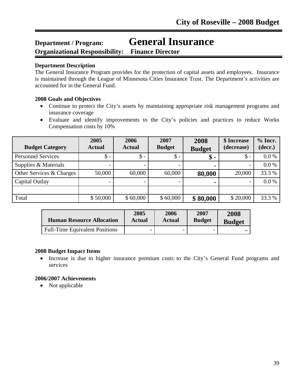# **Department / Program: General Insurance**

**Organizational Responsibility: Finance Director**

#### **Department Description**

l

The General Insurance Program provides for the protection of capital assets and employees. Insurance is maintained through the League of Minnesota Cities Insurance Trust. The Department's activities are accounted for in the General Fund.

#### **2008 Goals and Objectives**

- Continue to protect the City's assets by maintaining appropriate risk management programs and insurance coverage
- Evaluate and identify improvements to the City's policies and practices to reduce Works Compensation costs by 10%

| <b>Budget Category</b>    | 2005<br><b>Actual</b>    | 2006<br><b>Actual</b> | 2007<br><b>Budget</b> | 2008<br><b>Budget</b> | \$ Increase<br>(decrease) | $%$ Incr.<br>(decr.) |
|---------------------------|--------------------------|-----------------------|-----------------------|-----------------------|---------------------------|----------------------|
| <b>Personnel Services</b> | \$ -                     | $\mathsf{\$}$ -       | \$ -                  | \$ -                  | $\mathbb{S}$ -            | $0.0\%$              |
| Supplies & Materials      |                          |                       |                       | ٠                     | -                         | $0.0\%$              |
| Other Services & Charges  | 50,000                   | 60,000                | 60,000                | 80,000                | 20,000                    | 33.3 %               |
| Capital Outlay            | $\overline{\phantom{0}}$ |                       |                       |                       | $\overline{\phantom{0}}$  | 0.0 %                |
|                           |                          |                       |                       |                       |                           |                      |
| Total                     | \$50,000                 | \$60,000              | \$60,000              | \$80,000              | \$20,000                  | 33.3 %               |

| <b>Human Resource Allocation</b>      | 2005   | 2006          | 2007                     | 2008          |
|---------------------------------------|--------|---------------|--------------------------|---------------|
|                                       | Actual | <b>Actual</b> | <b>Budget</b>            | <b>Budget</b> |
| <b>Full-Time Equivalent Positions</b> |        |               | $\overline{\phantom{0}}$ |               |

#### **2008 Budget Impact Items**

• Increase is due to higher insurance premium costs to the City's General Fund programs and services

#### **2006/2007 Achievements**

• Not applicable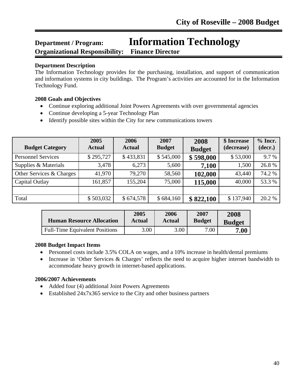## **Department / Program: Information Technology Organizational Responsibility: Finance Director**

#### **Department Description**

l

The Information Technology provides for the purchasing, installation, and support of communication and information systems in city buildings. The Program's activities are accounted for in the Information Technology Fund.

#### **2008 Goals and Objectives**

- Continue exploring additional Joint Powers Agreements with over governmental agencies
- Continue developing a 5-year Technology Plan
- Identify possible sites within the City for new communications towers

| <b>Budget Category</b>    | 2005<br><b>Actual</b> | 2006<br><b>Actual</b> | 2007<br><b>Budget</b> | 2008<br><b>Budget</b> | \$ Increase<br>(decrease) | $%$ Incr.<br>(decr.) |
|---------------------------|-----------------------|-----------------------|-----------------------|-----------------------|---------------------------|----------------------|
| <b>Personnel Services</b> | \$295,727             | \$433,831             | \$545,000             | \$598,000             | \$53,000                  | 9.7%                 |
| Supplies & Materials      | 3,478                 | 6,273                 | 5,600                 | 7,100                 | 1,500                     | 26.8%                |
| Other Services & Charges  | 41,970                | 79,270                | 58,560                | 102,000               | 43,440                    | 74.2 %               |
| Capital Outlay            | 161,857               | 155,204               | 75,000                | 115,000               | 40,000                    | 53.3%                |
|                           |                       |                       |                       |                       |                           |                      |
| Total                     | \$503,032             | \$674,578             | \$684,160             | \$822,100             | \$137,940                 | 20.2 %               |

| <b>Human Resource Allocation</b>      | 2005   | 2006   | 2007          | 2008          |
|---------------------------------------|--------|--------|---------------|---------------|
|                                       | Actual | Actual | <b>Budget</b> | <b>Budget</b> |
| <b>Full-Time Equivalent Positions</b> | 3.00   | 3.00   | 7.00          | $\bf 7.00$    |

#### **2008 Budget Impact Items**

- Personnel costs include 3.5% COLA on wages, and a 10% increase in health/dental premiums
- Increase in 'Other Services & Charges' reflects the need to acquire higher internet bandwidth to accommodate heavy growth in internet-based applications.

- Added four (4) additional Joint Powers Agreements
- Established 24x7x365 service to the City and other business partners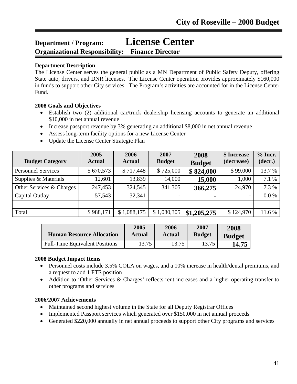## **Department / Program: License Center**

**Organizational Responsibility: Finance Director**

#### **Department Description**

l

The License Center serves the general public as a MN Department of Public Safety Deputy, offering State auto, drivers, and DNR licenses. The License Center operation provides approximately \$160,000 in funds to support other City services. The Program's activities are accounted for in the License Center Fund.

#### **2008 Goals and Objectives**

- Establish two (2) additional car/truck dealership licensing accounts to generate an additional \$10,000 in net annual revenue
- Increase passport revenue by 3% generating an additional \$8,000 in net annual revenue
- Assess long-term facility options for a new License Center
- Update the License Center Strategic Plan

| <b>Budget Category</b>    | 2005<br><b>Actual</b> | 2006<br><b>Actual</b> | 2007<br><b>Budget</b> | 2008<br><b>Budget</b> | \$ Increase<br>(decrease) | $%$ Incr.<br>(decr.) |
|---------------------------|-----------------------|-----------------------|-----------------------|-----------------------|---------------------------|----------------------|
| <b>Personnel Services</b> | \$670,573             | \$717,448             | \$725,000             | \$824,000             | \$99,000                  | 13.7 %               |
| Supplies & Materials      | 12,601                | 13,839                | 14,000                | 15,000                | 1,000                     | 7.1 %                |
| Other Services & Charges  | 247,453               | 324,545               | 341,305               | 366,275               | 24,970                    | 7.3 %                |
| Capital Outlay            | 57,543                | 32,341                |                       | $\blacksquare$        | $\overline{\phantom{a}}$  | 0.0 %                |
|                           |                       |                       |                       |                       |                           |                      |
| Total                     | \$988,171             | \$1,088,175           | \$1,080,305           | \$1,205,275           | \$124,970                 | 11.6%                |

| <b>Human Resource Allocation</b>      | 2005   | 2006          | 2007          | 2008          |
|---------------------------------------|--------|---------------|---------------|---------------|
|                                       | Actual | <b>Actual</b> | <b>Budget</b> | <b>Budget</b> |
| <b>Full-Time Equivalent Positions</b> | 13.75  | 13.75         | 13.75         | 14.75         |

#### **2008 Budget Impact Items**

- Personnel costs include 3.5% COLA on wages, and a 10% increase in health/dental premiums, and a request to add 1 FTE position
- Addition to 'Other Services & Charges' reflects rent increases and a higher operating transfer to other programs and services

- Maintained second highest volume in the State for all Deputy Registrar Offices
- Implemented Passport services which generated over \$150,000 in net annual proceeds
- Generated \$220,000 annually in net annual proceeds to support other City programs and services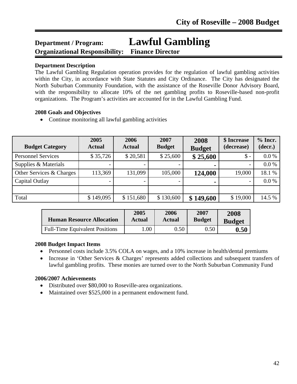## **Department / Program: Lawful Gambling Organizational Responsibility: Finance Director**

#### **Department Description**

l

The Lawful Gambling Regulation operation provides for the regulation of lawful gambling activities within the City, in accordance with State Statutes and City Ordinance. The City has designated the North Suburban Community Foundation, with the assistance of the Roseville Donor Advisory Board, with the responsibility to allocate 10% of the net gambling profits to Roseville-based non-profit organizations. The Program's activities are accounted for in the Lawful Gambling Fund.

#### **2008 Goals and Objectives**

• Continue monitoring all lawful gambling activities

| <b>Budget Category</b>    | 2005<br><b>Actual</b> | 2006<br><b>Actual</b> | 2007<br><b>Budget</b> | 2008<br><b>Budget</b> | \$ Increase<br>(decrease) | $%$ Incr.<br>(decr.) |
|---------------------------|-----------------------|-----------------------|-----------------------|-----------------------|---------------------------|----------------------|
| <b>Personnel Services</b> | \$35,726              | \$20,581              | \$25,600              | \$25,600              | $\mathcal{S}$ -           | $0.0\%$              |
| Supplies & Materials      |                       |                       |                       |                       |                           | 0.0 %                |
| Other Services & Charges  | 113,369               | 131,099               | 105,000               | 124,000               | 19,000                    | 18.1 %               |
| Capital Outlay            |                       |                       |                       |                       |                           | 0.0 %                |
|                           |                       |                       |                       |                       |                           |                      |
| Total                     | \$149,095             | \$151,680             | \$130,600             | \$149,600             | \$19,000                  | 14.5 %               |

| <b>Human Resource Allocation</b>      | 2005   | 2006   | 2007          | 2008          |
|---------------------------------------|--------|--------|---------------|---------------|
|                                       | Actual | Actual | <b>Budget</b> | <b>Budget</b> |
| <b>Full-Time Equivalent Positions</b> | .00    | 0.50   | 0.50          | $0.50\,$      |

#### **2008 Budget Impact Items**

- Personnel costs include 3.5% COLA on wages, and a 10% increase in health/dental premiums
- Increase in 'Other Services & Charges' represents added collections and subsequent transfers of lawful gambling profits. These monies are turned over to the North Suburban Community Fund

- Distributed over \$80,000 to Roseville-area organizations.
- Maintained over \$525,000 in a permanent endowment fund.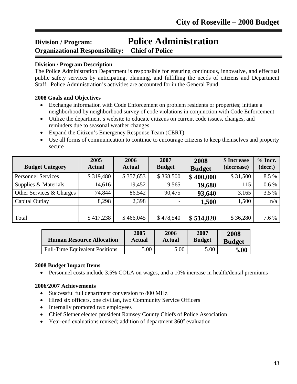## **Division / Program: Police Administration Organizational Responsibility: Chief of Police**

#### **Division / Program Description**

The Police Administration Department is responsible for ensuring continuous, innovative, and effectual public safety services by anticipating, planning, and fulfilling the needs of citizens and Department Staff. Police Administration's activities are accounted for in the General Fund.

#### **2008 Goals and Objectives**

- Exchange information with Code Enforcement on problem residents or properties; initiate a neighborhood by neighborhood survey of code violations in conjunction with Code Enforcement
- Utilize the department's website to educate citizens on current code issues, changes, and reminders due to seasonal weather changes
- Expand the Citizen's Emergency Response Team (CERT)
- Use all forms of communication to continue to encourage citizens to keep themselves and property secure

| <b>Budget Category</b>    | 2005<br><b>Actual</b> | 2006<br><b>Actual</b> | 2007<br><b>Budget</b> | 2008<br><b>Budget</b> | \$ Increase<br>(decrease) | $%$ Incr.<br>(decr.) |
|---------------------------|-----------------------|-----------------------|-----------------------|-----------------------|---------------------------|----------------------|
| <b>Personnel Services</b> | \$319,480             | \$357,653             | \$368,500             | \$400,000             | \$31,500                  | 8.5 %                |
| Supplies & Materials      | 14,616                | 19,452                | 19,565                | 19,680                | 115                       | $0.6\%$              |
| Other Services & Charges  | 74,844                | 86,542                | 90,475                | 93,640                | 3,165                     | 3.5 %                |
| Capital Outlay            | 8,298                 | 2,398                 |                       | 1,500                 | 1,500                     | n/a                  |
|                           |                       |                       |                       |                       |                           |                      |
| Total                     | \$417,238             | \$466,045             | \$478,540             | \$514,820             | \$36,280                  | 7.6 %                |

| <b>Human Resource Allocation</b>      | 2005          | 2006          | 2007          | 2008          |
|---------------------------------------|---------------|---------------|---------------|---------------|
|                                       | <b>Actual</b> | <b>Actual</b> | <b>Budget</b> | <b>Budget</b> |
| <b>Full-Time Equivalent Positions</b> | 5.00          | 5.00          | 5.00          | 5.00          |

#### **2008 Budget Impact Items**

• Personnel costs include 3.5% COLA on wages, and a 10% increase in health/dental premiums

- Successful full department conversion to 800 MHz
- Hired six officers, one civilian, two Community Service Officers
- Internally promoted two employees
- Chief Sletner elected president Ramsey County Chiefs of Police Association
- Year-end evaluations revised; addition of department  $360^\circ$  evaluation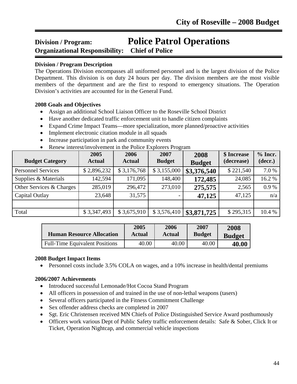### **Division / Program: Police Patrol Operations Organizational Responsibility: Chief of Police** ī

#### **Division / Program Description**

The Operations Division encompasses all uniformed personnel and is the largest division of the Police Department. This division is on duty 24 hours per day. The division members are the most visible members of the department and are the first to respond to emergency situations. The Operation Division's activities are accounted for in the General Fund.

#### **2008 Goals and Objectives**

- Assign an additional School Liaison Officer to the Roseville School District
- Have another dedicated traffic enforcement unit to handle citizen complaints
- Expand Crime Impact Teams—more specialization, more planned/proactive activities
- Implement electronic citation module in all squads
- Increase participation in park and community events
- Renew interest/involvement in the Police Explorers Program

| <b>Budget Category</b>    | 2005<br><b>Actual</b> | 2006<br><b>Actual</b> | 2007<br><b>Budget</b> | 2008<br><b>Budget</b> | \$ Increase<br>(decrease) | $%$ Incr.<br>(decr.) |
|---------------------------|-----------------------|-----------------------|-----------------------|-----------------------|---------------------------|----------------------|
| <b>Personnel Services</b> | \$2,896,232           | \$3,176,768           | \$3,155,000           | \$3,376,540           | \$221,540                 | 7.0 %                |
| Supplies & Materials      | 142,594               | 171,095               | 148,400               | 172,485               | 24,085                    | 16.2 %               |
| Other Services & Charges  | 285,019               | 296,472               | 273,010               | 275,575               | 2,565                     | 0.9%                 |
| Capital Outlay            | 23,648                | 31,575                |                       | 47,125                | 47,125                    | n/a                  |
|                           |                       |                       |                       |                       |                           |                      |
| Total                     | \$3,347,493           | \$3,675,910           | \$3,576,410           | \$3,871,725           | \$295,315                 | 10.4 %               |

| <b>Human Resource Allocation</b>      | 2005   | 2006          | 2007          | 2008          |
|---------------------------------------|--------|---------------|---------------|---------------|
|                                       | Actual | <b>Actual</b> | <b>Budget</b> | <b>Budget</b> |
| <b>Full-Time Equivalent Positions</b> | 40.00  | 40.00         | 40.00         | 40.00         |

#### **2008 Budget Impact Items**

• Personnel costs include 3.5% COLA on wages, and a 10% increase in health/dental premiums

- Introduced successful Lemonade/Hot Cocoa Stand Program
- All officers in possession of and trained in the use of non-lethal weapons (tasers)
- Several officers participated in the Fitness Commitment Challenge
- Sex offender address checks are completed in 2007
- Sgt. Eric Christensen received MN Chiefs of Police Distinguished Service Award posthumously
- Officers work various Dept of Public Safety traffic enforcement details: Safe & Sober, Click It or Ticket, Operation Nightcap, and commercial vehicle inspections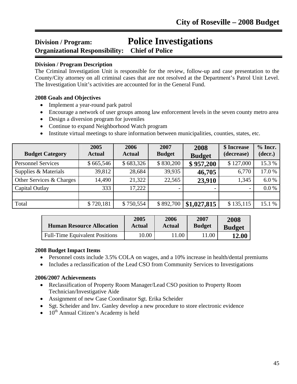## **Division / Program: Police Investigations Organizational Responsibility: Chief of Police**

#### **Division / Program Description**

ī

The Criminal Investigation Unit is responsible for the review, follow-up and case presentation to the County/City attorney on all criminal cases that are not resolved at the Department's Patrol Unit Level. The Investigation Unit's activities are accounted for in the General Fund.

#### **2008 Goals and Objectives**

- Implement a year-round park patrol
- Encourage a network of user groups among law enforcement levels in the seven county metro area
- Design a diversion program for juveniles
- Continue to expand Neighborhood Watch program
- Institute virtual meetings to share information between municipalities, counties, states, etc.

| <b>Budget Category</b>    | 2005<br><b>Actual</b> | 2006<br><b>Actual</b> | 2007<br><b>Budget</b> | 2008<br><b>Budget</b> | \$ Increase<br>(decrease)    | $%$ Incr.<br>(decr.) |
|---------------------------|-----------------------|-----------------------|-----------------------|-----------------------|------------------------------|----------------------|
| <b>Personnel Services</b> | \$665,546             | \$683,326             | \$830,200             | \$957,200             | \$127,000                    | 15.3 %               |
| Supplies & Materials      | 39,812                | 28,684                | 39,935                | 46,705                | 6,770                        | 17.0%                |
| Other Services & Charges  | 14,490                | 21,322                | 22,565                | 23,910                | 1,345                        | 6.0%                 |
| Capital Outlay            | 333                   | 17,222                |                       |                       | $\qquad \qquad \blacksquare$ | 0.0 %                |
|                           |                       |                       |                       |                       |                              |                      |
| Total                     | \$720,181             | \$750,554             | \$892,700             | \$1,027,815           | \$135,115                    | 15.1 %               |

| <b>Human Resource Allocation</b>      | 2005   | 2006          | 2007          | 2008          |
|---------------------------------------|--------|---------------|---------------|---------------|
|                                       | Actual | <b>Actual</b> | <b>Budget</b> | <b>Budget</b> |
| <b>Full-Time Equivalent Positions</b> | 10.00  | .00           | 11.00         | <b>12.00</b>  |

#### **2008 Budget Impact Items**

- Personnel costs include 3.5% COLA on wages, and a 10% increase in health/dental premiums
- Includes a reclassification of the Lead CSO from Community Services to Investigations

- Reclassification of Property Room Manager/Lead CSO position to Property Room Technician/Investigative Aide
- Assignment of new Case Coordinator Sgt. Erika Scheider
- Sgt. Scheider and Inv. Ganley develop a new procedure to store electronic evidence
- $10^{th}$  Annual Citizen's Academy is held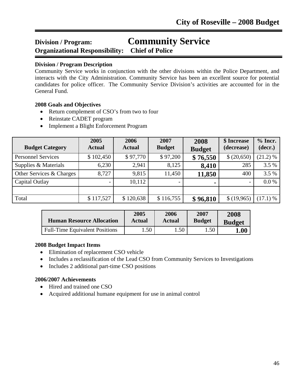## **Division / Program: Community Service Organizational Responsibility: Chief of Police**

#### **Division / Program Description**

ī

Community Service works in conjunction with the other divisions within the Police Department, and interacts with the City Administration. Community Service has been an excellent source for potential candidates for police officer. The Community Service Division's activities are accounted for in the General Fund.

#### **2008 Goals and Objectives**

- Return complement of CSO's from two to four
- Reinstate CADET program
- Implement a Blight Enforcement Program

| <b>Budget Category</b>    | 2005<br><b>Actual</b> | 2006<br><b>Actual</b> | 2007<br><b>Budget</b> | 2008<br><b>Budget</b> | \$ Increase<br>(decrease) | $%$ Incr.<br>(decr.) |
|---------------------------|-----------------------|-----------------------|-----------------------|-----------------------|---------------------------|----------------------|
| <b>Personnel Services</b> | \$102,450             | \$97,770              | \$97,200              | \$76,550              | \$ (20,650)               | (21.2) %             |
| Supplies & Materials      | 6,230                 | 2,941                 | 8,125                 | 8,410                 | 285                       | 3.5 %                |
| Other Services & Charges  | 8,727                 | 9,815                 | 11,450                | 11,850                | 400                       | 3.5 %                |
| Capital Outlay            |                       | 10,112                |                       |                       | $\overline{\phantom{a}}$  | $0.0\%$              |
|                           |                       |                       |                       |                       |                           |                      |
| Total                     | \$117,527             | \$120,638             | \$116,755             | \$96,810              | \$(19,965)                | $(17.1)$ %           |

| <b>Human Resource Allocation</b>      | 2005   | 2006             | 2007          | 2008          |
|---------------------------------------|--------|------------------|---------------|---------------|
|                                       | Actual | <b>Actual</b>    | <b>Budget</b> | <b>Budget</b> |
| <b>Full-Time Equivalent Positions</b> | .50    | .50 <sup>°</sup> | 1.50          | ${\bf 1.00}$  |

#### **2008 Budget Impact Items**

- Elimination of replacement CSO vehicle
- Includes a reclassification of the Lead CSO from Community Services to Investigations
- Includes 2 additional part-time CSO positions

- Hired and trained one CSO
- Acquired additional humane equipment for use in animal control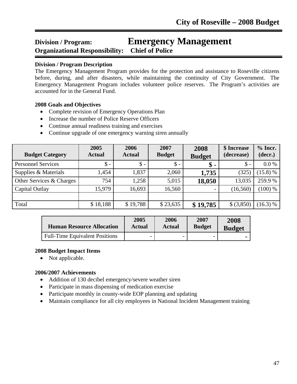### **Division / Program: Emergency Management Organizational Responsibility: Chief of Police** ī

#### **Division / Program Description**

The Emergency Management Program provides for the protection and assistance to Roseville citizens before, during, and after disasters, while maintaining the continuity of City Government. The Emergency Management Program includes volunteer police reserves. The Program's activities are accounted for in the General Fund.

#### **2008 Goals and Objectives**

- Complete revision of Emergency Operations Plan
- Increase the number of Police Reserve Officers
- Continue annual readiness training and exercises
- Continue upgrade of one emergency warning siren annually

| <b>Budget Category</b>    | 2005<br><b>Actual</b> | 2006<br><b>Actual</b> | 2007<br><b>Budget</b> | 2008<br><b>Budget</b> | \$ Increase<br>(decrease) | $%$ Incr.<br>(decr.) |
|---------------------------|-----------------------|-----------------------|-----------------------|-----------------------|---------------------------|----------------------|
| <b>Personnel Services</b> | $\$ -                 | $\mathsf{\$}$ -       | $\$\,$                | \$                    | $\mathsf{\$}$ -           | $0.0\%$              |
| Supplies & Materials      | 1,454                 | 1,837                 | 2,060                 | 1,735                 | (325)                     | (15.8) %             |
| Other Services & Charges  | 754                   | 1,258                 | 5,015                 | 18,050                | 13,035                    | 259.9%               |
| Capital Outlay            | 15,979                | 16,693                | 16,560                |                       | (16, 560)                 | (100) %              |
|                           |                       |                       |                       |                       |                           |                      |
| Total                     | \$18,188              | \$19,788              | \$23,635              | \$19,785              | \$ (3,850)                | (16.3) %             |

| <b>Human Resource Allocation</b>      | 2005          | 2006          | 2007          | 2008          |
|---------------------------------------|---------------|---------------|---------------|---------------|
|                                       | <b>Actual</b> | <b>Actual</b> | <b>Budget</b> | <b>Budget</b> |
| <b>Full-Time Equivalent Positions</b> | -             |               |               |               |

#### **2008 Budget Impact Items**

• Not applicable.

- Addition of 130 decibel emergency/severe weather siren
- Participate in mass dispensing of medication exercise
- Participate monthly in county-wide EOP planning and updating
- Maintain compliance for all city employees in National Incident Management training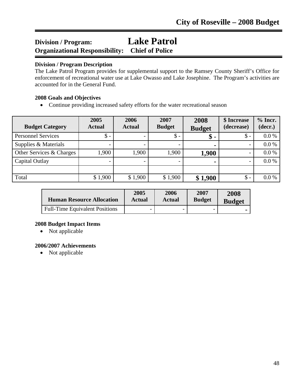## **Division / Program: Lake Patrol Organizational Responsibility: Chief of Police**

#### **Division / Program Description**

ī

The Lake Patrol Program provides for supplemental support to the Ramsey County Sheriff's Office for enforcement of recreational water use at Lake Owasso and Lake Josephine. The Program's activities are accounted for in the General Fund.

#### **2008 Goals and Objectives**

• Continue providing increased safety efforts for the water recreational season

| <b>Budget Category</b>    | 2005<br><b>Actual</b> | 2006<br><b>Actual</b> | 2007<br><b>Budget</b> | 2008<br><b>Budget</b> | \$ Increase<br>(decrease) | $%$ Incr.<br>(decr.) |
|---------------------------|-----------------------|-----------------------|-----------------------|-----------------------|---------------------------|----------------------|
| <b>Personnel Services</b> | $\$ -                 |                       | $\mathsf{\$}$ -       | \$ -                  | $\mathsf{\$}$ -           | 0.0 %                |
| Supplies & Materials      |                       |                       |                       | ۰                     | $\overline{\phantom{0}}$  | 0.0 %                |
| Other Services & Charges  | 1,900                 | 1,900                 | 1,900                 | 1,900                 |                           | 0.0 %                |
| Capital Outlay            |                       |                       |                       |                       | $\overline{\phantom{0}}$  | 0.0 %                |
|                           |                       |                       |                       |                       |                           |                      |
| Total                     | \$1,900               | \$1,900               | \$1,900               | \$1,900               | $\$\$ -                   | 0.0 %                |

| <b>Human Resource Allocation</b>      | 2005          | 2006   | 2007          | 2008          |
|---------------------------------------|---------------|--------|---------------|---------------|
|                                       | <b>Actual</b> | Actual | <b>Budget</b> | <b>Budget</b> |
| <b>Full-Time Equivalent Positions</b> | -             |        |               |               |

#### **2008 Budget Impact Items**

• Not applicable

#### **2006/2007 Achievements**

• Not applicable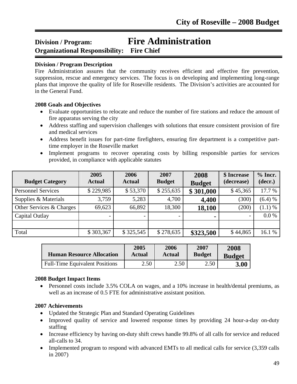### **Division / Program: Fire Administration Organizational Responsibility: Fire Chief** ī

#### **Division / Program Description**

Fire Administration assures that the community receives efficient and effective fire prevention, suppression, rescue and emergency services. The focus is on developing and implementing long-range plans that improve the quality of life for Roseville residents. The Division's activities are accounted for in the General Fund.

#### **2008 Goals and Objectives**

- Evaluate opportunities to relocate and reduce the number of fire stations and reduce the amount of fire apparatus serving the city
- Address staffing and supervision challenges with solutions that ensure consistent provision of fire and medical services
- Address benefit issues for part-time firefighters, ensuring fire department is a competitive parttime employer in the Roseville market
- Implement programs to recover operating costs by billing responsible parties for services provided, in compliance with applicable statutes

| <b>Budget Category</b>    | 2005<br><b>Actual</b>    | 2006<br><b>Actual</b> | 2007<br><b>Budget</b> | 2008<br><b>Budget</b> | \$ Increase<br>(decrease) | $%$ Incr.<br>(decr.) |
|---------------------------|--------------------------|-----------------------|-----------------------|-----------------------|---------------------------|----------------------|
| <b>Personnel Services</b> | \$229,985                | \$53,370              | \$255,635             | \$301,000             | \$45,365                  | 17.7 %               |
| Supplies & Materials      | 3,759                    | 5,283                 | 4,700                 | 4,400                 | (300)                     | (6.4) %              |
| Other Services & Charges  | 69,623                   | 66,892                | 18,300                | 18,100                | (200)                     | $(1.1)$ %            |
| Capital Outlay            | $\overline{\phantom{0}}$ |                       |                       | $\blacksquare$        | $\overline{\phantom{a}}$  | 0.0 %                |
|                           |                          |                       |                       |                       |                           |                      |
| Total                     | \$303,367                | \$325,545             | \$278,635             | \$323,500             | \$44,865                  | 16.1 %               |

| <b>Human Resource Allocation</b>      | 2005   | 2006          | 2007          | 2008          |
|---------------------------------------|--------|---------------|---------------|---------------|
|                                       | Actual | <b>Actual</b> | <b>Budget</b> | <b>Budget</b> |
| <b>Full-Time Equivalent Positions</b> | 2.50   | 2.50          | 2.50          | 3.00          |

#### **2008 Budget Impact Items**

• Personnel costs include 3.5% COLA on wages, and a 10% increase in health/dental premiums, as well as an increase of 0.5 FTE for administrative assistant position.

- Updated the Strategic Plan and Standard Operating Guidelines
- Improved quality of service and lowered response times by providing 24 hour-a-day on-duty staffing
- Increase efficiency by having on-duty shift crews handle 99.8% of all calls for service and reduced all-calls to 34.
- Implemented program to respond with advanced EMTs to all medical calls for service (3,359 calls in 2007)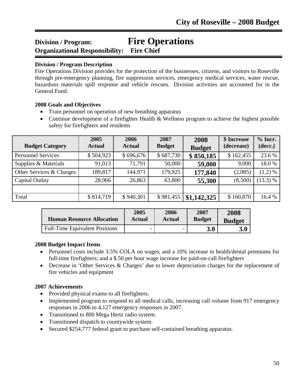### **Division / Program: Fire Operations Organizational Responsibility: Fire Chief** ī

#### **Division / Program Description**

Fire Operations Division provides for the protection of the businesses, citizens, and visitors to Roseville through pre-emergency planning, fire suppression services, emergency medical services, water rescue, hazardous materials spill response and vehicle rescues. Division activities are accounted for in the General Fund.

#### **2008 Goals and Objectives**

- Train personnel on operation of new breathing apparatus
- Continue development of a firefighter Health & Wellness program to achieve the highest possible safety for firefighters and residents

| <b>Budget Category</b>    | 2005<br><b>Actual</b> | 2006<br><b>Actual</b> | 2007<br><b>Budget</b> | 2008<br><b>Budget</b> | \$ Increase<br>(decrease) | $%$ Incr.<br>(decr.) |
|---------------------------|-----------------------|-----------------------|-----------------------|-----------------------|---------------------------|----------------------|
| <b>Personnel Services</b> | \$504,923             | \$696,676             | \$687,730             | \$850,185             | \$162,455                 | 23.6 %               |
| Supplies & Materials      | 91,013                | 71,791                | 50,000                | 59,000                | 9,000                     | 18.0%                |
| Other Services & Charges  | 189,817               | 144,971               | 179,925               | 177,840               | (2,085)                   | (1.2) %              |
| Capital Outlay            | 28,966                | 26,863                | 63,800                | 55,300                | (8,500)                   | (13.3) %             |
|                           |                       |                       |                       |                       |                           |                      |
| Total                     | \$814,719             | \$940,301             | \$981,455             | \$1,142,325           | \$160,870                 | 16.4 %               |

| <b>Human Resource Allocation</b>      | 2005   | 2006   | 2007          | 2008          |
|---------------------------------------|--------|--------|---------------|---------------|
|                                       | Actual | Actual | <b>Budget</b> | <b>Budget</b> |
| <b>Full-Time Equivalent Positions</b> |        |        | 3.0           | 3.0           |

#### **2008 Budget Impact Items**

- Personnel costs include 3.5% COLA on wages, and a 10% increase in health/dental premiums for full-time firefighters; and a \$.50 per hour wage increase for paid-on-call firefighters
- Decrease in 'Other Services & Charges' due to lower depreciation charges for the replacement of fire vehicles and equipment

- Provided physical exams to all firefighters.
- Implemented program to respond to all medical calls, increasing call volume from 917 emergency responses in 2006 to 4,127 emergency responses in 2007.
- Transitioned to 800 Mega Hertz radio system.
- Transitioned dispatch to countywide system.
- Secured \$254,777 federal grant to purchase self-contained breathing apparatus.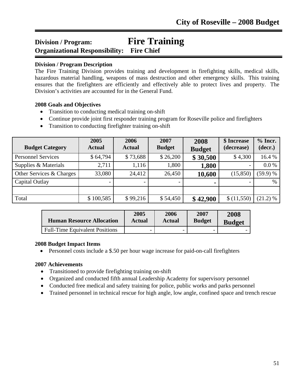### **Division / Program: Fire Training Organizational Responsibility: Fire Chief** ī

#### **Division / Program Description**

The Fire Training Division provides training and development in firefighting skills, medical skills, hazardous material handling, weapons of mass destruction and other emergency skills. This training ensures that the firefighters are efficiently and effectively able to protect lives and property. The Division's activities are accounted for in the General Fund.

#### **2008 Goals and Objectives**

- Transition to conducting medical training on-shift
- Continue provide joint first responder training program for Roseville police and firefighters
- Transition to conducting firefighter training on-shift

| <b>Budget Category</b>    | 2005<br><b>Actual</b> | 2006<br><b>Actual</b> | 2007<br><b>Budget</b> | 2008<br><b>Budget</b> | \$ Increase<br>(decrease) | $%$ Incr.<br>(decr.) |
|---------------------------|-----------------------|-----------------------|-----------------------|-----------------------|---------------------------|----------------------|
| <b>Personnel Services</b> | \$64,794              | \$73,688              | \$26,200              | \$30,500              | \$4,300                   | 16.4 %               |
| Supplies & Materials      | 2,711                 | 1,116                 | 1,800                 | 1,800                 |                           | 0.0 %                |
| Other Services & Charges  | 33,080                | 24,412                | 26,450                | 10,600                | (15, 850)                 | (59.9) %             |
| Capital Outlay            |                       |                       |                       | $\blacksquare$        |                           | $\%$                 |
|                           |                       |                       |                       |                       |                           |                      |
| Total                     | \$100,585             | \$99,216              | \$54,450              | \$42,900              | \$(11,550)                | (21.2) %             |

| <b>Human Resource Allocation</b>      | 2005                     | 2006                     | 2007                     | 2008          |
|---------------------------------------|--------------------------|--------------------------|--------------------------|---------------|
|                                       | Actual                   | Actual                   | <b>Budget</b>            | <b>Budget</b> |
| <b>Full-Time Equivalent Positions</b> | $\overline{\phantom{0}}$ | $\overline{\phantom{0}}$ | $\overline{\phantom{0}}$ |               |

#### **2008 Budget Impact Items**

• Personnel costs include a \$.50 per hour wage increase for paid-on-call firefighters

- Transitioned to provide firefighting training on-shift
- Organized and conducted fifth annual Leadership Academy for supervisory personnel
- Conducted free medical and safety training for police, public works and parks personnel
- Trained personnel in technical rescue for high angle, low angle, confined space and trench rescue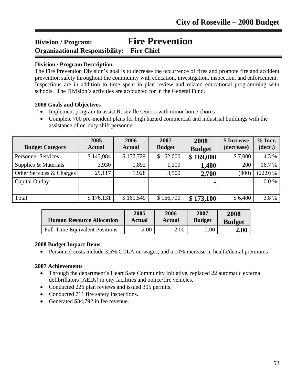### **Division / Program: Fire Prevention Organizational Responsibility: Fire Chief** ī

#### **Division / Program Description**

The Fire Prevention Division's goal is to decrease the occurrence of fires and promote fire and accident prevention safety throughout the community with education, investigation, inspection, and enforcement. Inspections are in addition to time spent in plan review and related educational programming with schools. The Division's activities are accounted for in the General Fund.

#### **2008 Goals and Objectives**

- Implement program to assist Roseville seniors with minor home chores
- Complete 700 pre-incident plans for high hazard commercial and industrial buildings with the assistance of on-duty shift personnel

| <b>Budget Category</b>    | 2005<br><b>Actual</b> | 2006<br><b>Actual</b> | 2007<br><b>Budget</b> | 2008<br><b>Budget</b> | \$ Increase<br>(decrease)    | $%$ Incr.<br>(decr.) |
|---------------------------|-----------------------|-----------------------|-----------------------|-----------------------|------------------------------|----------------------|
| <b>Personnel Services</b> | \$143,084             | \$157,729             | \$162,000             | \$169,000             | \$7,000                      | 4.3 %                |
| Supplies & Materials      | 3,930                 | 1,892                 | 1,200                 | 1,400                 | 200                          | 16.7%                |
| Other Services & Charges  | 29,117                | 1,928                 | 3,500                 | 2,700                 | (800)                        | (22.9) %             |
| Capital Outlay            |                       |                       |                       | ۰                     | $\qquad \qquad \blacksquare$ | 0.0 %                |
|                           |                       |                       |                       |                       |                              |                      |
| Total                     | \$176,131             | \$161,549             | \$166,700             | \$173,100             | \$6,400                      | 3.8%                 |

| <b>Human Resource Allocation</b>      | 2005   | 2006          | 2007          | 2008                |
|---------------------------------------|--------|---------------|---------------|---------------------|
|                                       | Actual | <b>Actual</b> | <b>Budget</b> | <b>Budget</b>       |
| <b>Full-Time Equivalent Positions</b> | 2.00   | 2.00          | 2.00          | $\boldsymbol{2.00}$ |

#### **2008 Budget Impact Items**

• Personnel costs include 3.5% COLA on wages, and a 10% increase in health/dental premiums

- Through the department's Heart Safe Community Initiative, replaced 22 automatic external defibrillators (AEDs) in city facilities and police/fire vehicles.
- Conducted 226 plan reviews and issued 305 permits.
- Conducted 711 fire safety inspections.
- Generated \$34,792 in fee revenue.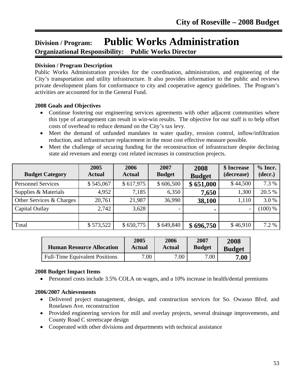## **Division / Program: Public Works Administration Organizational Responsibility: Public Works Director**

#### **Division / Program Description**

l

Public Works Administration provides for the coordination, administration, and engineering of the City's transportation and utility infrastructure. It also provides information to the public and reviews private development plans for conformance to city and cooperative agency guidelines. The Program's activities are accounted for in the General Fund.

#### **2008 Goals and Objectives**

- Continue fostering our engineering services agreements with other adjacent communities where this type of arrangement can result in win-win results. The objective for our staff is to help offset costs of overhead to reduce demand on the City's tax levy.
- Meet the demand of unfunded mandates in water quality, erosion control, inflow/infiltration reduction, and infrastructure replacement in the most cost effective measure possible.
- Meet the challenge of securing funding for the reconstruction of infrastructure despite declining state aid revenues and energy cost related increases in construction projects.

| <b>Budget Category</b>    | 2005<br><b>Actual</b> | 2006<br><b>Actual</b> | 2007<br><b>Budget</b>    | 2008<br><b>Budget</b> | \$ Increase<br>(decrease) | $%$ Incr.<br>(decr.) |
|---------------------------|-----------------------|-----------------------|--------------------------|-----------------------|---------------------------|----------------------|
| <b>Personnel Services</b> | \$545,067             | \$617,975             | \$606,500                | \$651,000             | \$44,500                  | 7.3 %                |
| Supplies & Materials      | 4,952                 | 7,185                 | 6,350                    | 7,650                 | 1,300                     | 20.5 %               |
| Other Services & Charges  | 20,761                | 21,987                | 36,990                   | 38,100                | 1,110                     | 3.0%                 |
| Capital Outlay            | 2,742                 | 3,628                 | $\overline{\phantom{0}}$ | ٠                     | $\overline{\phantom{a}}$  | $(100)$ %            |
|                           |                       |                       |                          |                       |                           |                      |
| Total                     | \$573,522             | \$650,775             | \$649,840                | \$696,750             | \$46,910                  | 7.2 %                |

| <b>Human Resource Allocation</b>      | 2005   | 2006   | 2007          | 2008          |
|---------------------------------------|--------|--------|---------------|---------------|
|                                       | Actual | Actual | <b>Budget</b> | <b>Budget</b> |
| <b>Full-Time Equivalent Positions</b> | 7.00   | 7.00   | 7.00          | 7.00          |

#### **2008 Budget Impact Items**

• Personnel costs include 3.5% COLA on wages, and a 10% increase in health/dental premiums

- Delivered project management, design, and construction services for So. Owasso Blvd. and Roselawn Ave. reconstruction
- Provided engineering services for mill and overlay projects, several drainage improvements, and County Road C streetscape design
- Cooperated with other divisions and departments with technical assistance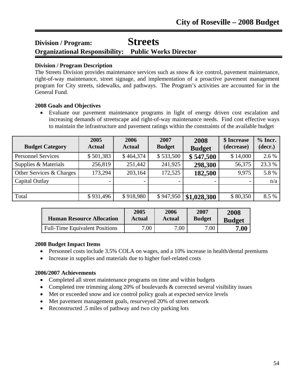## **Division / Program: Streets Organizational Responsibility: Public Works Director**

#### **Division / Program Description**

l

The Streets Division provides maintenance services such as snow & ice control, pavement maintenance, right-of-way maintenance, street signage, and implementation of a proactive pavement management program for City streets, sidewalks, and pathways. The Program's activities are accounted for in the General Fund.

#### **2008 Goals and Objectives**

• Evaluate our pavement maintenance programs in light of energy driven cost escalation and increasing demands of streetscape and right-of-way maintenance needs. Find cost effective ways to maintain the infrastructure and pavement ratings within the constraints of the available budget

| <b>Budget Category</b>    | 2005<br><b>Actual</b> | 2006<br><b>Actual</b> | 2007<br><b>Budget</b> | 2008<br><b>Budget</b> | \$ Increase<br>(decrease) | $%$ Incr.<br>(decr.) |
|---------------------------|-----------------------|-----------------------|-----------------------|-----------------------|---------------------------|----------------------|
| <b>Personnel Services</b> | \$501,383             | \$464,374             | \$533,500             | \$547,500             | \$14,000                  | 2.6 %                |
| Supplies & Materials      | 256,819               | 251,442               | 241,925               | 298,300               | 56,375                    | 23.3 %               |
| Other Services & Charges  | 173,294               | 203,164               | 172,525               | 182,500               | 9,975                     | 5.8%                 |
| Capital Outlay            |                       |                       |                       |                       |                           | n/a                  |
|                           |                       |                       |                       |                       |                           |                      |
| Total                     | \$931,496             | \$918,980             | \$947,950             | \$1,028,300           | \$80,350                  | 8.5 %                |

| <b>Human Resource Allocation</b>      | 2005   | 2006          | 2007          | 2008          |
|---------------------------------------|--------|---------------|---------------|---------------|
|                                       | Actual | <b>Actual</b> | <b>Budget</b> | <b>Budget</b> |
| <b>Full-Time Equivalent Positions</b> | 7.00   | 7.00          | 7.00          | $\bf 7.00$    |

#### **2008 Budget Impact Items**

- Personnel costs include 3.5% COLA on wages, and a 10% increase in health/dental premiums
- Increase in supplies and materials due to higher fuel-related costs

- Completed all street maintenance programs on time and within budgets
- Completed tree trimming along 20% of boulevards & corrected several visibility issues
- Met or exceeded snow and ice control policy goals at expected service levels
- Met pavement management goals, resurveyed 20% of street network
- Reconstructed .5 miles of pathway and two city parking lots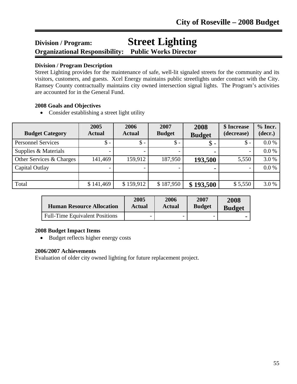## **Division / Program: Street Lighting Organizational Responsibility: Public Works Director**

#### **Division / Program Description**

l

Street Lighting provides for the maintenance of safe, well-lit signaled streets for the community and its visitors, customers, and guests. Xcel Energy maintains public streetlights under contract with the City. Ramsey County contractually maintains city owned intersection signal lights. The Program's activities are accounted for in the General Fund.

#### **2008 Goals and Objectives**

• Consider establishing a street light utility

| <b>Budget Category</b>    | 2005<br><b>Actual</b> | 2006<br><b>Actual</b> | 2007<br><b>Budget</b> | 2008<br><b>Budget</b> | \$ Increase<br>(decrease) | $%$ Incr.<br>(decr.) |
|---------------------------|-----------------------|-----------------------|-----------------------|-----------------------|---------------------------|----------------------|
| <b>Personnel Services</b> | $\$ -                 | $\mathsf{\$}$ -       | $\mathsf{\$}$ -       | $\mathcal{S}$ -       | $\mathcal{S}$ -           | $0.0\%$              |
| Supplies & Materials      |                       |                       |                       | ۰                     | $\overline{\phantom{0}}$  | 0.0 %                |
| Other Services & Charges  | 141,469               | 159,912               | 187,950               | 193,500               | 5,550                     | 3.0%                 |
| Capital Outlay            |                       |                       |                       |                       |                           | 0.0 %                |
|                           |                       |                       |                       |                       |                           |                      |
| Total                     | \$141,469             | \$159,912             | \$187,950             | \$193,500             | \$5,550                   | 3.0%                 |

| <b>Human Resource Allocation</b>      | 2005   | 2006                     | 2007          | 2008          |
|---------------------------------------|--------|--------------------------|---------------|---------------|
|                                       | Actual | Actual                   | <b>Budget</b> | <b>Budget</b> |
| <b>Full-Time Equivalent Positions</b> |        | $\overline{\phantom{0}}$ |               |               |

#### **2008 Budget Impact Items**

• Budget reflects higher energy costs

#### **2006/2007 Achievements**

Evaluation of older city owned lighting for future replacement project.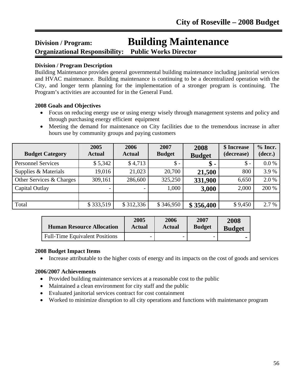# **Division / Program: Building Maintenance**

**Organizational Responsibility: Public Works Director**

#### **Division / Program Description**

l

Building Maintenance provides general governmental building maintenance including janitorial services and HVAC maintenance. Building maintenance is continuing to be a decentralized operation with the City, and longer term planning for the implementation of a stronger program is continuing. The Program's activities are accounted for in the General Fund.

#### **2008 Goals and Objectives**

- Focus on reducing energy use or using energy wisely through management systems and policy and through purchasing energy efficient equipment
- Meeting the demand for maintenance on City facilities due to the tremendous increase in after hours use by community groups and paying customers

| <b>Budget Category</b>    | 2005<br><b>Actual</b> | 2006<br><b>Actual</b>    | 2007<br><b>Budget</b> | 2008<br><b>Budget</b> | \$ Increase<br>(decrease) | $%$ Incr.<br>(decr.) |
|---------------------------|-----------------------|--------------------------|-----------------------|-----------------------|---------------------------|----------------------|
| <b>Personnel Services</b> | \$5,342               | \$4,713                  | $\$\,$                | \$                    | $\$\$ -                   | $0.0\%$              |
| Supplies & Materials      | 19,016                | 21,023                   | 20,700                | 21,500                | 800                       | 3.9%                 |
| Other Services & Charges  | 309,161               | 286,600                  | 325,250               | 331,900               | 6,650                     | 2.0%                 |
| Capital Outlay            |                       | $\overline{\phantom{0}}$ | 1,000                 | 3,000                 | 2,000                     | 200 %                |
|                           |                       |                          |                       |                       |                           |                      |
| Total                     | \$333,519             | \$312,336                | \$346,950             | \$356,400             | \$9,450                   | 2.7 %                |

| <b>Human Resource Allocation</b>      | 2005   | 2006          | 2007          | 2008          |
|---------------------------------------|--------|---------------|---------------|---------------|
|                                       | Actual | <b>Actual</b> | <b>Budget</b> | <b>Budget</b> |
| <b>Full-Time Equivalent Positions</b> | -      |               |               |               |

#### **2008 Budget Impact Items**

• Increase attributable to the higher costs of energy and its impacts on the cost of goods and services

- Provided building maintenance services at a reasonable cost to the public
- Maintained a clean environment for city staff and the public
- Evaluated janitorial services contract for cost containment
- Worked to minimize disruption to all city operations and functions with maintenance program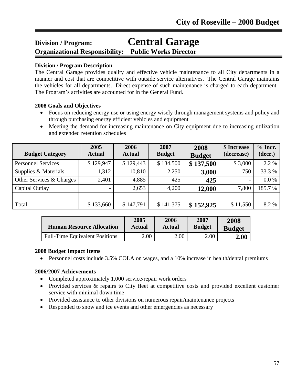# **Division / Program: Central Garage**

**Organizational Responsibility: Public Works Director** 

#### **Division / Program Description**

l

The Central Garage provides quality and effective vehicle maintenance to all City departments in a manner and cost that are competitive with outside service alternatives. The Central Garage maintains the vehicles for all departments. Direct expense of such maintenance is charged to each department. The Program's activities are accounted for in the General Fund.

#### **2008 Goals and Objectives**

- Focus on reducing energy use or using energy wisely through management systems and policy and through purchasing energy efficient vehicles and equipment
- Meeting the demand for increasing maintenance on City equipment due to increasing utilization and extended retention schedules

| <b>Budget Category</b>    | 2005<br><b>Actual</b>    | 2006<br><b>Actual</b> | 2007<br><b>Budget</b> | 2008<br><b>Budget</b> | \$ Increase<br>(decrease) | $%$ Incr.<br>(decr.) |
|---------------------------|--------------------------|-----------------------|-----------------------|-----------------------|---------------------------|----------------------|
| <b>Personnel Services</b> | \$129,947                | \$129,443             | \$134,500             | \$137,500             | \$3,000                   | 2.2 %                |
| Supplies & Materials      | 1,312                    | 10,810                | 2,250                 | 3,000                 | 750                       | 33.3 %               |
| Other Services & Charges  | 2,401                    | 4,885                 | 425                   | 425                   | $\overline{\phantom{a}}$  | 0.0 %                |
| Capital Outlay            | $\overline{\phantom{0}}$ | 2,653                 | 4,200                 | 12,000                | 7,800                     | 185.7%               |
|                           |                          |                       |                       |                       |                           |                      |
| Total                     | \$133,660                | \$147,791             | \$141,375             | \$152,925             | \$11,550                  | 8.2 %                |

| <b>Human Resource Allocation</b>      | 2005   | 2006   | 2007          | 2008          |
|---------------------------------------|--------|--------|---------------|---------------|
|                                       | Actual | Actual | <b>Budget</b> | <b>Budget</b> |
| <b>Full-Time Equivalent Positions</b> | 2.00   | 2.00   | $2.00\,$      | 2.00          |

#### **2008 Budget Impact Items**

• Personnel costs include 3.5% COLA on wages, and a 10% increase in health/dental premiums

- Completed approximately 1,000 service/repair work orders
- Provided services & repairs to City fleet at competitive costs and provided excellent customer service with minimal down time
- Provided assistance to other divisions on numerous repair/maintenance projects
- Responded to snow and ice events and other emergencies as necessary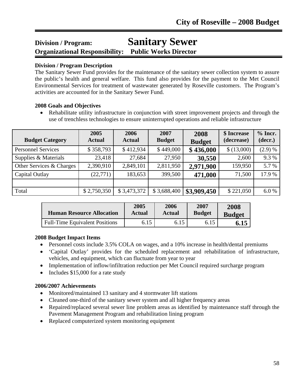## **Division / Program: Sanitary Sewer Organizational Responsibility: Public Works Director**

#### **Division / Program Description**

The Sanitary Sewer Fund provides for the maintenance of the sanitary sewer collection system to assure the public's health and general welfare. This fund also provides for the payment to the Met Council Environmental Services for treatment of wastewater generated by Roseville customers. The Program's activities are accounted for in the Sanitary Sewer Fund.

#### **2008 Goals and Objectives**

• Rehabilitate utility infrastructure in conjunction with street improvement projects and through the use of trenchless technologies to ensure uninterrupted operations and reliable infrastructure

| <b>Budget Category</b>    | 2005<br><b>Actual</b> | 2006<br><b>Actual</b> | 2007<br><b>Budget</b> | 2008<br><b>Budget</b> | \$ Increase<br>(decrease) | $%$ Incr.<br>(decr.) |
|---------------------------|-----------------------|-----------------------|-----------------------|-----------------------|---------------------------|----------------------|
| <b>Personnel Services</b> | \$358,793             | \$412,934             | \$449,000             | \$436,000             | \$(13,000)                | (2.9) %              |
| Supplies & Materials      | 23,418                | 27,684                | 27,950                | 30,550                | 2,600                     | 9.3%                 |
| Other Services & Charges  | 2,390,910             | 2,849,101             | 2,811,950             | 2,971,900             | 159,950                   | 5.7 %                |
| Capital Outlay            | (22, 771)             | 183,653               | 399,500               | 471,000               | 71,500                    | 17.9 %               |
|                           |                       |                       |                       |                       |                           |                      |
| Total                     | \$2,750,350           | \$3,473,372           | \$3,688,400           | \$3,909,450           | \$221,050                 | 6.0%                 |

| <b>Human Resource Allocation</b>      | 2005   | 2006          | 2007          | 2008          |
|---------------------------------------|--------|---------------|---------------|---------------|
|                                       | Actual | <b>Actual</b> | <b>Budget</b> | <b>Budget</b> |
| <b>Full-Time Equivalent Positions</b> | 6.15   | 6.15          | 6.15          | 6.15          |

#### **2008 Budget Impact Items**

- Personnel costs include 3.5% COLA on wages, and a 10% increase in health/dental premiums
- 'Capital Outlay' provides for the scheduled replacement and rehabilitation of infrastructure, vehicles, and equipment, which can fluctuate from year to year
- Implementation of inflow/infiltration reduction per Met Council required surcharge program
- Includes \$15,000 for a rate study

- Monitored/maintained 13 sanitary and 4 stormwater lift stations
- Cleaned one-third of the sanitary sewer system and all higher frequency areas
- Repaired/replaced several sewer line problem areas as identified by maintenance staff through the Pavement Management Program and rehabilitation lining program
- Replaced computerized system monitoring equipment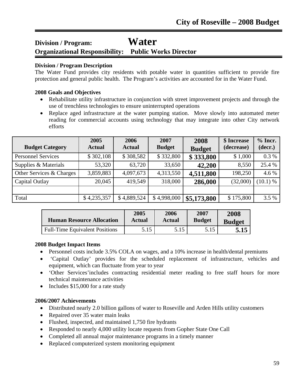### **Division / Program: Water Organizational Responsibility: Public Works Director**

#### **Division / Program Description**

The Water Fund provides city residents with potable water in quantities sufficient to provide fire protection and general public health. The Program's activities are accounted for in the Water Fund.

#### **2008 Goals and Objectives**

l

- Rehabilitate utility infrastructure in conjunction with street improvement projects and through the use of trenchless technologies to ensure uninterrupted operations
- Replace aged infrastructure at the water pumping station. Move slowly into automated meter reading for commercial accounts using technology that may integrate into other City network efforts

| <b>Budget Category</b>    | 2005<br><b>Actual</b> | 2006<br><b>Actual</b> | 2007<br><b>Budget</b> | 2008<br><b>Budget</b> | \$ Increase<br>(decrease) | $%$ Incr.<br>(decr.) |
|---------------------------|-----------------------|-----------------------|-----------------------|-----------------------|---------------------------|----------------------|
| <b>Personnel Services</b> | \$302,108             | \$308,582             | \$332,800             | \$333,800             | \$1,000                   | 0.3%                 |
| Supplies & Materials      | 53,320                | 63,720                | 33,650                | 42,200                | 8,550                     | 25.4 %               |
| Other Services & Charges  | 3,859,883             | 4,097,673             | 4,313,550             | 4,511,800             | 198,250                   | 4.6 %                |
| Capital Outlay            | 20,045                | 419,549               | 318,000               | 286,000               | (32,000)                  | (10.1) %             |
|                           |                       |                       |                       |                       |                           |                      |
| Total                     | \$4,235,357           | \$4,889,524           | \$4,998,000           | \$5,173,800           | \$175,800                 | 3.5 %                |

| <b>Human Resource Allocation</b>      | 2005   | 2006          | 2007          | 2008          |
|---------------------------------------|--------|---------------|---------------|---------------|
|                                       | Actual | <b>Actual</b> | <b>Budget</b> | <b>Budget</b> |
| <b>Full-Time Equivalent Positions</b> | 5.15   | 5.15          | 5.15          | 5.15          |

#### **2008 Budget Impact Items**

- Personnel costs include 3.5% COLA on wages, and a 10% increase in health/dental premiums
- 'Capital Outlay' provides for the scheduled replacement of infrastructure, vehicles and equipment, which can fluctuate from year to year
- 'Other Services'includes contracting residential meter reading to free staff hours for more technical maintenance activities
- Includes \$15,000 for a rate study

- Distributed nearly 2.0 billion gallons of water to Roseville and Arden Hills utility customers
- Repaired over 35 water main leaks
- Flushed, inspected, and maintained 1,750 fire hydrants
- Responded to nearly 4,000 utility locate requests from Gopher State One Call
- Completed all annual major maintenance programs in a timely manner
- Replaced computerized system monitoring equipment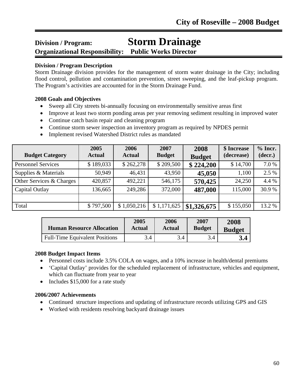# **Division / Program: Storm Drainage**

**Organizational Responsibility: Public Works Director**

#### **Division / Program Description**

l

Storm Drainage division provides for the management of storm water drainage in the City; including flood control, pollution and contamination prevention, street sweeping, and the leaf-pickup program. The Program's activities are accounted for in the Storm Drainage Fund.

#### **2008 Goals and Objectives**

- Sweep all City streets bi-annually focusing on environmentally sensitive areas first
- Improve at least two storm ponding areas per year removing sediment resulting in improved water
- Continue catch basin repair and cleaning program
- Continue storm sewer inspection an inventory program as required by NPDES permit
- Implement revised Watershed District rules as mandated

| <b>Budget Category</b>    | 2005<br><b>Actual</b> | 2006<br><b>Actual</b> | 2007<br><b>Budget</b> | 2008<br><b>Budget</b> | \$ Increase<br>(decrease) | $%$ Incr.<br>(decr.) |
|---------------------------|-----------------------|-----------------------|-----------------------|-----------------------|---------------------------|----------------------|
| <b>Personnel Services</b> | \$189,033             | \$262,278             | \$209,500             | \$224,200             | \$14,700                  | 7.0%                 |
| Supplies & Materials      | 50,949                | 46,431                | 43,950                | 45,050                | 1,100                     | 2.5 %                |
| Other Services & Charges  | 420,857               | 492,221               | 546,175               | 570,425               | 24,250                    | 4.4 %                |
| Capital Outlay            | 136,665               | 249,286               | 372,000               | 487,000               | 115,000                   | 30.9%                |
|                           |                       |                       |                       |                       |                           |                      |
| Total                     | \$797,500             | \$1,050,216           | \$1,171,625           | \$1,326,675           | \$155,050                 | 13.2 %               |

| <b>Human Resource Allocation</b>      | 2005   | 2006   | 2007          | 2008          |
|---------------------------------------|--------|--------|---------------|---------------|
|                                       | Actual | Actual | <b>Budget</b> | <b>Budget</b> |
| <b>Full-Time Equivalent Positions</b> | 3.4    | 3.4    | 3.4           |               |

#### **2008 Budget Impact Items**

- Personnel costs include 3.5% COLA on wages, and a 10% increase in health/dental premiums
- 'Capital Outlay' provides for the scheduled replacement of infrastructure, vehicles and equipment, which can fluctuate from year to year
- Includes \$15,000 for a rate study

- Continued structure inspections and updating of infrastructure records utilizing GPS and GIS
- Worked with residents resolving backyard drainage issues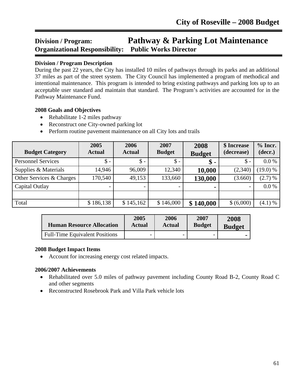### **Division / Program: Pathway & Parking Lot Maintenance Organizational Responsibility: Public Works Director** Ī

#### **Division / Program Description**

During the past 22 years, the City has installed 10 miles of pathways through its parks and an additional 37 miles as part of the street system. The City Council has implemented a program of methodical and intentional maintenance. This program is intended to bring existing pathways and parking lots up to an acceptable user standard and maintain that standard. The Program's activities are accounted for in the Pathway Maintenance Fund.

#### **2008 Goals and Objectives**

- Rehabilitate 1-2 miles pathway
- Reconstruct one City-owned parking lot
- Perform routine pavement maintenance on all City lots and trails

| <b>Budget Category</b>    | 2005<br><b>Actual</b> | 2006<br><b>Actual</b> | 2007<br><b>Budget</b> | 2008<br><b>Budget</b> | \$ Increase<br>(decrease) | $%$ Incr.<br>(decr.) |
|---------------------------|-----------------------|-----------------------|-----------------------|-----------------------|---------------------------|----------------------|
| <b>Personnel Services</b> | $\$ -                 | $\$ -                 | $\$\,$                | \$ -                  | $\mathsf{\$}$ -           | 0.0 %                |
| Supplies & Materials      | 14,946                | 96,009                | 12,340                | 10,000                | (2,340)                   | $(19.0)$ %           |
| Other Services & Charges  | 170,540               | 49,153                | 133,660               | 130,000               | (3.660)                   | (2.7) %              |
| Capital Outlay            |                       |                       |                       | ۰                     |                           | 0.0 %                |
|                           |                       |                       |                       |                       |                           |                      |
| Total                     | \$186,138             | \$145,162             | \$146,000             | \$140,000             | \$ (6,000)                | (4.1) %              |

| <b>Human Resource Allocation</b>      | 2005   | 2006          | 2007          | 2008          |
|---------------------------------------|--------|---------------|---------------|---------------|
|                                       | Actual | <b>Actual</b> | <b>Budget</b> | <b>Budget</b> |
| <b>Full-Time Equivalent Positions</b> | -      |               |               |               |

#### **2008 Budget Impact Items**

• Account for increasing energy cost related impacts.

- Rehabilitated over 5.0 miles of pathway pavement including County Road B-2, County Road C and other segments
- Reconstructed Rosebrook Park and Villa Park vehicle lots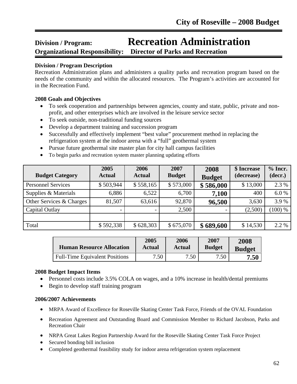# **Division / Program: Recreation Administration**

**Organizational Responsibility: Director of Parks and Recreation** 

#### **Division / Program Description**

l

Recreation Administration plans and administers a quality parks and recreation program based on the needs of the community and within the allocated resources. The Program's activities are accounted for in the Recreation Fund.

#### **2008 Goals and Objectives**

- To seek cooperation and partnerships between agencies, county and state, public, private and nonprofit, and other enterprises which are involved in the leisure service sector
- To seek outside, non-traditional funding sources
- Develop a department training and succession program
- Successfully and effectively implement "best value" procurement method in replacing the refrigeration system at the indoor arena with a "full" geothermal system
- Pursue future geothermal site master plan for city hall campus facilities
- To begin parks and recreation system master planning updating efforts

| <b>Budget Category</b>    | 2005<br><b>Actual</b> | 2006<br><b>Actual</b> | 2007<br><b>Budget</b> | 2008<br><b>Budget</b> | \$ Increase<br>(decrease) | $%$ Incr.<br>(decr.) |
|---------------------------|-----------------------|-----------------------|-----------------------|-----------------------|---------------------------|----------------------|
| <b>Personnel Services</b> | \$503,944             | \$558,165             | \$573,000             | \$586,000             | \$13,000                  | 2.3 %                |
| Supplies & Materials      | 6,886                 | 6,522                 | 6,700                 | 7,100                 | 400                       | 6.0%                 |
| Other Services & Charges  | 81,507                | 63,616                | 92,870                | 96,500                | 3,630                     | 3.9%                 |
| Capital Outlay            |                       |                       | 2,500                 |                       | (2,500)                   | $(100)$ %            |
|                           |                       |                       |                       |                       |                           |                      |
| Total                     | \$592,338             | \$628,303             | \$675,070             | \$689,600             | \$14,530                  | 2.2 %                |

| <b>Human Resource Allocation</b>      | 2005   | 2006   | 2007          | 2008          |
|---------------------------------------|--------|--------|---------------|---------------|
|                                       | Actual | Actual | <b>Budget</b> | <b>Budget</b> |
| <b>Full-Time Equivalent Positions</b> | 7.50   | 7.50   | 7.50          | 7.50          |

#### **2008 Budget Impact Items**

- Personnel costs include 3.5% COLA on wages, and a 10% increase in health/dental premiums
- Begin to develop staff training program

- MRPA Award of Excellence for Roseville Skating Center Task Force, Friends of the OVAL Foundation
- Recreation Agreement and Outstanding Board and Commission Member to Richard Jacobson, Parks and Recreation Chair
- NRPA Great Lakes Region Partnership Award for the Roseville Skating Center Task Force Project
- Secured bonding bill inclusion
- Completed geothermal feasibility study for indoor arena refrigeration system replacement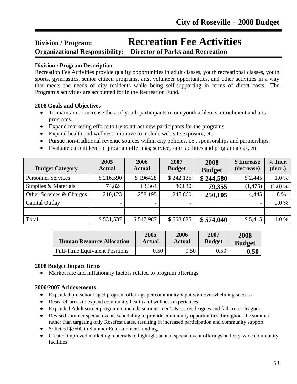# **Division / Program: Recreation Fee Activities**

#### **Organizational Responsibility: Director of Parks and Recreation** Ī

#### **Division / Program Description**

Recreation Fee Activities provide quality opportunities in adult classes, youth recreational classes, youth sports, gymnastics, senior citizen programs, arts, volunteer opportunities, and other activities in a way that meets the needs of city residents while being self-supporting in terms of direct costs. The Program's activities are accounted for in the Recreation Fund.

#### **2008 Goals and Objectives**

- To maintain or increase the # of youth participants in our youth athletics, enrichment and arts programs.
- Expand marketing efforts to try to attract new participants for the programs.
- Expand health and wellness initiative to include web site exposure, etc.
- Pursue non-traditional revenue sources within city policies, i.e., sponsorships and partnerships.
- Evaluate current level of program offerings; service, safe facilities and program areas, etc

| <b>Budget Category</b>    | 2005<br><b>Actual</b> | 2006<br><b>Actual</b> | 2007<br><b>Budget</b> | 2008<br><b>Budget</b> | \$ Increase<br>(decrease) | $%$ Incr.<br>(decr.) |
|---------------------------|-----------------------|-----------------------|-----------------------|-----------------------|---------------------------|----------------------|
| <b>Personnel Services</b> | \$216,590             | \$196428              | \$242,135             | \$244,580             | \$2,445                   | 1.0%                 |
| Supplies & Materials      | 74,824                | 63,364                | 80,830                | 79,355                | (1, 475)                  | (1.8) %              |
| Other Services & Charges  | 210,123               | 258,195               | 245,660               | 250,105               | 4,445                     | 1.8%                 |
| Capital Outlay            |                       |                       |                       |                       |                           | 0.0 %                |
|                           |                       |                       |                       |                       |                           |                      |
| Total                     | \$531,537             | \$517,987             | \$568,625             | \$574,040             | \$5,415                   | 1.0%                 |

| <b>Human Resource Allocation</b>      | 2005   | 2006   | 2007          | 2008          |
|---------------------------------------|--------|--------|---------------|---------------|
|                                       | Actual | Actual | <b>Budget</b> | <b>Budget</b> |
| <b>Full-Time Equivalent Positions</b> | 0.50   | 0.50   | 0.50          | 0.50          |

#### **2008 Budget Impact Items**

• Market rate and inflationary factors related to program offerings

- Expanded pre-school aged program offerings per community input with overwhelming success
- Research areas to expand community health and wellness experiences
- Expanded Adult soccer program to include summer men's & co-rec leagues and fall co-rec leagues
- Revised summer special events scheduling to provide community opportunities throughout the summer rather than targeting only Rosefest dates, resulting in increased participation and community support
- Solicited \$7500 in Summer Entertainment funding,
- Created improved marketing materials to highlight annual special event offerings and city-wide community facilities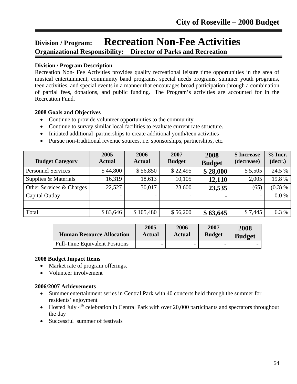## **Division / Program: Recreation Non-Fee Activities Organizational Responsibility: Director of Parks and Recreation**

#### **Division / Program Description**

Ī

Recreation Non- Fee Activities provides quality recreational leisure time opportunities in the area of musical entertainment, community band programs, special needs programs, summer youth programs, teen activities, and special events in a manner that encourages broad participation through a combination of partial fees, donations, and public funding. The Program's activities are accounted for in the Recreation Fund.

#### **2008 Goals and Objectives**

- Continue to provide volunteer opportunities to the community
- Continue to survey similar local facilities to evaluate current rate structure.
- Initiated additional partnerships to create additional youth/teen activities
- Pursue non-traditional revenue sources, i.e. sponsorships, partnerships, etc.

| <b>Budget Category</b>    | 2005<br><b>Actual</b> | 2006<br><b>Actual</b>    | 2007<br><b>Budget</b> | 2008<br><b>Budget</b> | \$ Increase<br>(decrease) | $%$ Incr.<br>(decr.) |
|---------------------------|-----------------------|--------------------------|-----------------------|-----------------------|---------------------------|----------------------|
| <b>Personnel Services</b> | \$44,800              | \$56,850                 | \$22,495              | \$28,000              | \$5,505                   | 24.5 %               |
| Supplies & Materials      | 16,319                | 18,613                   | 10,105                | 12,110                | 2,005                     | 19.8%                |
| Other Services & Charges  | 22,527                | 30,017                   | 23,600                | 23,535                | (65)                      | (0.3) %              |
| Capital Outlay            |                       | $\overline{\phantom{0}}$ |                       |                       | $\qquad \qquad =$         | $0.0\%$              |
|                           |                       |                          |                       |                       |                           |                      |
| Total                     | \$83,646              | \$105,480                | \$56,200              | \$63,645              | \$7,445                   | 6.3%                 |

| <b>Human Resource Allocation</b>      | 2005                     | 2006          | 2007                     | 2008          |
|---------------------------------------|--------------------------|---------------|--------------------------|---------------|
|                                       | <b>Actual</b>            | <b>Actual</b> | <b>Budget</b>            | <b>Budget</b> |
| <b>Full-Time Equivalent Positions</b> | $\overline{\phantom{0}}$ |               | $\overline{\phantom{0}}$ |               |

#### **2008 Budget Impact Items**

- Market rate of program offerings.
- Volunteer involvement

- Summer entertainment series in Central Park with 40 concerts held through the summer for residents' enjoyment
- Hosted July  $4<sup>th</sup>$  celebration in Central Park with over 20,000 participants and spectators throughout the day
- Successful summer of festivals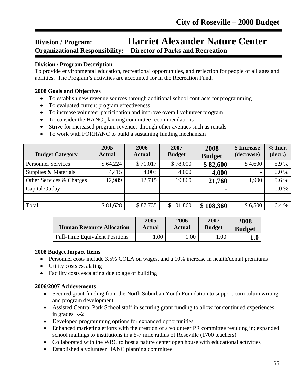## **Division / Program: Harriet Alexander Nature Center Organizational Responsibility: Director of Parks and Recreation**

#### **Division / Program Description**

To provide environmental education, recreational opportunities, and reflection for people of all ages and abilities. The Program's activities are accounted for in the Recreation Fund.

#### **2008 Goals and Objectives**

Ī

- To establish new revenue sources through additional school contracts for programming
- To evaluated current program effectiveness
- To increase volunteer participation and improve overall volunteer program
- To consider the HANC planning committee recommendations
- Strive for increased program revenues through other avenues such as rentals
- To work with FORHANC to build a sustaining funding mechanism

| <b>Budget Category</b>    | 2005<br><b>Actual</b>    | 2006<br><b>Actual</b>    | 2007<br><b>Budget</b> | 2008<br><b>Budget</b> | \$ Increase<br>(decrease) | $%$ Incr.<br>(decr.) |
|---------------------------|--------------------------|--------------------------|-----------------------|-----------------------|---------------------------|----------------------|
| <b>Personnel Services</b> | \$64,224                 | \$71,017                 | \$78,000              | \$82,600              | \$4,600                   | 5.9%                 |
| Supplies & Materials      | 4,415                    | 4,003                    | 4,000                 | 4,000                 | $\overline{\phantom{m}}$  | 0.0 %                |
| Other Services & Charges  | 12,989                   | 12,715                   | 19,860                | 21,760                | 1,900                     | 9.6%                 |
| Capital Outlay            | $\overline{\phantom{0}}$ | $\overline{\phantom{a}}$ |                       |                       | $\overline{\phantom{0}}$  | 0.0 %                |
|                           |                          |                          |                       |                       |                           |                      |
| Total                     | \$81,628                 | \$87,735                 | \$101,860             | \$108,360             | \$6,500                   | 6.4 %                |

| <b>Human Resource Allocation</b>      | 2005   | 2006          | 2007          | 2008          |
|---------------------------------------|--------|---------------|---------------|---------------|
|                                       | Actual | <b>Actual</b> | <b>Budget</b> | <b>Budget</b> |
| <b>Full-Time Equivalent Positions</b> | .00    | .00           | 00.1          |               |

#### **2008 Budget Impact Items**

- Personnel costs include 3.5% COLA on wages, and a 10% increase in health/dental premiums
- Utility costs escalating
- Facility costs escalating due to age of building

- Secured grant funding from the North Suburban Youth Foundation to support curriculum writing and program development
- Assisted Central Park School staff in securing grant funding to allow for continued experiences in grades K-2
- Developed programming options for expanded opportunities
- Enhanced marketing efforts with the creation of a volunteer PR committee resulting in; expanded school mailings to institutions in a 5-7 mile radius of Roseville (1700 teachers)
- Collaborated with the WRC to host a nature center open house with educational activities
- Established a volunteer HANC planning committee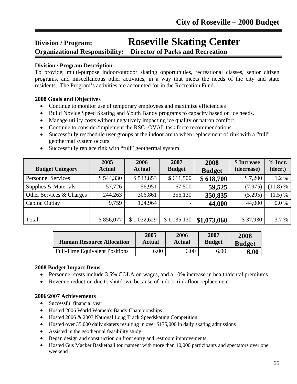# **Division / Program: Roseville Skating Center**

**Organizational Responsibility: Director of Parks and Recreation**

#### **Division / Program Description**

Ī

To provide; multi-purpose indoor/outdoor skating opportunities, recreational classes, senior citizen programs, and miscellaneous other activities, in a way that meets the needs of the city and state residents. The Program's activities are accounted for in the Recreation Fund.

#### **2008 Goals and Objectives**

- Continue to monitor use of temporary employees and maximize efficiencies
- Build Novice Speed Skating and Youth Bandy programs to capacity based on ice needs.
- Manage utility costs without negatively impacting ice quality or patron comfort.
- Continue to consider/implement the RSC- OVAL task force recommendations
- Successfully reschedule user groups at the indoor arena when replacement of rink with a "full" geothermal system occurs
- Successfully replace rink with "full" geothermal system

| <b>Budget Category</b>    | 2005<br><b>Actual</b> | 2006<br><b>Actual</b> | 2007<br><b>Budget</b> | 2008<br><b>Budget</b> | \$ Increase<br>(decrease) | $%$ Incr.<br>(decr.) |
|---------------------------|-----------------------|-----------------------|-----------------------|-----------------------|---------------------------|----------------------|
| <b>Personnel Services</b> | \$544,330             | \$543,853             | \$611,500             | \$618,700             | \$7,200                   | 1.2%                 |
| Supplies & Materials      | 57,726                | 56,951                | 67,500                | 59,525                | (7, 975)                  | (11.8) %             |
| Other Services & Charges  | 244,263               | 306,861               | 356,130               | 350,835               | (5,295)                   | $(1.5) \%$           |
| Capital Outlay            | 9,759                 | 124,964               |                       | 44,000                | 44,000                    | 0.0 %                |
|                           |                       |                       |                       |                       |                           |                      |
| Total                     | \$856,077             | \$1,032,629           | \$1,035,130           | \$1,073,060           | \$37,930                  | 3.7 %                |

| <b>Human Resource Allocation</b>      | 2005   | 2006          | 2007          | 2008          |
|---------------------------------------|--------|---------------|---------------|---------------|
|                                       | Actual | <b>Actual</b> | <b>Budget</b> | <b>Budget</b> |
| <b>Full-Time Equivalent Positions</b> | 6.00   | 6.00          | 6.00          | 6.00          |

#### **2008 Budget Impact Items**

- Personnel costs include 3.5% COLA on wages, and a 10% increase in health/dental premiums
- Revenue reduction due to shutdown because of indoor rink floor replacement

- Successful financial year
- Hosted 2006 World Women's Bandy Championships
- Hosted 2006 & 2007 National Long Track Speedskating Competition
- Hosted over 35,000 daily skaters resulting in over \$175,000 in daily skating admissions
- Assisted in the geothermal feasibility study
- Began design and construction on front entry and restroom improvements
- Hosted Gus Macker Basketball tournament with more than 10,000 participants and spectators over one weekend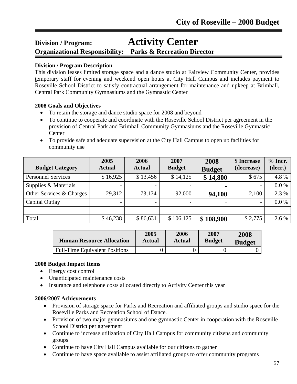# **Division / Program: Activity Center**

**Organizational Responsibility: Parks & Recreation Director**

#### **Division / Program Description**

l

This division leases limited storage space and a dance studio at Fairview Community Center, provides temporary staff for evening and weekend open hours at City Hall Campus and includes payment to Roseville School District to satisfy contractual arrangement for maintenance and upkeep at Brimhall, Central Park Community Gymnasiums and the Gymnastic Center

#### **2008 Goals and Objectives**

- To retain the storage and dance studio space for 2008 and beyond
- To continue to cooperate and coordinate with the Roseville School District per agreement in the provision of Central Park and Brimhall Community Gymnasiums and the Roseville Gymnastic Center
- To provide safe and adequate supervision at the City Hall Campus to open up facilities for community use

| <b>Budget Category</b>    | 2005<br><b>Actual</b> | 2006<br><b>Actual</b> | 2007<br><b>Budget</b> | 2008<br><b>Budget</b> | \$ Increase<br>(decrease) | $%$ Incr.<br>(decr.) |
|---------------------------|-----------------------|-----------------------|-----------------------|-----------------------|---------------------------|----------------------|
| <b>Personnel Services</b> | \$16,925              | \$13,456              | \$14,125              | \$14,800              | \$675                     | 4.8%                 |
| Supplies & Materials      |                       |                       |                       | $\blacksquare$        |                           | 0.0 %                |
| Other Services & Charges  | 29,312                | 73,174                | 92,000                | 94,100                | 2,100                     | 2.3 %                |
| Capital Outlay            |                       |                       |                       |                       |                           | $0.0\%$              |
|                           |                       |                       |                       |                       |                           |                      |
| Total                     | \$46,238              | \$86,631              | \$106,125             | \$108,900             | \$2,775                   | 2.6 %                |

| <b>Human Resource Allocation</b>      | 2005   | 2006   | 2007          | 2008          |
|---------------------------------------|--------|--------|---------------|---------------|
|                                       | Actual | Actual | <b>Budget</b> | <b>Budget</b> |
| <b>Full-Time Equivalent Positions</b> |        |        |               |               |

#### **2008 Budget Impact Items**

- Energy cost control
- Unanticipated maintenance costs
- Insurance and telephone costs allocated directly to Activity Center this year

- Provision of storage space for Parks and Recreation and affiliated groups and studio space for the Roseville Parks and Recreation School of Dance.
- Provision of two major gymnasiums and one gymnastic Center in cooperation with the Roseville School District per agreement
- Continue to increase utilization of City Hall Campus for community citizens and community groups
- Continue to have City Hall Campus available for our citizens to gather
- Continue to have space available to assist affiliated groups to offer community programs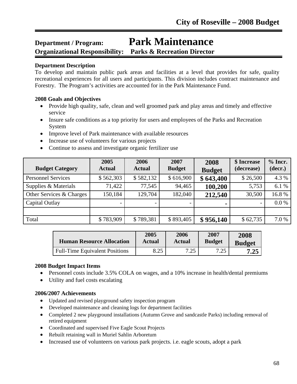# **Department / Program: Park Maintenance**

### **Organizational Responsibility: Parks & Recreation Director**

#### **Department Description**

l

To develop and maintain public park areas and facilities at a level that provides for safe, quality recreational experiences for all users and participants. This division includes contract maintenance and Forestry. The Program's activities are accounted for in the Park Maintenance Fund.

#### **2008 Goals and Objectives**

- Provide high quality, safe, clean and well groomed park and play areas and timely and effective service
- Insure safe conditions as a top priority for users and employees of the Parks and Recreation System
- Improve level of Park maintenance with available resources
- Increase use of volunteers for various projects
- Continue to assess and investigate organic fertilizer use

| <b>Budget Category</b>    | 2005<br><b>Actual</b> | 2006<br><b>Actual</b> | 2007<br><b>Budget</b> | 2008<br><b>Budget</b> | \$ Increase<br>(decrease) | $%$ Incr.<br>(decr.) |
|---------------------------|-----------------------|-----------------------|-----------------------|-----------------------|---------------------------|----------------------|
| <b>Personnel Services</b> | \$562,303             | \$582,132             | \$616,900             | \$643,400             | \$26,500                  | 4.3 %                |
| Supplies & Materials      | 71,422                | 77,545                | 94,465                | 100,200               | 5,753                     | 6.1 %                |
| Other Services & Charges  | 150,184               | 129,704               | 182,040               | 212,540               | 30,500                    | 16.8%                |
| Capital Outlay            |                       |                       |                       |                       |                           | $0.0\%$              |
|                           |                       |                       |                       |                       |                           |                      |
| Total                     | \$783,909             | \$789,381             | \$893,405             | \$956,140             | \$62,735                  | 7.0 %                |

| <b>Human Resource Allocation</b>      | 2005   | 2006           | 2007          | 2008          |
|---------------------------------------|--------|----------------|---------------|---------------|
|                                       | Actual | Actual         | <b>Budget</b> | <b>Budget</b> |
| <b>Full-Time Equivalent Positions</b> | 8.25   | 7 つら<br>ل که . | 7.25          | 7.25          |

#### **2008 Budget Impact Items**

- Personnel costs include 3.5% COLA on wages, and a 10% increase in health/dental premiums
- Utility and fuel costs escalating

- Updated and revised playground safety inspection program
- Developed maintenance and cleaning logs for department facilities
- Completed 2 new playground installations (Autumn Grove and sandcastle Parks) including removal of retired equipment
- Coordinated and supervised Five Eagle Scout Projects
- Rebuilt retaining wall in Muriel Sahlin Arboretum
- Increased use of volunteers on various park projects. *i.e.* eagle scouts, adopt a park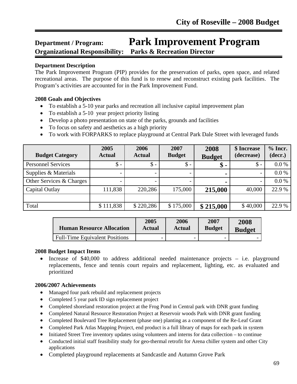### **Department / Program: Park Improvement Program Organizational Responsibility: Parks & Recreation Director**

#### **Department Description**

l

The Park Improvement Program (PIP) provides for the preservation of parks, open space, and related recreational areas. The purpose of this fund is to renew and reconstruct existing park facilities. The Program's activities are accounted for in the Park Improvement Fund.

#### **2008 Goals and Objectives**

- To establish a 5-10 year parks and recreation all inclusive capital improvement plan
- To establish a 5-10 year project priority listing
- Develop a photo presentation on state of the parks, grounds and facilities
- To focus on safety and aesthetics as a high priority
- To work with FORPARKS to replace playground at Central Park Dale Street with leveraged funds

| <b>Budget Category</b>    | 2005<br><b>Actual</b> | 2006<br><b>Actual</b> | 2007<br><b>Budget</b> | 2008<br><b>Budget</b> | \$ Increase<br>(decrease) | $%$ Incr.<br>(decr.) |
|---------------------------|-----------------------|-----------------------|-----------------------|-----------------------|---------------------------|----------------------|
| <b>Personnel Services</b> | $\mathsf{\$}$ -       | $\mathbb{S}$ -        | $\$ -                 | $\boldsymbol{\$}$ .   | $\mathsf{\$}$ -           | $0.0\%$              |
| Supplies & Materials      |                       |                       |                       |                       |                           | 0.0 %                |
| Other Services & Charges  |                       |                       |                       |                       |                           | $0.0\%$              |
| Capital Outlay            | 111,838               | 220,286               | 175,000               | 215,000               | 40,000                    | 22.9 %               |
|                           |                       |                       |                       |                       |                           |                      |
| Total                     | \$111,838             | \$220,286             | \$175,000             | \$215,000             | \$40,000                  | 22.9 %               |

| <b>Human Resource Allocation</b>      | 2005                     | 2006          | 2007          | 2008          |
|---------------------------------------|--------------------------|---------------|---------------|---------------|
|                                       | Actual                   | <b>Actual</b> | <b>Budget</b> | <b>Budget</b> |
| <b>Full-Time Equivalent Positions</b> | $\overline{\phantom{0}}$ |               | -             |               |

#### **2008 Budget Impact Items**

• Increase of \$40,000 to address additional needed maintenance projects – i.e. playground replacements, fence and tennis court repairs and replacement, lighting, etc. as evaluated and prioritized

- Managed four park rebuild and replacement projects
- Completed 5 year park ID sign replacement project
- Completed shoreland restoration project at the Frog Pond in Central park with DNR grant funding
- Completed Natural Resource Restoration Project at Reservoir woods Park with DNR grant funding
- Completed Boulevard Tree Replacement (phase one) planting as a component of the Re-Leaf Grant
- Completed Park Atlas Mapping Project, end product is a full library of maps for each park in system
- Initiated Street Tree inventory updates using volunteers and interns for data collection to continue
- Conducted initial staff feasibility study for geo-thermal retrofit for Arena chiller system and other City applications
- Completed playground replacements at Sandcastle and Autumn Grove Park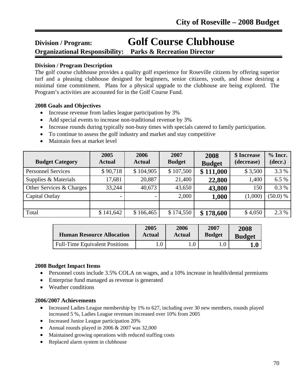# **Division / Program: Golf Course Clubhouse**

**Organizational Responsibility: Parks & Recreation Director**

#### **Division / Program Description**

l

The golf course clubhouse provides a quality golf experience for Roseville citizens by offering superior turf and a pleasing clubhouse designed for beginners, senior citizens, youth, and those desiring a minimal time commitment. Plans for a physical upgrade to the clubhouse are being explored. The Program's activities are accounted for in the Golf Course Fund.

#### **2008 Goals and Objectives**

- Increase revenue from ladies league participation by 3%
- Add special events to increase non-traditional revenue by 3%
- Increase rounds during typically non-busy times with specials catered to family participation.
- To continue to assess the golf industry and market and stay competitive
- Maintain fees at market level

| <b>Budget Category</b>    | 2005<br><b>Actual</b> | 2006<br><b>Actual</b>    | 2007<br><b>Budget</b> | 2008<br><b>Budget</b> | \$ Increase<br>(decrease) | $%$ Incr.<br>(decr.) |
|---------------------------|-----------------------|--------------------------|-----------------------|-----------------------|---------------------------|----------------------|
| <b>Personnel Services</b> | \$90,718              | \$104,905                | \$107,500             | \$111,000             | \$3,500                   | 3.3 %                |
| Supplies & Materials      | 17,681                | 20,887                   | 21,400                | 22,800                | 1,400                     | 6.5 %                |
| Other Services & Charges  | 33,244                | 40,673                   | 43,650                | 43,800                | 150                       | $0.3\%$              |
| Capital Outlay            |                       | $\overline{\phantom{0}}$ | 2,000                 | 1,000                 | (1,000)                   | (50.0) %             |
|                           |                       |                          |                       |                       |                           |                      |
| Total                     | \$141,642             | \$166,465                | \$174,550             | \$178,600             | \$4,050                   | 2.3 %                |

| <b>Human Resource Allocation</b>      | 2005   | <b>2006</b> | 2007          | 2008          |
|---------------------------------------|--------|-------------|---------------|---------------|
|                                       | Actual | Actual      | <b>Budget</b> | <b>Budget</b> |
| <b>Full-Time Equivalent Positions</b> | 0.1    |             |               | $1.0\,$       |

#### **2008 Budget Impact Items**

- Personnel costs include 3.5% COLA on wages, and a 10% increase in health/dental premiums
- Enterprise fund managed as revenue is generated
- Weather conditions

- Increased Ladies League membership by 1% to 627, including over 30 new members, rounds played increased 5 %, Ladies League revenues increased over 10% from 2005
- Increased Junior League participation 20%
- Annual rounds played in 2006 & 2007 was 32,000
- Maintained growing operations with reduced staffing costs
- Replaced alarm system in clubhouse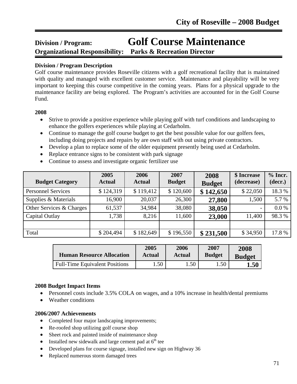# **Division / Program: Golf Course Maintenance Organizational Responsibility: Parks & Recreation Director**

#### l **Division / Program Description**

Golf course maintenance provides Roseville citizens with a golf recreational facility that is maintained with quality and managed with excellent customer service. Maintenance and playability will be very important to keeping this course competitive in the coming years. Plans for a physical upgrade to the maintenance facility are being explored. The Program's activities are accounted for in the Golf Course Fund.

#### **2008**

- Strive to provide a positive experience while playing golf with turf conditions and landscaping to enhance the golfers experiences while playing at Cedarholm.
- Continue to manage the golf course budget to get the best possible value for our golfers fees, including doing projects and repairs by are own staff with out using private contractors.
- Develop a plan to replace some of the older equipment presently being used at Cedarholm.
- Replace entrance signs to be consistent with park signage
- Continue to assess and investigate organic fertilizer use

| <b>Budget Category</b>    | 2005<br><b>Actual</b> | 2006<br><b>Actual</b> | 2007<br><b>Budget</b> | 2008<br><b>Budget</b> | \$ Increase<br>(decrease) | $%$ Incr.<br>(decr.) |
|---------------------------|-----------------------|-----------------------|-----------------------|-----------------------|---------------------------|----------------------|
| <b>Personnel Services</b> | \$124,319             | \$119,412             | \$120,600             | \$142,650             | \$22,050                  | 18.3%                |
| Supplies & Materials      | 16,900                | 20,037                | 26,300                | 27,800                | 1,500                     | 5.7 %                |
| Other Services & Charges  | 61,537                | 34,984                | 38,080                | 38,050                | $\qquad \qquad$           | 0.0 %                |
| Capital Outlay            | 1,738                 | 8,216                 | 11,600                | 23,000                | 11,400                    | 98.3%                |
|                           |                       |                       |                       |                       |                           |                      |
| Total                     | \$204,494             | \$182,649             | \$196,550             | \$231,500             | \$34,950                  | 17.8%                |

| <b>Human Resource Allocation</b>      | 2005             | 2006      | 2007          | 2008          |
|---------------------------------------|------------------|-----------|---------------|---------------|
|                                       | Actual           | Actual    | <b>Budget</b> | <b>Budget</b> |
| <b>Full-Time Equivalent Positions</b> | .50 <sub>1</sub> | $.50^{-}$ | 1.50          | $1.50\,$      |

#### **2008 Budget Impact Items**

- Personnel costs include 3.5% COLA on wages, and a 10% increase in health/dental premiums
- Weather conditions

- Completed four major landscaping improvements;
- Re-roofed shop utilizing golf course shop
- Sheet rock and painted inside of maintenance shop
- Installed new sidewalk and large cement pad at  $6<sup>th</sup>$  tee
- Developed plans for course signage, installed new sign on Highway 36
- Replaced numerous storm damaged trees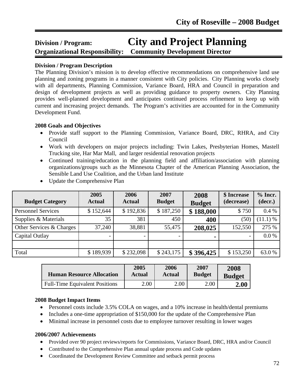# **Division / Program: City and Project Planning Organizational Responsibility: Community Development Director**

#### **Division / Program Description**

The Planning Division's mission is to develop effective recommendations on comprehensive land use planning and zoning programs in a manner consistent with City policies. City Planning works closely with all departments, Planning Commission, Variance Board, HRA and Council in preparation and design of development projects as well as providing guidance to property owners. City Planning provides well-planned development and anticipates continued process refinement to keep up with current and increasing project demands. The Program's activities are accounted for in the Community Development Fund.

#### **2008 Goals and Objectives**

- Provide staff support to the Planning Commission, Variance Board, DRC, RHRA, and City Council
- Work with developers on major projects including: Twin Lakes, Presbyterian Homes, Mastell Trucking site, Har Mar Mall, and larger residential renovation projects
- Continued training/education in the planning field and affiliation/association with planning organizations/groups such as the Minnesota Chapter of the American Planning Association, the Sensible Land Use Coalition, and the Urban land Institute

| <b>Budget Category</b>    | 2005<br><b>Actual</b>    | 2006<br><b>Actual</b> | 2007<br><b>Budget</b> | 2008<br><b>Budget</b> | \$ Increase<br>(decrease) | $%$ Incr.<br>(decr.) |
|---------------------------|--------------------------|-----------------------|-----------------------|-----------------------|---------------------------|----------------------|
| <b>Personnel Services</b> | \$152,644                | \$192,836             | \$187,250             | \$188,000             | \$750                     | 0.4%                 |
| Supplies & Materials      | 35                       | 381                   | 450                   | 400                   | (50)                      | $(11.1)$ %           |
| Other Services & Charges  | 37,240                   | 38,881                | 55,475                | 208,025               | 152,550                   | 275 %                |
| Capital Outlay            | $\overline{\phantom{0}}$ |                       |                       | $\blacksquare$        |                           | 0.0 %                |
|                           |                          |                       |                       |                       |                           |                      |
| Total                     | \$189,939                | \$232,098             | \$243,175             | \$396,425             | \$153,250                 | 63.0%                |

• Update the Comprehensive Plan

| <b>Human Resource Allocation</b>      | 2005   | 2006          | 2007          | 2008          |
|---------------------------------------|--------|---------------|---------------|---------------|
|                                       | Actual | <b>Actual</b> | <b>Budget</b> | <b>Budget</b> |
| <b>Full-Time Equivalent Positions</b> | 2.00   | 2.00          | $2.00\,$      | 2.00          |

#### **2008 Budget Impact Items**

- Personnel costs include 3.5% COLA on wages, and a 10% increase in health/dental premiums
- Includes a one-time appropriation of \$150,000 for the update of the Comprehensive Plan
- Minimal increase in personnel costs due to employee turnover resulting in lower wages

- Provided over 90 project reviews/reports for Commissions, Variance Board, DRC, HRA and/or Council
- Contributed to the Comprehensive Plan annual update process and Code updates
- Coordinated the Development Review Committee and setback permit process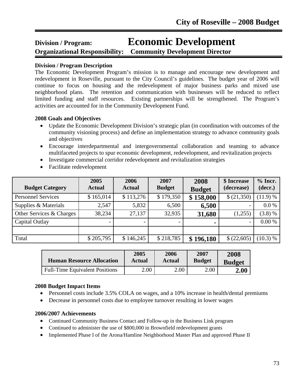# **Division / Program: Economic Development**

**Organizational Responsibility: Community Development Director**  Ī

# **Division / Program Description**

The Economic Development Program's mission is to manage and encourage new development and redevelopment in Roseville, pursuant to the City Council's guidelines. The budget year of 2006 will continue to focus on housing and the redevelopment of major business parks and mixed use neighborhood plans. The retention and communication with businesses will be reduced to reflect limited funding and staff resources. Existing partnerships will be strengthened. The Program's activities are accounted for in the Community Development Fund.

# **2008 Goals and Objectives**

- Update the Economic Development Division's strategic plan (in coordination with outcomes of the community visioning process) and define an implementation strategy to advance community goals and objectives
- Encourage interdepartmental and intergovernmental collaboration and teaming to advance multifaceted projects to spur economic development, redevelopment, and revitalization projects
- Investigate commercial corridor redevelopment and revitalization strategies
- Facilitate redevelopment

| <b>Budget Category</b>    | 2005<br><b>Actual</b> | 2006<br><b>Actual</b> | 2007<br><b>Budget</b> | 2008<br><b>Budget</b> | \$ Increase<br>(decrease) | $%$ Incr.<br>(decr.) |
|---------------------------|-----------------------|-----------------------|-----------------------|-----------------------|---------------------------|----------------------|
| <b>Personnel Services</b> | \$165,014             | \$113,276             | \$179,350             | \$158,000             | \$ (21,350)               | (11.9) %             |
| Supplies & Materials      | 2,547                 | 5,832                 | 6,500                 | 6,500                 | $\overline{\phantom{a}}$  | 0.0 %                |
| Other Services & Charges  | 38,234                | 27,137                | 32,935                | 31,680                | (1,255)                   | (3.8) %              |
| Capital Outlay            |                       |                       |                       | $\blacksquare$        | $\overline{\phantom{0}}$  | 0.00 %               |
|                           |                       |                       |                       |                       |                           |                      |
| Total                     | \$205,795             | \$146,245             | \$218,785             | \$196,180             | \$(22,605)                | (10.3) %             |

| <b>Human Resource Allocation</b>      | 2005   | 2006          | 2007          | 2008                |
|---------------------------------------|--------|---------------|---------------|---------------------|
|                                       | Actual | <b>Actual</b> | <b>Budget</b> | <b>Budget</b>       |
| <b>Full-Time Equivalent Positions</b> | 2.00   | 2.00          | 2.00          | $\boldsymbol{2.00}$ |

### **2008 Budget Impact Items**

- Personnel costs include 3.5% COLA on wages, and a 10% increase in health/dental premiums
- Decrease in personnel costs due to employee turnover resulting in lower wages

- Continued Community Business Contact and Follow-up in the Business Link program
- Continued to administer the use of \$800,000 in Brownfield redevelopment grants
- Implemented Phase I of the Arona/Hamline Neighborhood Master Plan and approved Phase II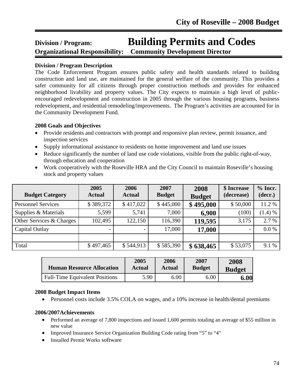# **Division / Program: Building Permits and Codes**

**Organizational Responsibility: Community Development Director**  Ī

### **Division / Program Description**

The Code Enforcement Program ensures public safety and health standards related to building construction and land use, are maintained for the general welfare of the community. This provides a safer community for all citizens through proper construction methods and provides for enhanced neighborhood livability and property values. The City expects to maintain a high level of publicencouraged redevelopment and construction in 2005 through the various housing programs, business redevelopment, and residential remodeling/improvements. The Program's activities are accounted for in the Community Development Fund.

### **2008 Goals and Objectives**

- Provide residents and contractors with prompt and responsive plan review, permit issuance, and inspection services
- Supply informational assistance to residents on home improvement and land use issues
- Reduce significantly the number of land use code violations, visible from the public right-of-way, through education and cooperation
- Work cooperatively with the Roseville HRA and the City Council to maintain Roseville's housing stock and property values

| <b>Budget Category</b>    | 2005<br><b>Actual</b>    | 2006<br><b>Actual</b> | 2007<br><b>Budget</b> | 2008<br><b>Budget</b> | \$ Increase<br>(decrease) | $%$ Incr.<br>(decr.) |
|---------------------------|--------------------------|-----------------------|-----------------------|-----------------------|---------------------------|----------------------|
| <b>Personnel Services</b> | \$389,372                | \$417,022             | \$445,000             | \$495,000             | \$50,000                  | 11.2 %               |
| Supplies & Materials      | 5,599                    | 5,741                 | 7,000                 | 6,900                 | (100)                     | (1.4) %              |
| Other Services & Charges  | 102,495                  | 122,150               | 116,390               | 119,595               | 3,175                     | 2.7 %                |
| Capital Outlay            | $\overline{\phantom{0}}$ |                       | 17,000                | 17,000                | $\overline{\phantom{0}}$  | 0.0 %                |
|                           |                          |                       |                       |                       |                           |                      |
| Total                     | \$497,465                | \$544,913             | \$585,390             | \$638,465             | \$53,075                  | 9.1 %                |

| <b>Human Resource Allocation</b>      | 2005          | 2006          | 2007          | 2008          |
|---------------------------------------|---------------|---------------|---------------|---------------|
|                                       | <b>Actual</b> | <b>Actual</b> | <b>Budget</b> | <b>Budget</b> |
| <b>Full-Time Equivalent Positions</b> | 5.90          | 6.00          | 6.00          | 6.00          |

### **2008 Budget Impact Items**

• Personnel costs include 3.5% COLA on wages, and a 10% increase in health/dental premiums

- Performed an average of 7,800 inspections and issued 1,600 permits totaling an average of \$55 million in new value
- Improved Insurance Service Organization Building Code rating from "5" to "4"
- Installed Permit Works software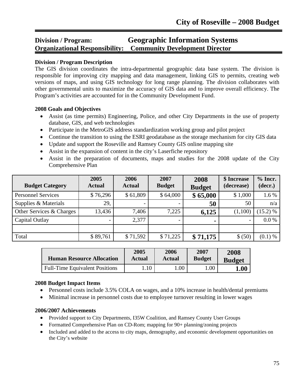# **Division / Program: Geographic Information Systems Organizational Responsibility: Community Development Director**

#### **Division / Program Description**

٦

The GIS division coordinates the intra-departmental geographic data base system. The division is responsible for improving city mapping and data management, linking GIS to permits, creating web versions of maps, and using GIS technology for long range planning. The division collaborates with other governmental units to maximize the accuracy of GIS data and to improve overall efficiency. The Program's activities are accounted for in the Community Development Fund.

#### **2008 Goals and Objectives**

- Assist (as time permits) Engineering, Police, and other City Departments in the use of property database, GIS, and web technologies
- Participate in the MetroGIS address standardization working group and pilot project
- Continue the transition to using the ESRI geodatabase as the storage mechanism for city GIS data
- Update and support the Roseville and Ramsey County GIS online mapping site
- Assist in the expansion of content in the city's Laserfiche repository
- Assist in the preparation of documents, maps and studies for the 2008 update of the City Comprehensive Plan

| <b>Budget Category</b>    | 2005<br><b>Actual</b> | 2006<br><b>Actual</b> | 2007<br><b>Budget</b>    | 2008<br><b>Budget</b> | \$ Increase<br>(decrease)    | $%$ Incr.<br>(decr.) |
|---------------------------|-----------------------|-----------------------|--------------------------|-----------------------|------------------------------|----------------------|
| <b>Personnel Services</b> | \$76,296              | \$61,809              | \$64,000                 | \$65,000              | \$1,000                      | 1.6 %                |
| Supplies & Materials      | 29,                   |                       |                          | 50                    | 50                           | n/a                  |
| Other Services & Charges  | 13,436                | 7,406                 | 7,225                    | 6,125                 | (1,100)                      | $(15.2)$ %           |
| Capital Outlay            |                       | 2,377                 | $\overline{\phantom{a}}$ | ٠                     | $\qquad \qquad \blacksquare$ | 0.0 %                |
|                           |                       |                       |                          |                       |                              |                      |
| Total                     | \$89,761              | \$71,592              | \$71,225                 | \$71,175              | \$ (50)                      | $(0.1) \%$           |

| <b>Human Resource Allocation</b>      | 2005   | 2006   | 2007          | 2008          |
|---------------------------------------|--------|--------|---------------|---------------|
|                                       | Actual | Actual | <b>Budget</b> | <b>Budget</b> |
| <b>Full-Time Equivalent Positions</b> |        | 00.1   | 00.1          | ${\bf 1.00}$  |

#### **2008 Budget Impact Items**

- Personnel costs include 3.5% COLA on wages, and a 10% increase in health/dental premiums
- Minimal increase in personnel costs due to employee turnover resulting in lower wages

- Provided support to City Departments, I35W Coalition, and Ramsey County User Groups
- Formatted Comprehensive Plan on CD-Rom; mapping for 90+ planning/zoning projects
- Included and added to the access to city maps, demography, and economic development opportunities on the City's website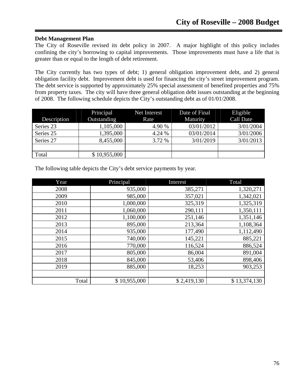#### **Debt Management Plan**

The City of Roseville revised its debt policy in 2007. A major highlight of this policy includes confining the city's borrowing to capital improvements. Those improvements must have a life that is greater than or equal to the length of debt retirement.

The City currently has two types of debt; 1) general obligation improvement debt, and 2) general obligation facility debt. Improvement debt is used for financing the city's street improvement program. The debt service is supported by approximately 25% special assessment of benefited properties and 75% from property taxes. The city will have three general obligation debt issues outstanding at the beginning of 2008. The following schedule depicts the City's outstanding debt as of 01/01/2008.

|             | Principal    | Net Interest | Date of Final | Eligible  |
|-------------|--------------|--------------|---------------|-----------|
| Description | Outstanding  | Rate         | Maturity      | Call Date |
| Series 23   | 1,105,000    | 4.90 %       | 03/01/2012    | 3/01/2004 |
| Series 25   | 1,395,000    | 4.24 %       | 03/01/2014    | 3/01/2006 |
| Series 27   | 8,455,000    | 3.72 %       | 3/01/2019     | 3/01/2013 |
|             |              |              |               |           |
| Total       | \$10,955,000 |              |               |           |

The following table depicts the City's debt service payments by year.

| Year  | Principal    | Interest    | Total        |
|-------|--------------|-------------|--------------|
| 2008  | 935,000      | 385,271     | 1,320,271    |
| 2009  | 985,000      | 357,021     | 1,342,021    |
| 2010  | 1,000,000    | 325,319     | 1,325,319    |
| 2011  | 1,060,000    | 290,111     | 1,350,111    |
| 2012  | 1,100,000    | 251,146     | 1,351,146    |
| 2013  | 895,000      | 213,364     | 1,108,364    |
| 2014  | 935,000      | 177,490     | 1,112,490    |
| 2015  | 740,000      | 145,221     | 885,221      |
| 2016  | 770,000      | 116,524     | 886,524      |
| 2017  | 805,000      | 86,004      | 891,004      |
| 2018  | 845,000      | 53,406      | 898,406      |
| 2019  | 885,000      | 18,253      | 903,253      |
|       |              |             |              |
| Total | \$10,955,000 | \$2,419,130 | \$13,374,130 |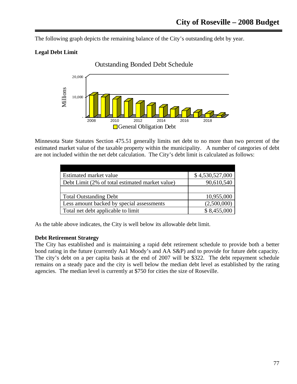The following graph depicts the remaining balance of the City's outstanding debt by year.

# **Legal Debt Limit**



Minnesota State Statutes Section 475.51 generally limits net debt to no more than two percent of the estimated market value of the taxable property within the municipality. A number of categories of debt are not included within the net debt calculation. The City's debt limit is calculated as follows:

| Estimated market value                          | \$4,530,527,000 |
|-------------------------------------------------|-----------------|
| Debt Limit (2% of total estimated market value) | 90,610,540      |
|                                                 |                 |
| <b>Total Outstanding Debt</b>                   | 10,955,000      |
| Less amount backed by special assessments       | (2,500,000)     |
| Total net debt applicable to limit              | \$8,455,000     |

As the table above indicates, the City is well below its allowable debt limit.

### **Debt Retirement Strategy**

The City has established and is maintaining a rapid debt retirement schedule to provide both a better bond rating in the future (currently Aa1 Moody's and AA S&P) and to provide for future debt capacity. The city's debt on a per capita basis at the end of 2007 will be \$322. The debt repayment schedule remains on a steady pace and the city is well below the median debt level as established by the rating agencies. The median level is currently at \$750 for cities the size of Roseville.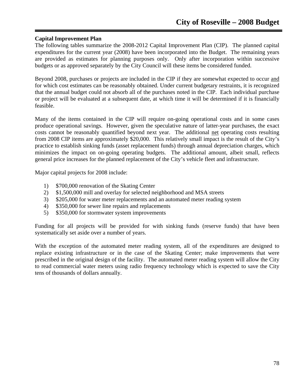#### **Capital Improvement Plan**

The following tables summarize the 2008-2012 Capital Improvement Plan (CIP). The planned capital expenditures for the current year (2008) have been incorporated into the Budget. The remaining years are provided as estimates for planning purposes only. Only after incorporation within successive budgets or as approved separately by the City Council will these items be considered funded.

Beyond 2008, purchases or projects are included in the CIP if they are somewhat expected to occur and for which cost estimates can be reasonably obtained. Under current budgetary restraints, it is recognized that the annual budget could not absorb all of the purchases noted in the CIP. Each individual purchase or project will be evaluated at a subsequent date, at which time it will be determined if it is financially feasible.

Many of the items contained in the CIP will require on-going operational costs and in some cases produce operational savings. However, given the speculative nature of latter-year purchases, the exact costs cannot be reasonably quantified beyond next year. The additional net operating costs resulting from 2008 CIP items are approximately \$20,000. This relatively small impact is the result of the City's practice to establish sinking funds (asset replacement funds) through annual depreciation charges, which minimizes the impact on on-going operating budgets. The additional amount, albeit small, reflects general price increases for the planned replacement of the City's vehicle fleet and infrastructure.

Major capital projects for 2008 include:

- 1) \$700,000 renovation of the Skating Center
- 2) \$1,500,000 mill and overlay for selected neighborhood and MSA streets
- 3) \$205,000 for water meter replacements and an automated meter reading system
- 4) \$350,000 for sewer line repairs and replacements
- 5) \$350,000 for stormwater system improvements

Funding for all projects will be provided for with sinking funds (reserve funds) that have been systematically set aside over a number of years.

With the exception of the automated meter reading system, all of the expenditures are designed to replace existing infrastructure or in the case of the Skating Center; make improvements that were prescribed in the original design of the facility. The automated meter reading system will allow the City to read commercial water meters using radio frequency technology which is expected to save the City tens of thousands of dollars annually.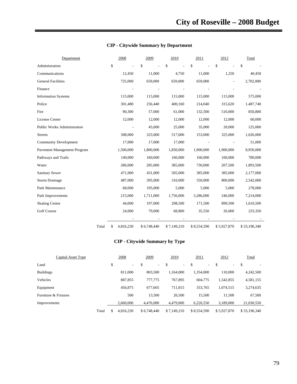| Department                         |       |    | 2008      | 2009        | 2010        | 2011        | 2012        | Total        |
|------------------------------------|-------|----|-----------|-------------|-------------|-------------|-------------|--------------|
| Administration                     |       | \$ |           | \$          | \$          | \$          | \$          | \$           |
| Communications                     |       |    | 12,450    | 11,000      | 4,750       | 11,000      | 1,250       | 40,450       |
| <b>General Facilities</b>          |       |    | 725,000   | 659,000     | 659,000     | 659,000     |             | 2,702,000    |
| Finance                            |       |    |           |             |             |             |             |              |
| <b>Information Systems</b>         |       |    | 115,000   | 115,000     | 115,000     | 115,000     | 115,000     | 575,000      |
| Police                             |       |    | 301,480   | 256,440     | 400,160     | 214,040     | 315,620     | 1,487,740    |
| Fire                               |       |    | 90,300    | 57,000      | 61,000      | 132,500     | 510,000     | 850,800      |
| <b>License Center</b>              |       |    | 12,000    | 12,000      | 12,000      | 12,000      | 12,000      | 60,000       |
| <b>Public Works Administration</b> |       |    |           | 45,000      | 25,000      | 35,000      | 20,000      | 125,000      |
| <b>Streets</b>                     |       |    | 308,000   | 323,000     | 517,000     | 153,000     | 325,000     | 1,626,000    |
| <b>Community Development</b>       |       |    | 17,000    | 17,000      | 17,000      |             |             | 51,000       |
| Pavement Management Program        |       |    | 1,500,000 | 1,800,000   | 1,850,000   | 1,900,000   | 1,900,000   | 8,950,000    |
| Pathways and Trails                |       |    | 140,000   | 160,000     | 160,000     | 160,000     | 160,000     | 780,000      |
| Water                              |       |    | 286,000   | 285,000     | 385,000     | 730,000     | 207,500     | 1,893,500    |
| <b>Sanitary Sewer</b>              |       |    | 471,000   | 431,000     | 505,000     | 385,000     | 385,000     | 2,177,000    |
| Storm Drainage                     |       |    | 487,000   | 395,000     | 310,000     | 550,000     | 800,000     | 2,542,000    |
| Park Maintenance                   |       |    | 68,000    | 195,000     | 5,000       | 5,000       | 5,000       | 278,000      |
| Park Improvements                  |       |    | 215,000   | 1,711,000   | 1,756,000   | 3,286,000   | 246,000     | 7,214,000    |
| <b>Skating Center</b>              |       |    | 44,000    | 197,000     | 298,500     | 171,500     | 899,500     | 1,610,500    |
| Golf Course                        |       |    | 24,000    | 79,000      | 68,800      | 35,550      | 26,000      | 233,350      |
|                                    |       |    |           |             |             |             |             |              |
|                                    | Total | S  | 4,816,230 | \$6,748,440 | \$7,149,210 | \$8,554,590 | \$5,927,870 | \$33,196,340 |

### **CIP - Citywide Summary by Department**

# **CIP - Citywide Summary by Type**

| Capital Asset Type   |       | 2008         | 2009         | 2010         | 2011                           | 2012        | Total        |
|----------------------|-------|--------------|--------------|--------------|--------------------------------|-------------|--------------|
| Land                 |       | \$<br>$\sim$ | \$<br>$\sim$ | \$<br>$\sim$ | \$<br>$\overline{\phantom{a}}$ | \$<br>۰     | \$           |
| <b>Buildings</b>     |       | 811,000      | 803,500      | 1,164,000    | 1,354,000                      | 110,000     | 4,242,500    |
| Vehicles             |       | 887,855      | 777,775      | 767,895      | 604.775                        | 1,542,855   | 4,581,155    |
| Equipment            |       | 456,875      | 677,665      | 711,815      | 353,765                        | 1,074,515   | 3,274,635    |
| Furniture & Fixtures |       | 500          | 13,500       | 26,500       | 15,500                         | 11.500      | 67,500       |
| Improvements         |       | 2.660,000    | 4,476,000    | 4,479,000    | 6,226,550                      | 3,189,000   | 21,030,550   |
|                      | Total | 4.816.230    | \$6.748,440  | \$7,149,210  | \$8,554,590                    | \$5,927,870 | \$33,196,340 |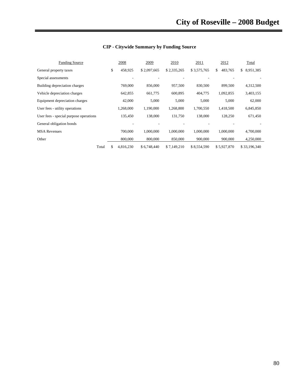| <b>Funding Source</b>                  | 2008            | 2009        | 2010        | 2011        | 2012          | Total           |
|----------------------------------------|-----------------|-------------|-------------|-------------|---------------|-----------------|
| General property taxes                 | \$<br>458,925   | \$2,097,665 | \$2,335,265 | \$3,575,765 | 483,765<br>\$ | 8,951,385<br>\$ |
| Special assessments                    |                 |             |             |             |               |                 |
| Building depreciation charges          | 769,000         | 856,000     | 957,500     | 830,500     | 899,500       | 4,312,500       |
| Vehicle depreciation charges           | 642,855         | 661,775     | 600,895     | 404,775     | 1,092,855     | 3,403,155       |
| Equipment depreciation charges         | 42,000          | 5,000       | 5,000       | 5,000       | 5,000         | 62,000          |
| User fees - utility operations         | 1,268,000       | 1,190,000   | 1,268,800   | 1,700,550   | 1,418,500     | 6,845,850       |
| User fees - special purpose operations | 135,450         | 138,000     | 131,750     | 138,000     | 128,250       | 671,450         |
| General obligation bonds               |                 |             |             |             |               |                 |
| <b>MSA Revenues</b>                    | 700,000         | 1,000,000   | 1,000,000   | 1,000,000   | 1,000,000     | 4,700,000       |
| Other                                  | 800,000         | 800,000     | 850,000     | 900,000     | 900,000       | 4,250,000       |
| Total                                  | \$<br>4,816,230 | \$6,748,440 | \$7,149,210 | \$8,554,590 | \$5,927,870   | \$33,196,340    |

# **CIP - Citywide Summary by Funding Source**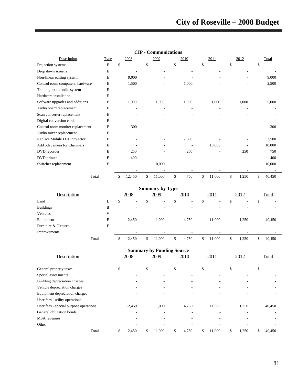| Description                      | <b>Type</b> | 2008            | 2009   | 2010        | 2011         | 2012        | Total  |
|----------------------------------|-------------|-----------------|--------|-------------|--------------|-------------|--------|
| Projection systems               | E           | \$<br>۰         | \$     | \$          | \$.          | \$.         | \$.    |
| Drop down screens                | E           |                 |        |             |              |             |        |
| Non-linear editing system        | E           | 9,000           |        |             |              |             | 9,000  |
| Control room computers, hardware | E           | 1,500           |        | 1,000       |              |             | 2,500  |
| Training room audio system       | E           | ٠               |        |             |              | ٠           |        |
| Hardware installation            | E           |                 |        |             |              |             |        |
| Software upgrades and additions  | E           | 1,000           | 1,000  | 1,000       | 1,000        | 1,000       | 5,000  |
| Audio board replacement          | E           |                 |        |             |              |             |        |
| Scan converter replacement       | E           | ۰               |        |             |              |             |        |
| Digital conversion cards         | E           |                 |        |             |              |             |        |
| Control room moniter replacement | E           | 300             |        |             |              |             | 300    |
| Audio mixer replacement          | E           |                 |        |             |              |             |        |
| Replace Mobile LCD projector     | E           | $\overline{a}$  |        | 2,500       |              | ٠           | 2,500  |
| Add 5th camera for Chambers      | E           |                 |        |             | 10,000       |             | 10,000 |
| DVD recorder                     | E           | 250             |        | 250         |              | 250         | 750    |
| DVD printer                      | E           | 400             |        |             |              |             | 400    |
| Switcher replacement             | E           | $\qquad \qquad$ | 10,000 |             |              |             | 10,000 |
|                                  |             |                 |        |             |              |             |        |
| Total                            |             | \$<br>12,450    | 11,000 | \$<br>4,750 | \$<br>11,000 | \$<br>1,250 | 40,450 |

# **CIP - Communications**

| <b>Summary by Type</b> |       |   |    |                          |    |                          |    |       |   |        |   |       |   |        |
|------------------------|-------|---|----|--------------------------|----|--------------------------|----|-------|---|--------|---|-------|---|--------|
| Description            |       |   |    | 2008                     |    | 2009                     |    | 2010  |   | 2011   |   | 2012  |   | Total  |
| Land                   |       |   | D  | $\overline{\phantom{a}}$ | \$ | $\overline{\phantom{a}}$ | \$ | -     | D |        | D | -     | Φ |        |
| <b>Buildings</b>       |       | B |    | ۰                        |    | $\overline{\phantom{a}}$ |    | -     |   | -      |   | ٠     |   |        |
| Vehicles               |       | V |    | ۰                        |    | $\overline{\phantom{a}}$ |    |       |   |        |   |       |   |        |
| Equipment              |       | E |    | 12,450                   |    | 11,000                   |    | 4,750 |   | 11,000 |   | 1,250 |   | 40,450 |
| Furniture & Fixtures   |       | F |    | ۰                        |    | $\overline{\phantom{a}}$ |    |       |   |        |   | -     |   |        |
| Improvements           |       |   |    | ٠                        |    | $\overline{\phantom{a}}$ |    | -     |   |        |   |       |   |        |
|                        | Total |   | \$ | 12,450                   |    | 11,000                   | S  | 4,750 | S | 11,000 |   | 1,250 |   | 40,450 |

| <b>Summary by Funding Source</b>       |    |        |    |        |    |       |    |        |    |       |    |        |  |  |
|----------------------------------------|----|--------|----|--------|----|-------|----|--------|----|-------|----|--------|--|--|
| Description                            |    | 2008   |    | 2009   |    | 2010  |    | 2011   |    | 2012  |    | Total  |  |  |
| General property taxes                 | \$ |        | \$ |        | \$ |       | \$ |        | \$ |       | \$ |        |  |  |
| Special assessments                    |    |        |    |        |    | ۰     |    |        |    | -     |    |        |  |  |
| Building depreciation charges          |    |        |    |        |    |       |    |        |    |       |    |        |  |  |
| Vehicle depreciation charges           |    |        |    |        |    | ۰     |    |        |    |       |    |        |  |  |
| Equipment depreciation charges         |    |        |    | -      |    | ٠     |    |        |    |       |    |        |  |  |
| User fees - utility operations         |    |        |    |        |    |       |    |        |    |       |    |        |  |  |
| User fees - special purpose operations |    | 12,450 |    | 11,000 |    | 4,750 |    | 11,000 |    | 1,250 |    | 40,450 |  |  |
| General obligation bonds               |    |        |    |        |    |       |    |        |    |       |    |        |  |  |
| <b>MSA</b> revenues                    |    |        |    |        |    |       |    |        |    |       |    |        |  |  |
| Other                                  |    |        |    |        |    |       |    |        |    |       |    |        |  |  |
| Total                                  | S  | 12,450 |    | 11,000 | \$ | 4,750 | \$ | 11,000 | \$ | 1,250 | \$ | 40,450 |  |  |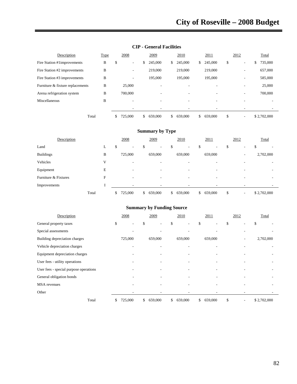| Description                      | <b>Type</b> | 2008                           |    | 2009    |    | 2010                     |    | 2011                     | 2012                           |    | Total       |
|----------------------------------|-------------|--------------------------------|----|---------|----|--------------------------|----|--------------------------|--------------------------------|----|-------------|
| Fire Station #1improvements      | B           | \$<br>$\overline{\phantom{a}}$ | \$ | 245,000 | S. | 245,000                  | \$ | 245,000                  | \$<br>$\overline{\phantom{a}}$ | Ъ. | 735,000     |
| Fire Station #2 improvements     | B           | $\overline{\phantom{a}}$       |    | 219,000 |    | 219,000                  |    | 219,000                  | ۰                              |    | 657,000     |
| Fire Station #3 improvements     | B           | $\overline{\phantom{a}}$       |    | 195,000 |    | 195,000                  |    | 195,000                  | $\overline{\phantom{a}}$       |    | 585,000     |
| Furniture & fixture replacements | B           | 25,000                         |    | ٠       |    |                          |    |                          | ۰                              |    | 25,000      |
| Arena refrigeration system       | B           | 700,000                        |    | ۰       |    | $\overline{\phantom{a}}$ |    | $\overline{\phantom{a}}$ | ۰                              |    | 700,000     |
| Miscellaneous                    | B           |                                |    | ۰       |    | ۰                        |    |                          |                                |    |             |
|                                  |             |                                |    | ٠       |    |                          |    |                          |                                |    |             |
| Total                            |             | 725.000<br>У                   | S. | 659,000 | \$ | 659,000                  | S. | 659,000                  | \$<br>٠                        |    | \$2,702,000 |

#### **CIP - General Facilities**

| <b>Summary by Type</b> |       |               |                               |                                |               |          |             |  |  |  |  |  |  |
|------------------------|-------|---------------|-------------------------------|--------------------------------|---------------|----------|-------------|--|--|--|--|--|--|
| Description            |       | 2008          | 2009                          | 2010                           | 2011          | 2012     | Total       |  |  |  |  |  |  |
| Land                   | L     | \$<br>۰       | $\overline{\phantom{a}}$<br>ъ | \$<br>$\overline{\phantom{a}}$ | \$<br>۰       | \$<br>۰  | \$          |  |  |  |  |  |  |
| <b>Buildings</b>       | B     | 725,000       | 659,000                       | 659,000                        | 659,000       | ٠.       | 2,702,000   |  |  |  |  |  |  |
| Vehicles               | V     | ۰             | $\overline{\phantom{a}}$      |                                |               | -        |             |  |  |  |  |  |  |
| Equipment              | E     | -             | ۰.                            | $\overline{\phantom{a}}$       |               | ۰        |             |  |  |  |  |  |  |
| Furniture & Fixtures   | F     | ۰             | ٠                             | $\overline{\phantom{a}}$       |               | ۰        |             |  |  |  |  |  |  |
| Improvements           |       |               |                               |                                |               |          |             |  |  |  |  |  |  |
|                        | Total | 725,000<br>\$ | 659,000<br>\$                 | 659,000<br>\$                  | \$<br>659,000 | \$<br>۰. | \$2,702,000 |  |  |  |  |  |  |

| Description                            | 2008                     | 2009          | 2010          | 2011          | 2012                           | Total       |  |
|----------------------------------------|--------------------------|---------------|---------------|---------------|--------------------------------|-------------|--|
| General property taxes                 | \$                       | \$            | \$            | \$            | \$                             | \$          |  |
| Special assessments                    |                          |               |               |               |                                |             |  |
| Building depreciation charges          | 725,000                  | 659,000       | 659,000       | 659,000       | ٠                              | 2,702,000   |  |
| Vehicle depreciation charges           | $\overline{\phantom{a}}$ |               |               |               |                                |             |  |
| Equipment depreciation charges         |                          |               |               |               |                                |             |  |
| User fees - utility operations         |                          |               |               |               |                                |             |  |
| User fees - special purpose operations |                          |               |               |               |                                |             |  |
| General obligation bonds               |                          |               |               |               |                                |             |  |
| <b>MSA</b> revenues                    |                          |               |               |               |                                |             |  |
| Other                                  |                          |               |               |               |                                |             |  |
| Total                                  | \$<br>725,000            | \$<br>659,000 | \$<br>659,000 | \$<br>659,000 | \$<br>$\overline{\phantom{a}}$ | \$2,702,000 |  |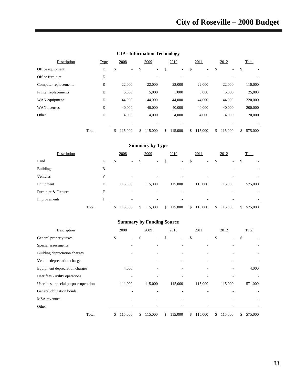| Office equipment      |       | $\mathbf E$  | \$            | \$                     | \$           | L.             | \$            | \$            | \$            |
|-----------------------|-------|--------------|---------------|------------------------|--------------|----------------|---------------|---------------|---------------|
| Office furniture      |       | $\mathbf E$  |               |                        |              |                |               |               |               |
| Computer replacements |       | ${\bf E}$    | 22,000        | 22,000                 |              | 22,000         | 22,000        | 22,000        | 110,000       |
| Printer replacements  |       | $\mathbf E$  | 5,000         | 5,000                  |              | 5,000          | 5,000         | 5,000         | 25,000        |
| WAN equipment         |       | ${\bf E}$    | 44,000        | 44,000                 |              | 44,000         | 44,000        | 44,000        | 220,000       |
| <b>WAN</b> licenses   |       | ${\bf E}$    | 40,000        | 40,000                 |              | 40,000         | 40,000        | 40,000        | 200,000       |
| Other                 |       | ${\bf E}$    | 4,000         | 4,000                  |              | 4,000          | 4,000         | 4,000         | 20,000        |
|                       |       |              |               |                        |              |                |               |               |               |
|                       | Total |              | \$<br>115,000 | \$<br>115,000          | \$           | 115,000        | \$<br>115,000 | \$<br>115,000 | \$<br>575,000 |
|                       |       |              |               |                        |              |                |               |               |               |
|                       |       |              |               | <b>Summary by Type</b> |              |                |               |               |               |
| Description           |       |              | 2008          | 2009                   |              | 2010           | 2011          | 2012          | Total         |
| Land                  |       | L            | \$            | \$                     | \$           | $\overline{a}$ | \$            | \$            | \$            |
| <b>Buildings</b>      |       | $\, {\bf B}$ |               |                        |              |                |               |               |               |
| Vehicles              |       | V            |               |                        |              |                |               |               |               |
| Equipment             |       | ${\bf E}$    | 115,000       | 115,000                |              | 115,000        | 115,000       | 115,000       | 575,000       |
| Furniture & Fixtures  |       | ${\bf F}$    |               |                        |              |                |               |               |               |
| Improvements          |       | I            |               |                        |              |                |               |               |               |
|                       | Total |              | \$<br>115,000 | \$<br>115,000          | $\mathbb{S}$ | 115,000        | \$<br>115,000 | \$<br>115,000 | \$<br>575,000 |
|                       |       |              |               |                        |              |                |               |               |               |
|                       |       |              |               |                        |              |                |               |               |               |

#### **CIP - Information Technology**

**Description** Type 2008 2009 2010 2011 2012 Total

| Description                            | 2008                     | 2009          | 2010                           | 2011          |    | 2012    | Total         |
|----------------------------------------|--------------------------|---------------|--------------------------------|---------------|----|---------|---------------|
| General property taxes                 | \$<br>۰                  | \$            | \$<br>$\overline{\phantom{a}}$ | \$            | \$ |         | \$            |
| Special assessments                    |                          |               |                                |               |    |         |               |
| Building depreciation charges          |                          |               |                                |               |    |         |               |
| Vehicle depreciation charges           |                          |               |                                |               |    |         |               |
| Equipment depreciation charges         | 4,000                    |               |                                |               |    |         | 4,000         |
| User fees - utility operations         | $\overline{\phantom{a}}$ |               |                                |               |    |         |               |
| User fees - special purpose operations | 111,000                  | 115,000       | 115,000                        | 115,000       |    | 115,000 | 571,000       |
| General obligation bonds               |                          |               |                                |               |    |         |               |
| <b>MSA</b> revenues                    |                          |               |                                |               |    |         |               |
| Other                                  |                          |               |                                |               |    |         |               |
| Total                                  | \$<br>115,000            | \$<br>115,000 | \$<br>115,000                  | \$<br>115,000 | S. | 115,000 | \$<br>575,000 |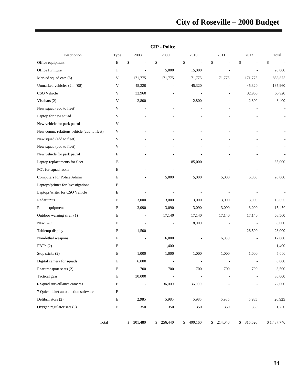|                                            |                           |            | աււ            |           |                |                          |                          |
|--------------------------------------------|---------------------------|------------|----------------|-----------|----------------|--------------------------|--------------------------|
| Description                                | <b>Type</b>               | 2008       | 2009           | 2010      | 2011           | 2012                     | Total                    |
| Office equipment                           | E                         | \$         | \$<br>L,       | \$        | \$             | \$                       | \$                       |
| Office furniture                           | $\boldsymbol{\mathrm{F}}$ |            | 5,000          | 15,000    |                |                          | 20,000                   |
| Marked squad cars (6)                      | V                         | 171,775    | 171,775        | 171,775   | 171,775        | 171,775                  | 858,875                  |
| Unmarked vehicles (2 in '08)               | $\ensuremath{\mathsf{V}}$ | 45,320     |                | 45,320    |                | 45,320                   | 135,960                  |
| CSO Vehicle                                | V                         | 32,960     |                |           |                | 32,960                   | 65,920                   |
| Visabars (2)                               | V                         | 2,800      |                | 2,800     |                | 2,800                    | 8,400                    |
| New squad (add to fleet)                   | $\mathbf V$               |            |                |           |                |                          | $\overline{\phantom{a}}$ |
| Laptop for new squad                       | V                         |            |                |           |                |                          |                          |
| New vehicle for park patrol                | V                         |            |                |           |                |                          |                          |
| New comm. relations vehicle (add to fleet) | V                         |            |                |           |                |                          |                          |
| New squad (add to fleet)                   | $\mathbf V$               |            |                |           |                |                          |                          |
| New squad (add to fleet)                   | V                         |            |                |           |                |                          |                          |
| New vehicle for park patrol                | E                         |            |                |           |                |                          |                          |
| Laptop replacements for fleet              | E                         |            |                | 85,000    |                |                          | 85,000                   |
| PC's for squad room                        | Е                         |            |                |           |                |                          | $\overline{a}$           |
| Computers for Police Admin                 | Ε                         |            | 5,000          | 5,000     | 5,000          | 5,000                    | 20,000                   |
| Laptops/printer for Investigations         | E                         |            |                |           |                |                          |                          |
| Laptops/writer for CSO Vehicle             | Е                         |            |                |           |                |                          |                          |
| Radar units                                | E                         | 3,000      | 3,000          | 3,000     | 3,000          | 3,000                    | 15,000                   |
| Radio equipment                            | E                         | 3,090      | 3,090          | 3,090     | 3,090          | 3,090                    | 15,450                   |
| Outdoor warning siren (1)                  | E                         |            | 17,140         | 17,140    | 17,140         | 17,140                   | 68,560                   |
| New K-9                                    | E                         | Ĭ.         | $\overline{a}$ | 8,000     | $\overline{a}$ | $\overline{\phantom{a}}$ | 8,000                    |
| Tabletop display                           | $\mathbf E$               | 1,500      |                |           |                | 26,500                   | 28,000                   |
| Non-lethal weapons                         | E                         |            | 6,000          |           | 6,000          |                          | 12,000                   |
| PBT's $(2)$                                | E                         |            | 1,400          |           |                |                          | 1,400                    |
| Stop sticks (2)                            | E                         | 1,000      | 1,000          | 1,000     | 1,000          | 1,000                    | 5,000                    |
| Digital camera for squads                  | E                         | 6,000      | L,             |           |                |                          | 6,000                    |
| Rear transport seats (2)                   | $\mathbf E$               | 700        | 700            | 700       | 700            | 700                      | 3,500                    |
| Tactical gear                              | E                         | 30,000     |                |           |                |                          | 30,000                   |
| 6 Squad surveillance cameras               | $\mathbf E$               |            | 36,000         | 36,000    |                |                          | 72,000                   |
| 7 Quick ticket auto citation software      | ${\bf E}$                 |            |                |           |                |                          |                          |
| Defibrillators (2)                         | E                         | 2,985      | 5,985          | 5,985     | 5,985          | 5,985                    | 26,925                   |
| Oxygen regulator sets (3)                  | $\mathbf E$               | 350        | 350            | 350       | 350            | 350                      | 1,750                    |
|                                            |                           |            |                |           |                |                          |                          |
| Total                                      |                           | \$ 301,480 | 256,440<br>\$  | \$400,160 | \$214,040      | \$ 315,620               | \$1,487,740              |

 $\overline{a}$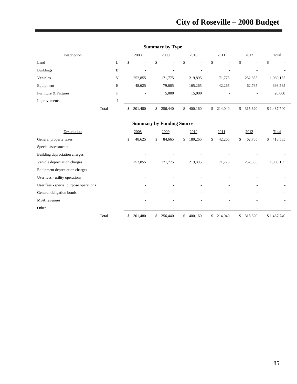| <b>Summary by Type</b> |  |  |
|------------------------|--|--|
|------------------------|--|--|

| Description          |       |    | 2008    |    | 2009                     | 2010                     | 2011                     | 2012                           |             | Total     |
|----------------------|-------|----|---------|----|--------------------------|--------------------------|--------------------------|--------------------------------|-------------|-----------|
| Land                 | L     | P  | ۰       | Φ  | $\overline{\phantom{a}}$ | \$<br>۰                  | \$<br>٠                  | \$<br>$\overline{\phantom{a}}$ | \$          |           |
| <b>Buildings</b>     | B     |    | ۰       |    | ۰                        | $\overline{\phantom{a}}$ | ۰                        | ۰                              |             |           |
| Vehicles             |       |    | 252,855 |    | 171,775                  | 219,895                  | 171,775                  | 252,855                        |             | 1,069,155 |
| Equipment            | E     |    | 48,625  |    | 79,665                   | 165,265                  | 42,265                   | 62,765                         |             | 398,585   |
| Furniture & Fixtures | F     |    | Ξ.      |    | 5,000                    | 15,000                   | $\overline{\phantom{a}}$ | ۰                              |             | 20,000    |
| Improvements         |       |    | ۰.      |    | $\overline{\phantom{a}}$ | ۰.                       | ۰                        | $\overline{\phantom{0}}$       |             |           |
|                      | Total | \$ | 301,480 | S. | 256,440                  | \$<br>400,160            | \$<br>214,040            | \$<br>315,620                  | \$1,487,740 |           |

| Description                            | 2008                     | 2009                     | 2010          | 2011          | 2012          | Total                   |
|----------------------------------------|--------------------------|--------------------------|---------------|---------------|---------------|-------------------------|
| General property taxes                 | \$<br>48,625             | \$<br>84,665             | \$<br>180,265 | \$<br>42,265  | 62,765<br>\$  | $\mathbb{S}$<br>418,585 |
| Special assessments                    | ٠                        | $\overline{\phantom{a}}$ |               |               |               |                         |
| Building depreciation charges          | $\overline{\phantom{a}}$ | $\overline{\phantom{a}}$ | ٠             | ٠             |               |                         |
| Vehicle depreciation charges           | 252,855                  | 171,775                  | 219,895       | 171,775       | 252,855       | 1,069,155               |
| Equipment depreciation charges         | ٠                        | $\overline{\phantom{a}}$ |               |               |               |                         |
| User fees - utility operations         |                          | $\overline{\phantom{a}}$ | ٠             | ٠             |               |                         |
| User fees - special purpose operations |                          |                          |               |               |               |                         |
| General obligation bonds               |                          | $\overline{\phantom{a}}$ | ٠             |               |               |                         |
| <b>MSA</b> revenues                    | $\overline{\phantom{a}}$ | $\overline{\phantom{a}}$ | ۰.            | ۰             |               |                         |
| Other                                  | $\overline{\phantom{a}}$ | $\overline{\phantom{a}}$ | -             | ٠             |               |                         |
| Total                                  | \$<br>301,480            | \$<br>256,440            | \$<br>400,160 | \$<br>214,040 | \$<br>315,620 | \$1,487,740             |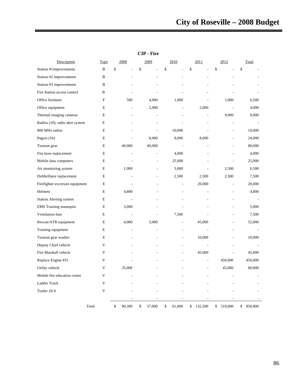| Description                     | <b>Type</b>  | 2008           | <u>2009</u>  | 2010         | <u>2011</u>   | 2012                     | <b>Total</b>  |
|---------------------------------|--------------|----------------|--------------|--------------|---------------|--------------------------|---------------|
| Station #1improvements          | $\, {\bf B}$ | \$             | \$           | \$           | \$            | \$                       | \$            |
| Station #2 improvements         | B            |                |              |              |               |                          |               |
| Station #3 improvements         | B            |                |              |              |               |                          |               |
| Fire Station access control     | B            |                |              |              |               |                          |               |
| Office furniture                | $\mathbf F$  | 500            | 4,000        | 1,000        |               | 1,000                    | 6,500         |
| Office equipment                | E            |                | 2,000        |              | 2,000         | $\overline{\phantom{a}}$ | 4,000         |
| Thermal imaging cameras         | E            |                |              |              |               | 9,000                    | 9,000         |
| Radios (10), radio alert system | E            |                |              |              |               |                          |               |
| 800 MHz radios                  | E            |                |              | 10,000       |               |                          | 10,000        |
| Pagers (16)                     | E            | $\overline{a}$ | 8,000        | 8,000        | 8,000         |                          | 24,000        |
| Turnout gear                    | E            | 40,000         | 40,000       |              |               |                          | 80,000        |
| Fire hose replacement           | E            |                |              | 4,000        |               |                          | 4,000         |
| Mobile data computers           | E            |                |              | 25,000       |               |                          | 25,000        |
| Air monitoring system           | E            | 1,000          |              | 3,000        |               | 2,500                    | 6,500         |
| Defibrillator replacement       | E            |                |              | 2,500        | 2,500         | 2,500                    | 7,500         |
| Firefighter excersize equipment | $\mathbf E$  |                |              |              | 20,000        | L.                       | 20,000        |
| Helmets                         | E            | 4,800          |              |              |               |                          | 4,800         |
| <b>Station Alerting system</b>  | ${\bf E}$    |                |              |              |               |                          |               |
| <b>EMS</b> Training manequin    | E            | 5,000          |              |              |               |                          | 5,000         |
| Ventilation fans                | Е            | L,             | ä,           | 7,500        |               |                          | 7,500         |
| Rescue/ATR equipment            | E            | 4,000          | 3,000        |              | 45,000        |                          | 52,000        |
| Training equipment              | E            | ÷.             | L.           | ÷.           | L,            |                          |               |
| Turnout gear washer             | E            |                |              |              | 10,000        |                          | 10,000        |
| Deputy Chief vehicle            | V            |                |              |              |               |                          |               |
| Fire Marshall vehicle           | V            |                |              |              | 45,000        |                          | 45,000        |
| Replace Engine #31              | V            |                |              |              |               | 450,000                  | 450,000       |
| Utility vehicle                 | V            | 35,000         |              |              |               | 45,000                   | 80,000        |
| Mobile fire education center    | V            |                |              |              |               |                          |               |
| Ladder Truck                    | V            |                |              |              |               |                          |               |
| Trailer 24 ft                   | V            |                |              |              |               |                          |               |
|                                 |              |                |              |              |               |                          |               |
|                                 | Total        | \$<br>90,300   | \$<br>57,000 | \$<br>61,000 | \$<br>132,500 | \$<br>510,000            | \$<br>850,800 |

**CIP - Fire**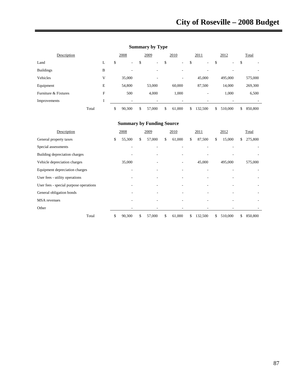| Description          |       |   | 2008         | 2009                           |        | 2010                     |    | 2011                     | 2012          | Total         |
|----------------------|-------|---|--------------|--------------------------------|--------|--------------------------|----|--------------------------|---------------|---------------|
| Land                 |       | L | \$<br>٠      | \$<br>$\overline{\phantom{a}}$ | Φ<br>Φ | ۰                        | \$ | ۰.                       | \$<br>-       | \$            |
| <b>Buildings</b>     |       | B | -            |                                |        | ۰                        |    | $\overline{\phantom{a}}$ |               |               |
| Vehicles             |       | V | 35,000       | ۰                              |        | $\overline{\phantom{a}}$ |    | 45,000                   | 495,000       | 575,000       |
| Equipment            |       | E | 54,800       | 53,000                         |        | 60,000                   |    | 87,500                   | 14,000        | 269,300       |
| Furniture & Fixtures |       | F | 500          | 4,000                          |        | 1,000                    |    | $\overline{\phantom{a}}$ | 1,000         | 6,500         |
| Improvements         |       |   | -            |                                |        | -                        |    |                          |               |               |
|                      | Total |   | \$<br>90,300 | \$<br>57,000                   | \$     | 61,000                   | S. | 132,500                  | \$<br>510,000 | \$<br>850,800 |

# **Summary by Type**

| Description                            | 2008                     | 2009         | 2010                     |    | 2011    | 2012          | Total         |
|----------------------------------------|--------------------------|--------------|--------------------------|----|---------|---------------|---------------|
| General property taxes                 | \$<br>55,300             | \$<br>57,000 | \$<br>61,000             | \$ | 87,500  | \$<br>15,000  | \$<br>275,800 |
| Special assessments                    | $\overline{\phantom{a}}$ |              | $\overline{\phantom{0}}$ |    |         |               |               |
| Building depreciation charges          |                          |              | ۰                        |    |         |               |               |
| Vehicle depreciation charges           | 35,000                   |              | ۰                        |    | 45,000  | 495,000       | 575,000       |
| Equipment depreciation charges         |                          |              |                          |    |         |               |               |
| User fees - utility operations         |                          |              | ٠                        |    |         |               |               |
| User fees - special purpose operations |                          |              | $\overline{\phantom{0}}$ |    |         |               |               |
| General obligation bonds               |                          |              |                          |    |         |               |               |
| <b>MSA</b> revenues                    |                          |              |                          |    |         |               |               |
| Other                                  |                          |              |                          |    |         |               |               |
| Total                                  | \$<br>90,300             | \$<br>57,000 | \$<br>61,000             | S  | 132,500 | \$<br>510,000 | \$<br>850,800 |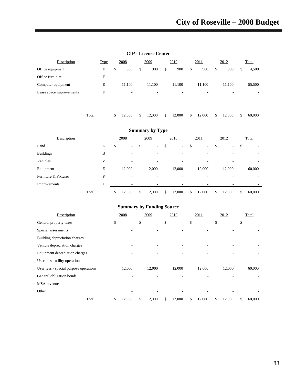| Description              |       | <b>Type</b> | 2008         | 2009         | 2010                     | 2011         | 2012         | Total        |
|--------------------------|-------|-------------|--------------|--------------|--------------------------|--------------|--------------|--------------|
| Office equipment         |       | E           | \$<br>900    | \$<br>900    | \$<br>900                | \$<br>900    | \$<br>900    | \$<br>4,500  |
| Office furniture         |       | F           | ۰            | ۰            | -                        | -            |              |              |
| Computer equipment       |       | E           | 11,100       | 11,100       | 11,100                   | 11,100       | 11,100       | 55,500       |
| Lease space improvements |       | F           | -            | -            | $\overline{\phantom{0}}$ | -            | ۰            |              |
|                          |       |             |              | ۰            | -                        |              |              |              |
|                          |       |             |              |              |                          |              |              |              |
|                          | Total |             | \$<br>12,000 | \$<br>12,000 | 12,000                   | \$<br>12,000 | \$<br>12.000 | \$<br>60,000 |

#### **CIP - License Center**

#### **Summary by Type**

| Description          |       |   | 2008         | 2009         | 2010                     |        | 2011                     | 2012         | Total        |
|----------------------|-------|---|--------------|--------------|--------------------------|--------|--------------------------|--------------|--------------|
| Land                 |       | ┻ | \$<br>۰      | \$<br>٠      | \$<br>$\sim$             | đ<br>ъ | ۰.                       | \$<br>۰      | \$<br>-      |
| <b>Buildings</b>     |       | B |              |              | -                        |        |                          |              |              |
| Vehicles             |       | V | -            | ٠            | ۰                        |        | $\overline{\phantom{a}}$ | ۰            | ٠            |
| Equipment            |       | E | 12,000       | 12,000       | 12,000                   |        | 12,000                   | 12,000       | 60,000       |
| Furniture & Fixtures |       | F | -            | -            | $\overline{\phantom{a}}$ |        |                          |              |              |
| Improvements         |       |   | -            |              | -                        |        | ۰                        |              |              |
|                      | Total |   | \$<br>12,000 | \$<br>12,000 | \$<br>12,000             | \$     | 12,000                   | \$<br>12,000 | \$<br>60,000 |

| Description                            | 2008         | 2009         |    | 2010   | 2011         | 2012         | Total                    |
|----------------------------------------|--------------|--------------|----|--------|--------------|--------------|--------------------------|
| General property taxes                 | \$<br>۰.     | \$<br>-      | \$ | ۰.     | \$<br>-      | \$<br>۰      | \$                       |
| Special assessments                    |              |              |    |        |              |              |                          |
| Building depreciation charges          |              |              |    |        |              |              |                          |
| Vehicle depreciation charges           |              |              |    |        |              |              | $\overline{\phantom{a}}$ |
| Equipment depreciation charges         |              |              |    |        |              |              | ٠                        |
| User fees - utility operations         |              |              |    |        |              |              |                          |
| User fees - special purpose operations | 12,000       | 12,000       |    | 12,000 | 12,000       | 12,000       | 60,000                   |
| General obligation bonds               |              |              |    |        |              |              |                          |
| <b>MSA</b> revenues                    |              |              |    |        |              |              |                          |
| Other                                  |              |              |    |        |              |              |                          |
| Total                                  | \$<br>12,000 | \$<br>12,000 | S. | 12,000 | \$<br>12,000 | \$<br>12,000 | \$<br>60,000             |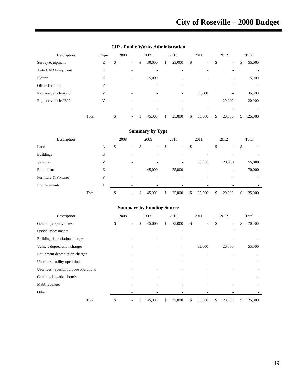| Description          | <b>Type</b> | 2008 |                          | 2009         | 2010                     | 2011                           | 2012                           | Total         |
|----------------------|-------------|------|--------------------------|--------------|--------------------------|--------------------------------|--------------------------------|---------------|
| Survey equipment     | E           | \$   | $\overline{\phantom{0}}$ | \$<br>30,000 | \$<br>25,000             | \$<br>$\overline{\phantom{0}}$ | \$<br>$\overline{\phantom{a}}$ | \$<br>55,000  |
| Auto CAD Equipment   | E           |      |                          |              |                          |                                |                                |               |
| Plotter              | E           |      | -                        | 15,000       | ٠                        | ٠                              | ٠                              | 15,000        |
| Office furniture     | F           |      |                          |              | ٠                        |                                |                                |               |
| Replace vehicle #303 | V           |      | ۰                        | ٠            | $\overline{\phantom{a}}$ | 35,000                         | $\overline{\phantom{a}}$       | 35,000        |
| Replace vehicle #302 | V           |      |                          | ۰            | ٠                        | -                              | 20,000                         | 20,000        |
|                      |             |      |                          |              | ۰                        | -                              |                                |               |
|                      | Total       | \$   | ۰.                       | \$<br>45,000 | \$<br>25,000             | \$<br>35,000                   | \$<br>20,000                   | \$<br>125,000 |

#### **CIP - Public Works Administration**

#### **Summary by Type**

| Description          |       | 2008 |                          | 2009         | 2010                     | 2011                     | 2012                           | Total         |
|----------------------|-------|------|--------------------------|--------------|--------------------------|--------------------------|--------------------------------|---------------|
| Land                 | L     | \$   | $\overline{\phantom{a}}$ | \$<br>٠      | \$<br>н.                 | \$<br>$\sim$             | \$<br>$\overline{\phantom{a}}$ | \$<br>-       |
| <b>Buildings</b>     | B     |      | ۰                        | ۰            | $\overline{\phantom{a}}$ | $\overline{\phantom{a}}$ | ۰                              |               |
| Vehicles             | V     |      | $\overline{\phantom{a}}$ |              | $\overline{\phantom{a}}$ | 35,000                   | 20,000                         | 55,000        |
| Equipment            | E     |      | $\overline{\phantom{a}}$ | 45,000       | 25,000                   | $\overline{\phantom{a}}$ | $\overline{\phantom{a}}$       | 70,000        |
| Furniture & Fixtures | F     |      |                          |              |                          |                          |                                |               |
| Improvements         |       |      | -                        |              | -                        |                          |                                |               |
|                      | Total | \$   | $\overline{\phantom{a}}$ | \$<br>45,000 | \$<br>25,000             | \$<br>35,000             | \$<br>20,000                   | \$<br>125,000 |

| Description                            | 2008                           | 2009         | 2010         | 2011         | 2012         | Total                    |
|----------------------------------------|--------------------------------|--------------|--------------|--------------|--------------|--------------------------|
| General property taxes                 | \$<br>$\overline{\phantom{a}}$ | \$<br>45,000 | \$<br>25,000 | \$           | \$           | \$<br>70,000             |
| Special assessments                    |                                |              |              |              |              | $\overline{\phantom{a}}$ |
| Building depreciation charges          |                                |              |              |              |              |                          |
| Vehicle depreciation charges           |                                |              |              | 35,000       | 20,000       | 55,000                   |
| Equipment depreciation charges         |                                |              |              |              |              |                          |
| User fees - utility operations         |                                |              |              |              |              | -                        |
| User fees - special purpose operations |                                |              |              |              |              | ٠                        |
| General obligation bonds               |                                |              |              |              |              | ٠                        |
| <b>MSA</b> revenues                    |                                |              |              |              |              | ٠                        |
| Other                                  |                                |              |              |              |              |                          |
| Total                                  | \$<br>٠                        | \$<br>45,000 | \$<br>25,000 | \$<br>35,000 | \$<br>20,000 | \$<br>125,000            |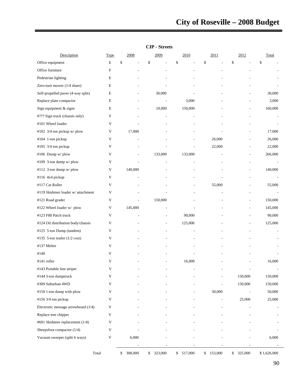| Description                         | <b>Type</b>               | 2008                     | 2009      | 2010       | 2011      | 2012                     | Total                    |
|-------------------------------------|---------------------------|--------------------------|-----------|------------|-----------|--------------------------|--------------------------|
| Office equipment                    | ${\bf E}$                 | \$                       | \$        | \$         | \$        | \$                       | \$                       |
| Office furniture                    | $\boldsymbol{\mathrm{F}}$ | L,                       |           |            |           |                          |                          |
| Pedestrian lighting                 | Е                         |                          |           |            |           |                          |                          |
| Zero-turn mower (1/4 share)         | Е                         |                          |           |            |           |                          |                          |
| Self-propelled paver (4-way split)  | E                         |                          | 30,000    |            |           | $\overline{a}$           | 30,000                   |
| Replace plate compactor             | E                         | ÷,                       |           | 3,000      |           |                          | 3,000                    |
| Sign equipment & signs              | Е                         |                          | 10,000    | 150,000    |           |                          | 160,000                  |
| #??? Sign truck (chassis only)      | V                         |                          |           |            |           | L,                       | $\overline{a}$           |
| #101 Wheel loader                   | V                         |                          |           |            |           |                          |                          |
| #102 3/4 ton pickup w/ plow         | $\ensuremath{\mathsf{V}}$ | 17,000                   |           |            |           |                          | 17,000                   |
| #104 1-ton pickup                   | V                         | L,                       |           |            | 26,000    | $\overline{a}$           | 26,000                   |
| #105 3/4 ton pickup                 | V                         |                          |           |            | 22,000    |                          | 22,000                   |
| #106 Dump w/plow                    | V                         | $\overline{a}$           | 133,000   | 133,000    |           |                          | 266,000                  |
| #109 3-ton dump w/ plow             | V                         | $\overline{a}$           |           |            |           | $\overline{\phantom{a}}$ | $\overline{\phantom{a}}$ |
| #112 3-ton dump w/ plow             | V                         | 140,000                  |           |            |           | $\overline{a}$           | 140,000                  |
| #116 4x4 pickup                     | V                         |                          |           |            |           |                          |                          |
| #117 Cat Roller                     | V                         |                          |           |            | 55,000    |                          | 55,000                   |
| #119 Skidsteer loader w/attachment  | $\mathbf V$               |                          |           |            |           |                          |                          |
| #121 Road grader                    | V                         | $\overline{\phantom{a}}$ | 150,000   |            |           |                          | 150,000                  |
| #122 Wheel loader w/ plow           | V                         | 145,000                  |           |            |           |                          | 145,000                  |
| #123 F80 Patch truck                | V                         |                          |           | 90,000     |           | $\overline{\phantom{a}}$ | 90,000                   |
| #124 Oil distribution body/chassis  | V                         |                          |           | 125,000    |           |                          | 125,000                  |
| #125 5-ton Dump (tandem)            | V                         |                          |           |            |           |                          | $\overline{a}$           |
| #135 5-ton trailer (1/2 cost)       | V                         |                          |           |            |           |                          | $\overline{a}$           |
| #137 Melter                         | V                         |                          |           |            |           |                          |                          |
| #140                                | V                         |                          |           |            |           |                          |                          |
| #141 roller                         | V                         |                          |           | 16,000     |           |                          | 16,000                   |
| #143 Portable line striper          | v                         |                          |           |            |           |                          |                          |
| #144 3-ton dumptruck                | V                         |                          |           |            |           | 150,000                  | 150,000                  |
| #309 Suburban 4WD                   | V                         |                          |           |            |           | 150,000                  | 150,000                  |
| #150 1-ton dump with plow           | V                         |                          |           |            | 50,000    |                          | 50,000                   |
| #156 3/4 ton pickup                 | V                         |                          |           |            |           | 25,000                   | 25,000                   |
| Electronic message arrowboard (1/4) | V                         |                          |           |            |           |                          |                          |
| Replace tree chipper                | V                         |                          |           |            |           |                          |                          |
| #601 Skidsteer replacement (1/4)    | V                         |                          |           |            |           |                          |                          |
| Sheepsfoot compactor (1/4)          | V                         |                          |           |            |           |                          |                          |
| Vacuum sweeper (split 6 ways)       | V                         | 6,000                    |           |            |           |                          | 6,000                    |
|                                     |                           |                          |           |            |           | $\overline{\phantom{a}}$ | $\overline{\phantom{a}}$ |
| Total                               |                           | \$308,000                | \$323,000 | \$ 517,000 | \$153,000 | \$ 325,000               | \$1,626,000              |

#### **CIP - Streets**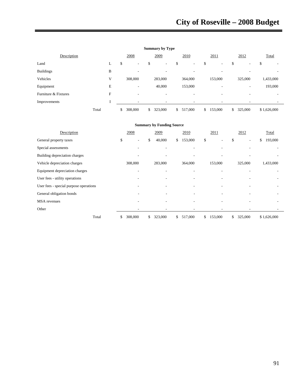|                      |       |                          | <b>Summary by Type</b>         |                |                          |        |         |               |             |           |
|----------------------|-------|--------------------------|--------------------------------|----------------|--------------------------|--------|---------|---------------|-------------|-----------|
| Description          |       | 2008                     | 2009                           |                | 2010                     |        | 2011    | 2012          |             | Total     |
| Land                 | L     | \$<br>٠                  | \$<br>$\overline{\phantom{a}}$ | Φ              | $\overline{\phantom{a}}$ | ¢<br>Φ | $\sim$  | \$<br>۰       | \$          |           |
| <b>Buildings</b>     | B     | ۰                        |                                |                |                          |        |         |               |             |           |
| Vehicles             | V     | 308,000                  | 283,000                        |                | 364,000                  |        | 153,000 | 325,000       |             | 1,433,000 |
| Equipment            | E     | $\overline{\phantom{a}}$ | 40,000                         |                | 153,000                  |        | -       | -             |             | 193,000   |
| Furniture & Fixtures | F     | ۰                        |                                |                |                          |        |         | ۰             |             |           |
| Improvements         |       |                          |                                |                |                          |        |         |               |             |           |
|                      | Total | \$<br>308,000            | \$<br>323,000                  | $\mathbb{S}^-$ | 517,000                  | \$     | 153,000 | \$<br>325,000 | \$1,626,000 |           |

| <b>Summary by Funding Source</b>       |               |               |               |               |               |                          |  |  |  |  |  |  |
|----------------------------------------|---------------|---------------|---------------|---------------|---------------|--------------------------|--|--|--|--|--|--|
| Description                            | 2008          | 2009          | 2010          | 2011          | 2012          | Total                    |  |  |  |  |  |  |
| General property taxes                 | \$<br>٠       | \$<br>40,000  | 153,000<br>\$ | \$            | \$<br>٠       | 193,000<br>\$            |  |  |  |  |  |  |
| Special assessments                    |               |               |               |               |               |                          |  |  |  |  |  |  |
| Building depreciation charges          |               |               |               |               |               |                          |  |  |  |  |  |  |
| Vehicle depreciation charges           | 308,000       | 283,000       | 364,000       | 153,000       | 325,000       | 1,433,000                |  |  |  |  |  |  |
| Equipment depreciation charges         |               |               | ٠             |               |               |                          |  |  |  |  |  |  |
| User fees - utility operations         |               |               |               |               |               |                          |  |  |  |  |  |  |
| User fees - special purpose operations |               |               | ۰             |               |               |                          |  |  |  |  |  |  |
| General obligation bonds               |               |               | ٠             |               |               | $\overline{\phantom{a}}$ |  |  |  |  |  |  |
| MSA revenues                           |               |               |               |               |               |                          |  |  |  |  |  |  |
| Other                                  | ٠             |               |               |               |               |                          |  |  |  |  |  |  |
| Total                                  | 308,000<br>\$ | \$<br>323,000 | 517,000<br>\$ | \$<br>153,000 | 325,000<br>\$ | \$1,626,000              |  |  |  |  |  |  |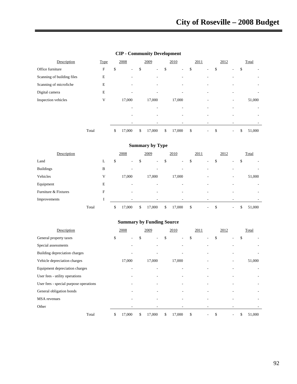| Description                |       | <b>Type</b>               | 2008                           | 2009                           | 2010                     | 2011 |                          | 2012 |                          | Total        |
|----------------------------|-------|---------------------------|--------------------------------|--------------------------------|--------------------------|------|--------------------------|------|--------------------------|--------------|
| Office furniture           |       | $\boldsymbol{\mathrm{F}}$ | \$<br>$\overline{\phantom{a}}$ | \$<br>$\overline{\phantom{a}}$ | \$<br>$\sim$             | \$   | $\sim$                   | \$   | ۰.                       | \$           |
| Scanning of building files |       | E                         | -                              |                                | $\overline{\phantom{a}}$ |      |                          |      |                          |              |
| Scanning of microfiche     |       | E                         | -                              | ۰                              | $\overline{\phantom{a}}$ |      | $\overline{\phantom{a}}$ |      |                          |              |
| Digital camera             |       | E                         |                                |                                |                          |      |                          |      |                          |              |
| Inspection vehicles        |       | V                         | 17,000                         | 17,000                         | 17,000                   |      | ۰                        |      | $\overline{\phantom{a}}$ | 51,000       |
|                            |       |                           |                                |                                | ٠                        |      |                          |      |                          |              |
|                            |       |                           |                                |                                | ٠                        |      |                          |      |                          |              |
|                            |       |                           |                                |                                |                          |      |                          |      |                          |              |
|                            | Total |                           | \$<br>17,000                   | \$<br>17,000                   | \$<br>17,000             | \$   | $\sim$                   | \$   | ٠                        | \$<br>51,000 |

#### **CIP - Community Development**

#### **Summary by Type**

| Description          |       |   | 2008         | 2009         | 2010                     | 2011 |                          | 2012 |        |    | Total  |
|----------------------|-------|---|--------------|--------------|--------------------------|------|--------------------------|------|--------|----|--------|
| Land                 |       | L | \$<br>$\sim$ | \$<br>۰.     | \$<br>$\sim$             | \$   | $\sim$                   | \$   | ۰      | \$ | -      |
| <b>Buildings</b>     |       | B | -            | -            | $\overline{\phantom{a}}$ |      |                          |      |        |    |        |
| Vehicles             |       | V | 17,000       | 17,000       | 17,000                   |      | $\overline{\phantom{a}}$ |      | ٠.     |    | 51,000 |
| Equipment            |       | E | -            | -            | -                        |      |                          |      |        |    |        |
| Furniture & Fixtures |       | F | -            | ٠            | $\overline{\phantom{a}}$ |      | -                        |      | ۰      |    | -      |
| Improvements         |       | I |              |              | -                        |      |                          |      |        |    |        |
|                      | Total |   | \$<br>17,000 | \$<br>17,000 | \$<br>17,000             | \$   | $\sim$                   | S    | $\sim$ | S  | 51,000 |

| Description                            | 2008                           | 2009         | 2010                           | 2011    | 2012 |                          | Total        |
|----------------------------------------|--------------------------------|--------------|--------------------------------|---------|------|--------------------------|--------------|
| General property taxes                 | \$<br>$\overline{\phantom{a}}$ | \$<br>۰      | \$<br>$\overline{\phantom{a}}$ | \$<br>٠ | \$   | ٠                        | \$           |
| Special assessments                    |                                |              |                                |         |      |                          |              |
| Building depreciation charges          |                                |              |                                |         |      |                          |              |
| Vehicle depreciation charges           | 17,000                         | 17,000       | 17,000                         |         |      | ٠                        | 51,000       |
| Equipment depreciation charges         |                                |              |                                |         |      |                          |              |
| User fees - utility operations         |                                |              |                                |         |      |                          |              |
| User fees - special purpose operations |                                |              |                                |         |      |                          |              |
| General obligation bonds               |                                |              |                                |         |      |                          |              |
| <b>MSA</b> revenues                    |                                |              |                                |         |      |                          |              |
| Other                                  |                                |              |                                |         |      |                          |              |
| Total                                  | \$<br>17,000                   | \$<br>17,000 | \$<br>17,000                   | \$<br>٠ | \$   | $\overline{\phantom{a}}$ | \$<br>51,000 |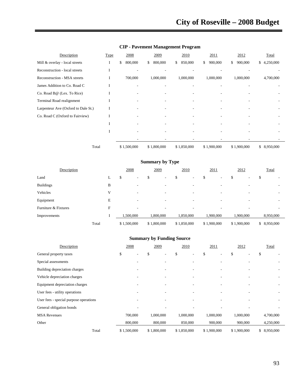| Description                         | <b>Type</b> | 2008          | 2009          | 2010          | 2011          | 2012          | Total        |
|-------------------------------------|-------------|---------------|---------------|---------------|---------------|---------------|--------------|
| Mill & overlay - local streets      | I           | \$<br>800,000 | 800,000<br>\$ | 850,000<br>\$ | 900,000<br>\$ | 900,000<br>\$ | \$4,250,000  |
| Reconstruction - local streets      |             |               |               |               |               |               |              |
| <b>Reconstruction - MSA streets</b> | I           | 700,000       | 1,000,000     | 1,000,000     | 1,000,000     | 1,000,000     | 4,700,000    |
| James Addition to Co. Road C        |             |               |               |               |               |               |              |
| Co. Road B@ (Lex. To Rice)          |             |               |               |               |               |               |              |
| Terminal Road realignment           |             |               |               |               |               |               |              |
| Larpenteur Ave (Oxford to Dale St.) |             |               |               |               |               |               |              |
| Co. Road C (Oxford to Fairview)     |             |               |               |               |               |               |              |
|                                     |             |               |               |               |               |               |              |
|                                     |             |               |               |               |               |               |              |
|                                     |             |               |               |               |               |               |              |
| Total                               |             | \$1,500,000   | \$1,800,000   | \$1,850,000   | \$1,900,000   | \$1,900,000   | \$ 8,950,000 |

# **CIP - Pavement Management Program**

**Summary by Type** 

| Description          |       |    | 2008                          | 2009        |             | 2010                     | 2011        | 2012                          |    | Total        |
|----------------------|-------|----|-------------------------------|-------------|-------------|--------------------------|-------------|-------------------------------|----|--------------|
| Land                 |       | L. | P<br>$\overline{\phantom{a}}$ | ٠<br>ъ      | \$          |                          | \$          | \$                            | ٠D |              |
| <b>Buildings</b>     |       | B  | -                             |             |             |                          |             |                               |    |              |
| Vehicles             |       | v  | $\overline{\phantom{a}}$      | ۰           |             | $\overline{\phantom{a}}$ |             | ۰<br>$\overline{\phantom{a}}$ |    |              |
| Equipment            |       | E  | ٠                             |             |             | ۰                        |             | -                             |    |              |
| Furniture & Fixtures |       | F  | $\overline{\phantom{a}}$      | -           |             | ۰                        | ۰           |                               |    |              |
| Improvements         |       |    | 1,500,000                     | 1,800,000   |             | 1,850,000                | 1,900,000   | 1,900,000                     |    | 8,950,000    |
|                      | Total |    | \$1,500,000                   | \$1,800,000 | \$1,850,000 |                          | \$1,900,000 | \$1,900,000                   |    | \$ 8,950,000 |

| Description                            | 2008                     | 2009                     | 2010        | 2011        | 2012        | Total        |
|----------------------------------------|--------------------------|--------------------------|-------------|-------------|-------------|--------------|
| General property taxes                 | \$<br>-                  | \$                       | \$          | \$          | \$          | \$           |
| Special assessments                    |                          |                          |             |             |             |              |
| Building depreciation charges          | $\overline{\phantom{a}}$ |                          |             |             |             | ٠.           |
| Vehicle depreciation charges           |                          |                          |             |             |             |              |
| Equipment depreciation charges         |                          |                          |             |             |             |              |
| User fees - utility operations         | $\overline{\phantom{a}}$ | $\overline{\phantom{a}}$ |             |             |             |              |
| User fees - special purpose operations |                          |                          |             |             |             |              |
| General obligation bonds               |                          |                          |             |             |             |              |
| <b>MSA Revenues</b>                    | 700,000                  | 1,000,000                | 1,000,000   | 1,000,000   | 1,000,000   | 4,700,000    |
| Other                                  | 800,000                  | 800,000                  | 850,000     | 900,000     | 900,000     | 4,250,000    |
| Total                                  | \$1,500,000              | \$1,800,000              | \$1,850,000 | \$1,900,000 | \$1,900,000 | \$ 8,950,000 |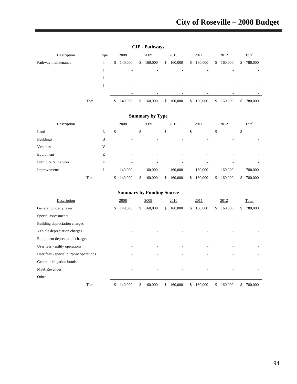| Description         | <b>Type</b> | 2008          | 2009                     |               | 2010    | 2011          | 2012          |    | Total   |
|---------------------|-------------|---------------|--------------------------|---------------|---------|---------------|---------------|----|---------|
| Pathway maintenance | 1           | \$<br>140,000 | \$<br>160,000            | \$            | 160,000 | \$<br>160,000 | \$<br>160,000 | \$ | 780,000 |
|                     |             | ۰             | ۰                        |               | -       | -             | ۰             |    |         |
|                     |             |               | ۰                        |               | -       | -             | ۰             |    |         |
|                     |             | ۰             | $\overline{\phantom{a}}$ |               | -       | -             | -             |    |         |
|                     |             |               |                          |               |         |               |               |    |         |
|                     | Total       | \$<br>140,000 | \$<br>160,000            | <sup>\$</sup> | 160,000 | \$<br>160,000 | \$<br>160,000 | S. | 780,000 |

# **CIP - Pathways**

# **Summary by Type**

| Description          |       | 2008          | 2009          | 2010                     |   | 2011                     | 2012          | Total         |
|----------------------|-------|---------------|---------------|--------------------------|---|--------------------------|---------------|---------------|
| Land                 | ⊾     | \$<br>۰       | \$<br>۰       | \$<br>$\sim$             | э | ۰.                       | \$<br>۰       | \$<br>-       |
| <b>Buildings</b>     | B     |               |               | ۰                        |   |                          |               |               |
| Vehicles             | V     | -             | ٠             | $\overline{\phantom{a}}$ |   | $\overline{\phantom{a}}$ | ۰             | -             |
| Equipment            | E     | ۰             |               | ۰                        |   |                          |               |               |
| Furniture & Fixtures | F     | -             | -             | ٠                        |   |                          |               |               |
| Improvements         |       | 140,000       | 160,000       | 160,000                  |   | 160,000                  | 160,000       | 780,000       |
|                      | Total | \$<br>140,000 | \$<br>160,000 | \$<br>160,000            | S | 160,000                  | \$<br>160,000 | \$<br>780,000 |

| Description                            | 2008                     |    | 2009    |    | 2010                     | 2011          |     | 2012    |    | Total   |
|----------------------------------------|--------------------------|----|---------|----|--------------------------|---------------|-----|---------|----|---------|
| General property taxes                 | \$<br>140,000            | S  | 160,000 | S. | 160,000                  | \$<br>160,000 | \$  | 160,000 | S. | 780,000 |
| Special assessments                    | $\overline{\phantom{a}}$ |    | ٠       |    | $\overline{\phantom{a}}$ |               |     |         |    |         |
| Building depreciation charges          |                          |    |         |    |                          |               |     |         |    |         |
| Vehicle depreciation charges           |                          |    |         |    |                          | ۰             |     |         |    |         |
| Equipment depreciation charges         |                          |    | ٠       |    | ٠                        | ۰             |     |         |    |         |
| User fees - utility operations         |                          |    |         |    | -                        |               |     |         |    |         |
| User fees - special purpose operations |                          |    |         |    |                          |               |     |         |    |         |
| General obligation bonds               |                          |    | ۰       |    | $\overline{\phantom{a}}$ |               |     | ٠       |    |         |
| <b>MSA Revenues</b>                    |                          |    |         |    |                          |               |     |         |    |         |
| Other                                  |                          |    |         |    |                          |               |     |         |    |         |
| Total                                  | \$<br>140,000            | \$ | 160,000 | S. | 160,000                  | \$<br>160,000 | \$. | 160,000 | S. | 780,000 |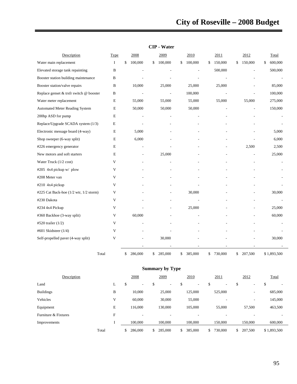|                                         | <b>CIP</b> - Water |    |                          |    |         |    |         |    |         |    |                |    |             |
|-----------------------------------------|--------------------|----|--------------------------|----|---------|----|---------|----|---------|----|----------------|----|-------------|
| Description                             | Type               |    | 2008                     |    | 2009    |    | 2010    |    | 2011    |    | 2012           |    | Total       |
| Water main replacement                  | $\bf{I}$           | \$ | 100,000                  | \$ | 100,000 | \$ | 100,000 | \$ | 150,000 | \$ | 150,000        | \$ | 600,000     |
| Elevated storage tank repainting        | B                  |    |                          |    |         |    |         |    | 500,000 |    |                |    | 500,000     |
| Booster station building maintenance    | B                  |    |                          |    |         |    |         |    |         |    |                |    |             |
| Booster station/valve repairs           | B                  |    | 10,000                   |    | 25,000  |    | 25,000  |    | 25,000  |    |                |    | 85,000      |
| Replace genset & trsfr switch @ booster | B                  |    | $\sim$                   |    | L.      |    | 100,000 |    | L,      |    |                |    | 100,000     |
| Water meter replacement                 | E                  |    | 55,000                   |    | 55,000  |    | 55,000  |    | 55,000  |    | 55,000         |    | 275,000     |
| <b>Automated Meter Reading System</b>   | E                  |    | 50,000                   |    | 50,000  |    | 50,000  |    |         |    | $\overline{a}$ |    | 150,000     |
| 200hp ASD for pump                      | E                  |    |                          |    |         |    |         |    |         |    |                |    |             |
| Replace/Upgrade SCADA system (1/3)      | E                  |    |                          |    |         |    |         |    |         |    |                |    |             |
| Electronic message board (4-way)        | $\mathbf E$        |    | 5,000                    |    |         |    |         |    |         |    |                |    | 5,000       |
| Shop sweeper (6-way split)              | E                  |    | 6,000                    |    |         |    |         |    |         |    |                |    | 6,000       |
| #226 emergency generator                | E                  |    |                          |    |         |    |         |    |         |    | 2,500          |    | 2,500       |
| New motors and soft starters            | E                  |    | $\overline{\phantom{a}}$ |    | 25,000  |    |         |    |         |    | L,             |    | 25,000      |
| Water Truck (1/2 cost)                  | V                  |    |                          |    |         |    |         |    |         |    |                |    |             |
| #205 4x4 pickup w/ plow                 | V                  |    |                          |    |         |    |         |    |         |    |                |    |             |
| #208 Meter van                          | V                  |    |                          |    |         |    |         |    |         |    |                |    |             |
| #210 4x4 pickup                         | V                  |    |                          |    |         |    |         |    |         |    |                |    |             |
| #225 Cat Back-hoe (1/2 wtr, 1/2 storm)  | V                  |    |                          |    |         |    | 30,000  |    |         |    |                |    | 30,000      |
| #230 Dakota                             | V                  |    |                          |    |         |    |         |    |         |    | ٠              |    |             |
| #234 4x4 Pickup                         | V                  |    |                          |    |         |    | 25,000  |    |         |    |                |    | 25,000      |
| #360 Backhoe (3-way split)              | V                  |    | 60,000                   |    |         |    |         |    |         |    |                |    | 60,000      |
| #520 trailer $(1/2)$                    | V                  |    |                          |    |         |    |         |    |         |    |                |    |             |
| #601 Skidsteer (1/4)                    | V                  |    |                          |    |         |    |         |    |         |    |                |    |             |
| Self-propelled paver (4-way split)      | V                  |    |                          |    | 30,000  |    |         |    |         |    |                |    | 30,000      |
|                                         |                    |    |                          |    |         |    |         |    |         |    |                |    |             |
| Total                                   |                    | \$ | 286,000                  | \$ | 285,000 | \$ | 385,000 | \$ | 730,000 | \$ | 207,500        |    | \$1,893,500 |

| <b>CIP - Wate</b> |  |  |  |
|-------------------|--|--|--|
|-------------------|--|--|--|

|                      | <b>Summary by Type</b> |    |    |         |    |                          |    |                          |    |         |    |                          |    |             |
|----------------------|------------------------|----|----|---------|----|--------------------------|----|--------------------------|----|---------|----|--------------------------|----|-------------|
| Description          |                        |    |    | 2008    |    | 2009                     |    | 2010                     |    | 2011    |    | 2012                     |    | Total       |
| Land                 |                        | L. | \$ | ٠       | \$ | $\overline{\phantom{a}}$ | \$ | $\overline{\phantom{a}}$ | \$ | $\sim$  | \$ | $\overline{\phantom{a}}$ | \$ |             |
| <b>Buildings</b>     |                        | B  |    | 10,000  |    | 25,000                   |    | 125,000                  |    | 525,000 |    | $\overline{\phantom{a}}$ |    | 685,000     |
| Vehicles             |                        | V  |    | 60,000  |    | 30,000                   |    | 55,000                   |    | ٠       |    | ٠                        |    | 145,000     |
| Equipment            |                        | E  |    | 116,000 |    | 130,000                  |    | 105,000                  |    | 55,000  |    | 57,500                   |    | 463,500     |
| Furniture & Fixtures |                        | F  |    | -       |    |                          |    |                          |    |         |    |                          |    |             |
| Improvements         |                        |    |    | 100,000 |    | 100,000                  |    | 100,000                  |    | 150,000 |    | 150,000                  |    | 600,000     |
|                      | Total                  |    | \$ | 286,000 | \$ | 285,000                  | \$ | 385,000                  | \$ | 730,000 |    | 207,500                  |    | \$1,893,500 |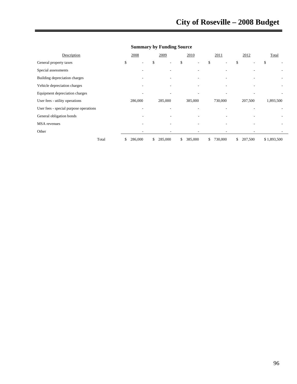| Description                            | 2008                           |     | 2009    | 2010                           |    | 2011    | 2012          | Total       |  |
|----------------------------------------|--------------------------------|-----|---------|--------------------------------|----|---------|---------------|-------------|--|
| General property taxes                 | \$<br>$\overline{\phantom{a}}$ | \$  | ۰       | \$<br>$\overline{\phantom{a}}$ | \$ |         | \$<br>۰       | \$          |  |
| Special assessments                    |                                |     |         |                                |    |         |               |             |  |
| Building depreciation charges          |                                |     |         |                                |    |         |               |             |  |
| Vehicle depreciation charges           |                                |     |         |                                |    |         |               |             |  |
| Equipment depreciation charges         |                                |     |         |                                |    |         |               |             |  |
| User fees - utility operations         | 286,000                        |     | 285,000 | 385,000                        |    | 730,000 | 207,500       | 1,893,500   |  |
| User fees - special purpose operations |                                |     |         |                                |    |         |               |             |  |
| General obligation bonds               |                                |     |         |                                |    |         |               |             |  |
| <b>MSA</b> revenues                    |                                |     |         |                                |    |         |               |             |  |
| Other                                  |                                |     |         |                                |    |         |               |             |  |
| Total                                  | \$<br>286,000                  | \$. | 285,000 | \$<br>385,000                  | S. | 730,000 | \$<br>207,500 | \$1,893,500 |  |

# **Summary by Funding Source**

 $\rightarrow$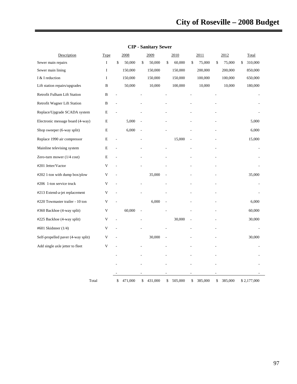| Description                        | <b>Type</b> |                          | 2008    |                | 2009    | 2010          | 2011          | 2012          | Total         |
|------------------------------------|-------------|--------------------------|---------|----------------|---------|---------------|---------------|---------------|---------------|
| Sewer main repairs                 | I           | \$                       | 50,000  | \$             | 50,000  | \$<br>60,000  | \$<br>75,000  | \$<br>75,000  | \$<br>310,000 |
| Sewer main lining                  | $\bf{I}$    |                          | 150,000 |                | 150,000 | 150,000       | 200,000       | 200,000       | 850,000       |
| I & I reduction                    | I           |                          | 150,000 |                | 150,000 | 150,000       | 100,000       | 100,000       | 650,000       |
| Lift station repairs/upgrades      | B           |                          | 50,000  |                | 10,000  | 100,000       | 10,000        | 10,000        | 180,000       |
| Retrofit Fulham Lift Station       | B           |                          |         |                |         |               |               |               |               |
| Retrofit Wagner Lift Station       | B           | $\overline{\phantom{a}}$ |         |                |         |               |               |               |               |
| Replace/Upgrade SCADA system       | E           |                          |         |                |         |               |               |               |               |
| Electronic message board (4-way)   | E           |                          | 5,000   |                |         |               |               |               | 5,000         |
| Shop sweeper (6-way split)         | E           |                          | 6,000   |                |         |               |               |               | 6,000         |
| Replace 1990 air compressor        | E           | L,                       |         |                |         | 15,000        |               |               | 15,000        |
| Mainline televising system         | E           | L.                       |         |                |         |               |               |               |               |
| Zero-turn mower (1/4 cost)         | E           |                          |         |                |         |               |               |               |               |
| #201 Jetter/Vactor                 | V           |                          |         |                |         |               |               |               |               |
| #202 1-ton with dump box/plow      | V           |                          |         |                | 35,000  |               |               |               | 35,000        |
| #206 1-ton service truck           | V           | $\overline{a}$           |         |                |         |               |               |               |               |
| #213 Extend-a-jet replacement      | V           |                          |         |                |         |               |               |               |               |
| #220 Towmaster trailer - 10 ton    | V           |                          |         |                | 6,000   |               |               |               | 6,000         |
| #360 Backhoe (4-way split)         | V           |                          | 60,000  | $\overline{a}$ |         |               |               |               | 60,000        |
| #225 Backhoe (4-way split)         | V           |                          |         |                |         | 30,000        |               |               | 30,000        |
| #601 Skidsteer (1/4)               | V           |                          |         |                |         |               |               |               |               |
| Self-propelled paver (4-way split) | V           |                          |         |                | 30,000  |               |               |               | 30,000        |
| Add single axle jetter to fleet    | V           |                          |         |                |         |               |               |               |               |
|                                    |             |                          |         |                |         |               |               |               |               |
|                                    |             |                          |         |                |         |               |               |               |               |
|                                    |             |                          |         |                |         |               |               |               |               |
| Total                              |             | \$                       | 471,000 | \$             | 431,000 | \$<br>505,000 | \$<br>385,000 | \$<br>385,000 | \$2,177,000   |

**CIP - Sanitary Sewer**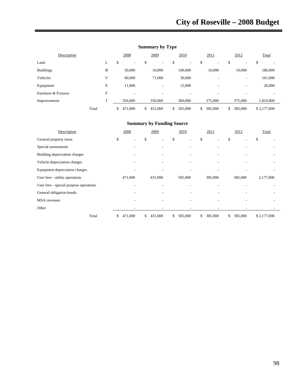| Description          |       | 2008          | 2009          | 2010                     | 2011                     | 2012          | Total                    |
|----------------------|-------|---------------|---------------|--------------------------|--------------------------|---------------|--------------------------|
| Land                 | ┻     | \$<br>۰       | \$<br>۰.      | \$<br>-                  | \$<br>۰                  | \$<br>۰       | \$<br>-                  |
| <b>Buildings</b>     | B     | 50,000        | 10,000        | 100,000                  | 10,000                   | 10,000        | 180,000                  |
| Vehicles             | V     | 60,000        | 71,000        | 30,000                   | -                        | ۰             | 161,000                  |
| Equipment            | E     | 11,000        | ٠.            | 15,000                   | $\overline{\phantom{a}}$ | ٠             | 26,000                   |
| Furniture & Fixtures | F     | ۰             | ٠             | $\overline{\phantom{a}}$ | ۰                        | -             | $\overline{\phantom{a}}$ |
| Improvements         |       | 350,000       | 350,000       | 360,000                  | 375,000                  | 375,000       | 1,810,000                |
|                      | Total | 471,000<br>S. | 431,000<br>\$ | 505,000<br>\$            | 385,000<br>\$            | 385,000<br>\$ | \$2,177,000              |

# **Summary by Type**

| Description                            | 2008          | 2009          | 2010                     | 2011          | 2012          | Total       |
|----------------------------------------|---------------|---------------|--------------------------|---------------|---------------|-------------|
| General property taxes                 | \$<br>٠       | \$<br>٠       | \$                       | \$<br>٠       | \$            | \$          |
| Special assessments                    |               |               |                          |               |               |             |
| Building depreciation charges          |               |               |                          |               |               |             |
| Vehicle depreciation charges           |               | ٠             | $\overline{\phantom{a}}$ | ٠             |               |             |
| Equipment depreciation charges         |               | ٠             |                          |               |               |             |
| User fees - utility operations         | 471,000       | 431,000       | 505,000                  | 385,000       | 385,000       | 2,177,000   |
| User fees - special purpose operations |               |               |                          |               |               |             |
| General obligation bonds               |               |               |                          |               |               |             |
| <b>MSA</b> revenues                    |               | ٠             |                          |               |               |             |
| Other                                  |               | ٠             |                          |               |               |             |
| Total                                  | 471,000<br>\$ | 431,000<br>\$ | 505,000<br>\$            | 385,000<br>\$ | 385,000<br>\$ | \$2,177,000 |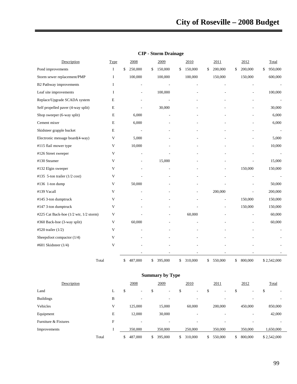| Description                                              | Type                      | 2008                     | 2009          | 2010           | 2011                     | 2012           | Total                    |
|----------------------------------------------------------|---------------------------|--------------------------|---------------|----------------|--------------------------|----------------|--------------------------|
| Pond improvements                                        | I                         | \$<br>250,000            | \$<br>150,000 | \$<br>150,000  | \$<br>200,000            | \$<br>200,000  | \$<br>950,000            |
| Storm sewer replacement/PMP                              | $\bf{I}$                  | 100,000                  | 100,000       | 100,000        | 150,000                  | 150,000        | 600,000                  |
| B2 Pathway improvements                                  | I                         | L,                       |               |                |                          |                |                          |
| Leaf site improvements                                   | $\mathbf I$               | $\overline{\phantom{a}}$ | 100,000       |                |                          | $\overline{a}$ | 100,000                  |
| Replace/Upgrade SCADA system                             | E                         | $\overline{\phantom{a}}$ |               |                |                          |                |                          |
| Self propelled paver (4-way split)                       | $\mathbf E$               | L,                       | 30,000        |                |                          |                | 30,000                   |
| Shop sweeper (6-way split)                               | $\mathbf E$               | 6,000                    |               |                |                          |                | 6,000                    |
| Cement mixer                                             | E                         | 6,000                    |               |                |                          |                | 6,000                    |
| Skidsteer grapple bucket                                 | $\mathbf E$               | L,                       |               |                |                          | ä,             | $\overline{\phantom{a}}$ |
| Electronic message board(4-way)                          | V                         | 5,000                    |               |                |                          |                | 5,000                    |
| #115 flail mower type                                    | V                         | 10,000                   |               |                |                          |                | 10,000                   |
| #126 Street sweeper                                      | V                         |                          |               |                |                          |                |                          |
| #130 Steamer                                             | V                         |                          | 15,000        |                |                          |                | 15,000                   |
| #132 Elgin sweeper                                       | V                         |                          |               |                | $\overline{\phantom{a}}$ | 150,000        | 150,000                  |
| #135 5-ton trailer $(1/2 \text{ cost})$                  | V                         |                          |               |                |                          |                |                          |
| #136 1-ton dump                                          | V                         | 50,000                   |               |                |                          |                | 50,000                   |
| #139 Vacall                                              | V                         |                          |               | $\overline{a}$ | 200,000                  | $\overline{a}$ | 200,000                  |
| #145 3-ton dumptruck                                     | V                         |                          |               |                | $\overline{a}$           | 150,000        | 150,000                  |
| #147 3-ton dumptruck                                     | V                         |                          |               |                | $\overline{a}$           | 150,000        | 150,000                  |
| #225 Cat Back-hoe $(1/2 \text{ wtr}, 1/2 \text{ storm})$ | V                         |                          |               | 60,000         |                          |                | 60,000                   |
| #360 Back-hoe (3-way split)                              | $\ensuremath{\mathsf{V}}$ | 60,000                   |               |                |                          |                | 60,000                   |
| #520 trailer (1/2)                                       | V                         |                          |               |                |                          |                |                          |
| Sheepsfoot compactor (1/4)                               | V                         |                          |               |                |                          |                |                          |
| #601 Skidsteer (1/4)                                     | V                         |                          |               |                |                          |                |                          |
|                                                          |                           |                          |               |                |                          |                |                          |
| Total                                                    |                           | \$<br>487,000            | \$<br>395,000 | \$<br>310,000  | 550,000<br>\$            | \$<br>800,000  | \$2,542,000              |

# **CIP - Storm Drainage**

# **Summary by Type**

| Description          |       | 2008                           |    | 2009                     | 2010                     |    | 2011                     | 2012                     |   | Total       |
|----------------------|-------|--------------------------------|----|--------------------------|--------------------------|----|--------------------------|--------------------------|---|-------------|
| Land                 | ⊾     | \$<br>$\overline{\phantom{a}}$ | Ф  | $\overline{\phantom{a}}$ | \$<br>۰                  | э  | $\overline{\phantom{a}}$ | $\overline{\phantom{a}}$ | D |             |
| <b>Buildings</b>     | B     | ۰                              |    | -                        |                          |    | -                        |                          |   |             |
| Vehicles             | V     | 125,000                        |    | 15,000                   | 60,000                   |    | 200,000                  | 450,000                  |   | 850,000     |
| Equipment            | E     | 12,000                         |    | 30,000                   | $\overline{\phantom{a}}$ |    | -                        | ۰                        |   | 42,000      |
| Furniture & Fixtures | F     | $\overline{\phantom{a}}$       |    | -                        | -                        |    | -                        | -                        |   | ۰           |
| Improvements         |       | 350,000                        |    | 350,000                  | 250,000                  |    | 350,000                  | 350,000                  |   | 1,650,000   |
|                      | Total | \$<br>487,000                  | \$ | 395,000                  | \$<br>310,000            | \$ | 550,000                  | \$<br>800,000            |   | \$2,542,000 |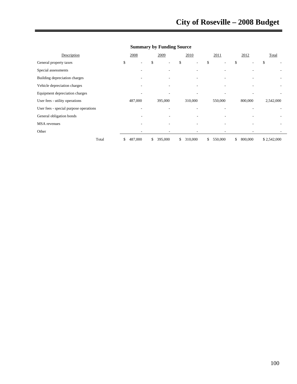| Description                            | 2008          | 2009          | 2010          | 2011          | 2012          | Total       |
|----------------------------------------|---------------|---------------|---------------|---------------|---------------|-------------|
| General property taxes                 | \$<br>۰.      | \$            | \$<br>٠       | \$            | \$            | \$          |
| Special assessments                    |               |               | ۰             |               |               |             |
| Building depreciation charges          |               |               |               |               |               |             |
| Vehicle depreciation charges           |               |               |               |               |               |             |
| Equipment depreciation charges         |               |               |               |               |               |             |
| User fees - utility operations         | 487,000       | 395,000       | 310,000       | 550,000       | 800,000       | 2,542,000   |
| User fees - special purpose operations |               |               |               |               |               |             |
| General obligation bonds               |               |               |               |               |               |             |
| <b>MSA</b> revenues                    |               |               |               |               |               |             |
| Other                                  |               |               | ۰             |               |               |             |
| Total                                  | \$<br>487,000 | 395,000<br>\$ | 310,000<br>\$ | 550,000<br>\$ | 800,000<br>\$ | \$2,542,000 |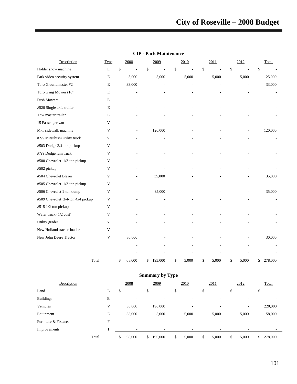| Description                       | Type                      | 2008           | 2009                           | 2010                 | 2011        | 2012                 | Total          |
|-----------------------------------|---------------------------|----------------|--------------------------------|----------------------|-------------|----------------------|----------------|
| Holder snow machine               | $\mathbf E$               | \$<br>$\sim$   | \$<br>$\overline{\phantom{a}}$ | \$<br>$\overline{a}$ | \$          | \$<br>$\blacksquare$ | \$             |
| Park video security system        | $\mathbf E$               | 5,000          | 5,000                          | 5,000                | 5,000       | 5,000                | 25,000         |
| Toro Groundmaster #2              | $\mathbf E$               | 33,000         |                                |                      |             |                      | 33,000         |
| Toro Gang Mower (16')             | $\mathbf E$               | L,             |                                |                      |             |                      | $\overline{a}$ |
| Push Mowers                       | $\mathbf E$               |                |                                |                      |             |                      |                |
| #520 Single axle trailer          | E                         |                |                                |                      |             |                      |                |
| Tow master trailer                | $\mathbf E$               |                |                                |                      |             |                      |                |
| 15 Passenger van                  | $\mathbf{V}$              |                |                                |                      |             |                      |                |
| M-T sidewalk machine              | V                         | $\overline{a}$ | 120,000                        |                      |             |                      | 120,000        |
| #??? Mitsubishi utility truck     | $\mathbf V$               |                |                                |                      |             |                      |                |
| #503 Dodge 3/4-ton pickup         | $\ensuremath{\mathsf{V}}$ |                |                                |                      |             |                      |                |
| #??? Dodge ram truck              | $\mathbf V$               |                |                                |                      |             |                      |                |
| #500 Chevrolet 1/2-ton pickup     | V                         |                |                                |                      |             |                      |                |
| #502 pickup                       | V                         |                |                                |                      |             |                      |                |
| #504 Chevrolet Blazer             | $\mathbf V$               |                | 35,000                         |                      |             |                      | 35,000         |
| #505 Chevrolet 1/2-ton pickup     | $\ensuremath{\mathsf{V}}$ |                |                                |                      |             |                      |                |
| #506 Chevrolet 1-ton dump         | V                         | ä,             | 35,000                         |                      |             |                      | 35,000         |
| #509 Chevrolet 3/4-ton 4x4 pickup | V                         |                |                                |                      |             |                      |                |
| #515 1/2-ton pickup               | $\ensuremath{\mathbf{V}}$ |                |                                |                      |             |                      |                |
| Water truck (1/2 cost)            | V                         |                |                                |                      |             |                      |                |
| Utility grader                    | V                         |                |                                |                      |             |                      |                |
| New Holland tractor loader        | V                         |                |                                |                      |             |                      |                |
| New John Deere Tractor            | V                         | 30,000         |                                |                      |             |                      | 30,000         |
|                                   |                           |                |                                |                      |             |                      |                |
|                                   |                           |                |                                |                      |             |                      |                |
| Total                             |                           | \$<br>68,000   | \$<br>195,000                  | \$<br>5,000          | \$<br>5,000 | \$<br>5,000          | 278,000<br>\$  |

#### **CIP - Park Maintenance**

| <b>Summary by Type</b> |       |   |      |                          |    |                          |    |                          |    |       |    |       |       |         |
|------------------------|-------|---|------|--------------------------|----|--------------------------|----|--------------------------|----|-------|----|-------|-------|---------|
| Description            |       |   | 2008 |                          |    | 2009                     |    | 2010                     |    | 2011  |    | 2012  | Total |         |
| Land                   |       | L | \$   | $\sim$                   | \$ | -                        | \$ | $\overline{\phantom{a}}$ | \$ | ۰     | \$ | -     | \$    |         |
| <b>Buildings</b>       |       | B |      | $\sim$                   |    |                          |    |                          |    |       |    |       |       |         |
| Vehicles               |       | V |      | 30,000                   |    | 190,000                  |    | -                        |    | ٠     |    | ٠     |       | 220,000 |
| Equipment              |       | E |      | 38,000                   |    | 5,000                    |    | 5,000                    |    | 5,000 |    | 5,000 |       | 58,000  |
| Furniture & Fixtures   |       | F |      | $\overline{\phantom{a}}$ |    |                          |    |                          |    |       |    |       |       |         |
| Improvements           |       |   |      | $\overline{\phantom{a}}$ |    | $\overline{\phantom{a}}$ |    | $\overline{\phantom{a}}$ |    |       |    |       |       | ۰       |
|                        | Total |   | \$   | 68,000                   | \$ | 195,000                  | \$ | 5,000                    | \$ | 5,000 | \$ | 5,000 | \$    | 278,000 |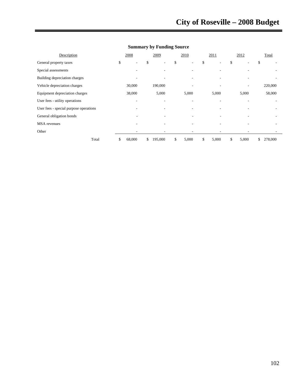| Description                            | 2008                     | 2009          | 2010                     | 2011        | 2012                           | Total         |
|----------------------------------------|--------------------------|---------------|--------------------------|-------------|--------------------------------|---------------|
| General property taxes                 | \$<br>۰                  | \$            | \$<br>۰                  | \$<br>٠     | \$<br>$\overline{\phantom{a}}$ | \$            |
| Special assessments                    | -                        |               |                          |             |                                |               |
| Building depreciation charges          |                          |               |                          |             |                                |               |
| Vehicle depreciation charges           | 30,000                   | 190,000       | ۰                        |             | $\overline{\phantom{a}}$       | 220,000       |
| Equipment depreciation charges         | 38,000                   | 5,000         | 5,000                    | 5,000       | 5,000                          | 58,000        |
| User fees - utility operations         | $\overline{\phantom{a}}$ | ۰             |                          |             |                                |               |
| User fees - special purpose operations | -                        | ۰             | $\overline{\phantom{a}}$ |             | ۰                              |               |
| General obligation bonds               | ٠                        |               | ٠                        |             |                                |               |
| <b>MSA</b> revenues                    |                          |               |                          |             |                                |               |
| Other                                  | ٠                        | ۰             | ٠                        |             | $\overline{\phantom{0}}$       |               |
| Total                                  | \$<br>68,000             | \$<br>195,000 | \$<br>5,000              | \$<br>5,000 | \$<br>5,000                    | \$<br>278,000 |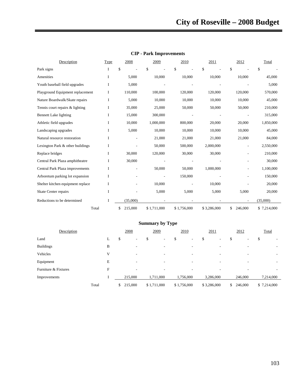| Description                       | <b>Type</b> | 2008          | 2009                     | 2010        | 2011                     | 2012          | Total       |
|-----------------------------------|-------------|---------------|--------------------------|-------------|--------------------------|---------------|-------------|
| Park signs                        | I           | \$            | \$                       | \$          | \$                       | \$            | \$          |
| Amenities                         | I           | 5,000         | 10,000                   | 10,000      | 10,000                   | 10,000        | 45,000      |
| Youth baseball field upgrades     | I           | 5,000         |                          |             |                          |               | 5,000       |
| Playground Equipment replacement  | I           | 110,000       | 100,000                  | 120,000     | 120,000                  | 120,000       | 570,000     |
| Nature Boardwalk/Skate repairs    | I           | 5,000         | 10,000                   | 10,000      | 10,000                   | 10,000        | 45,000      |
| Tennis court repairs & lighting   | Ι           | 35,000        | 25,000                   | 50,000      | 50,000                   | 50,000        | 210,000     |
| Bennett Lake lighting             | I           | 15,000        | 300,000                  |             |                          |               | 315,000     |
| Athletic field upgrades           | I           | 10,000        | 1,000,000                | 800,000     | 20,000                   | 20,000        | 1,850,000   |
| Landscaping upgrades              | I           | 5,000         | 10,000                   | 10,000      | 10,000                   | 10,000        | 45,000      |
| Natural resource restoration      | I           |               | 21,000                   | 21,000      | 21,000                   | 21,000        | 84,000      |
| Lexington Park & other buildings  | I           |               | 50,000                   | 500,000     | 2,000,000                |               | 2,550,000   |
| Replace bridges                   | I           | 30,000        | 120,000                  | 30,000      | 30,000                   |               | 210,000     |
| Central Park Plaza amphitheatre   | I           | 30,000        |                          |             |                          |               | 30,000      |
| Central Park Plaza improvements   | Ι           |               | 50,000                   | 50,000      | 1,000,000                |               | 1,100,000   |
| Arboretum parking lot expansion   | I           |               | $\overline{\phantom{0}}$ | 150,000     |                          |               | 150,000     |
| Shelter kitchen equipment replace | I           |               | 10,000                   |             | 10,000                   |               | 20,000      |
| <b>Skate Center repairs</b>       | I           |               | 5,000                    | 5,000       | 5,000                    | 5,000         | 20,000      |
| Reductions to be determined       | Ι           | (35,000)      |                          |             | $\overline{\phantom{a}}$ | ٠             | (35,000)    |
| Total                             |             | \$<br>215,000 | \$1,711,000              | \$1,756,000 | \$3,286,000              | 246,000<br>\$ | \$7,214,000 |

### **CIP - Park Improvements**

| <b>Summary by Type</b> |       |   |               |                          |             |   |      |                          |             |   |      |         |       |             |
|------------------------|-------|---|---------------|--------------------------|-------------|---|------|--------------------------|-------------|---|------|---------|-------|-------------|
| Description            |       |   | 2008          |                          | 2009        |   | 2010 |                          | 2011        |   | 2012 |         | Total |             |
| Land                   |       | L | \$            | $\overline{\phantom{a}}$ | \$          | ۰ | \$   | $\overline{\phantom{a}}$ | \$          | ٠ | \$   |         | \$    |             |
| <b>Buildings</b>       |       | B |               | -                        |             | ۰ |      |                          |             | ٠ |      |         |       |             |
| Vehicles               |       | V |               | -                        |             | ۰ |      |                          |             | ٠ |      | ۰       |       |             |
| Equipment              |       | E |               | $\overline{\phantom{a}}$ |             | - |      |                          |             | ٠ |      | ۰       |       |             |
| Furniture & Fixtures   |       | F |               | $\overline{\phantom{a}}$ |             | ۰ |      |                          |             | ٠ |      |         |       |             |
| Improvements           |       |   | 215,000       |                          | 1,711,000   |   |      | 1,756,000                | 3,286,000   |   |      | 246,000 |       | 7,214,000   |
|                        | Total |   | 215,000<br>\$ |                          | \$1,711,000 |   |      | \$1,756,000              | \$3,286,000 |   | \$   | 246,000 |       | \$7,214,000 |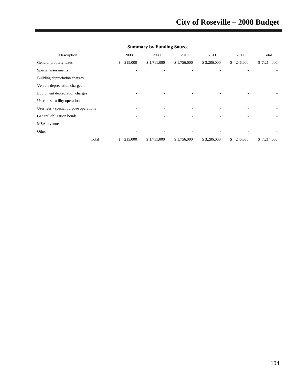| Description                            | 2008                     | 2009        | 2010                     | 2011        | 2012                     | Total       |
|----------------------------------------|--------------------------|-------------|--------------------------|-------------|--------------------------|-------------|
| General property taxes                 | \$<br>215,000            | \$1,711,000 | \$1,756,000              | \$3,286,000 | \$<br>246,000            | \$7,214,000 |
| Special assessments                    | ٠                        |             |                          |             |                          |             |
| Building depreciation charges          | ٠                        |             |                          |             |                          |             |
| Vehicle depreciation charges           |                          |             |                          |             |                          |             |
| Equipment depreciation charges         | ۰                        |             |                          |             |                          |             |
| User fees - utility operations         | $\overline{\phantom{a}}$ |             | ٠                        | ٠           | $\overline{\phantom{a}}$ | ٠           |
| User fees - special purpose operations | ٠                        | -           | $\overline{\phantom{a}}$ |             |                          | ۰.          |
| General obligation bonds               |                          |             |                          |             |                          |             |
| <b>MSA</b> revenues                    | ٠                        |             |                          |             |                          |             |
| Other                                  | ۰                        |             |                          |             |                          |             |
| Total                                  | \$<br>215,000            | \$1,711,000 | \$1,756,000              | \$3,286,000 | \$<br>246,000            | \$7,214,000 |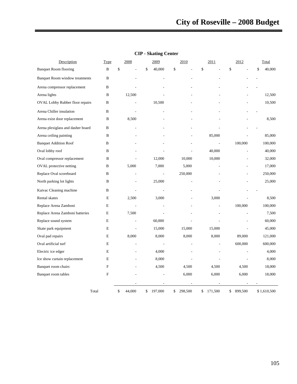| Description                            | Type        | 2008         | 2009          | 2010          | 2011          | 2012          | Total        |
|----------------------------------------|-------------|--------------|---------------|---------------|---------------|---------------|--------------|
| <b>Banquet Room flooring</b>           | B           | \$           | \$<br>40,000  | \$            | \$            | \$            | \$<br>40,000 |
| <b>Banquet Room window treatments</b>  | B           |              |               |               |               |               |              |
| Arena compressor replacement           | B           |              |               |               |               |               |              |
| Arena lights                           | B           | 12,500       |               |               |               |               | 12,500       |
| <b>OVAL Lobby Rubber floor repairs</b> | B           |              | 10,500        |               |               |               | 10,500       |
| Arena Chiller insulation               | B           | L,           |               |               |               |               |              |
| Arena exist door replacement           | B           | 8,500        |               |               |               |               | 8,500        |
| Arena plexiglass and dasher board      | B           |              |               |               |               |               |              |
| Arena ceiling painting                 | B           |              |               |               | 85,000        |               | 85,000       |
| <b>Banquet Addition Roof</b>           | B           |              |               |               |               | 100,000       | 100,000      |
| Oval lobby roof                        | B           |              |               |               | 40,000        |               | 40,000       |
| Oval compressor replacement            | B           |              | 12,000        | 10,000        | 10,000        |               | 32,000       |
| OVAL protective netting                | B           | 5,000        | 7,000         | 5,000         |               |               | 17,000       |
| Replace Oval scoreboard                | B           |              | $\frac{1}{2}$ | 250,000       |               |               | 250,000      |
| North parking lot lights               | B           |              | 25,000        |               |               |               | 25,000       |
| Kaivac Cleaning machine                | B           |              |               |               |               |               |              |
| Rental skates                          | E           | 2,500        | 3,000         |               | 3,000         |               | 8,500        |
| Replace Arena Zamboni                  | E           |              |               |               |               | 100,000       | 100,000      |
| Replace Arena Zamboni batteries        | E           | 7,500        |               |               |               |               | 7,500        |
| Replace sound system                   | E           |              | 60,000        |               |               |               | 60,000       |
| Skate park equipment                   | E           |              | 15,000        | 15,000        | 15,000        |               | 45,000       |
| Oval pad repairs                       | $\mathbf E$ | 8,000        | 8,000         | 8,000         | 8,000         | 89,000        | 121,000      |
| Oval artificial turf                   | E           |              |               |               |               | 600,000       | 600,000      |
| Electric ice edger                     | E           |              | 4,000         |               |               |               | 4,000        |
| Ice show curtain replacement           | Е           |              | 8,000         |               |               |               | 8,000        |
| Banquet room chairs                    | F           |              | 4,500         | 4,500         | 4,500         | 4,500         | 18,000       |
| Banquet room tables                    | F           |              |               | 6,000         | 6,000         | 6,000         | 18,000       |
|                                        |             |              |               |               |               |               |              |
|                                        | Total       | \$<br>44,000 | \$<br>197,000 | \$<br>298,500 | 171,500<br>\$ | \$<br>899,500 | \$1,610,500  |

# **CIP - Skating Center**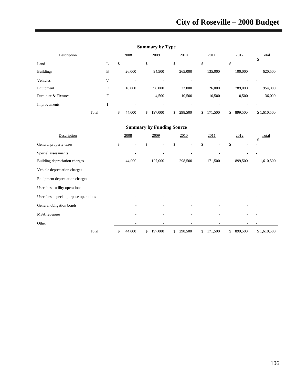| Description          |       |   | 2008                           | 2009          | 2010                           | 2011                           |    | 2012    | \$<br>Total |
|----------------------|-------|---|--------------------------------|---------------|--------------------------------|--------------------------------|----|---------|-------------|
| Land                 |       | L | \$<br>$\overline{\phantom{a}}$ | \$<br>٠       | \$<br>$\overline{\phantom{a}}$ | \$<br>$\overline{\phantom{a}}$ | S  | ۰       |             |
| <b>Buildings</b>     |       | B | 26,000                         | 94,500        | 265,000                        | 135,000                        |    | 100,000 | 620,500     |
| Vehicles             |       | V | $\overline{\phantom{a}}$       | ٠             |                                |                                |    |         |             |
| Equipment            |       | E | 18,000                         | 98,000        | 23,000                         | 26,000                         |    | 789,000 | 954,000     |
| Furniture & Fixtures |       | F | $\overline{\phantom{a}}$       | 4,500         | 10,500                         | 10,500                         |    | 10,500  | 36,000      |
| Improvements         |       |   | $\overline{\phantom{a}}$       | ۰             |                                |                                |    |         |             |
|                      | Total |   | 44,000<br>\$                   | \$<br>197,000 | \$<br>298,500                  | \$<br>171,500                  | \$ | 899,500 | \$1,610,500 |

# **Summary by Type**

| Description                            | 2008                     | 2009                     | 2010          | 2011          | 2012          | Total       |
|----------------------------------------|--------------------------|--------------------------|---------------|---------------|---------------|-------------|
| General property taxes                 | \$<br>٠                  | \$<br>٠                  | \$            | \$            | \$            | \$          |
| Special assessments                    |                          |                          |               |               |               |             |
| Building depreciation charges          | 44,000                   | 197,000                  | 298,500       | 171,500       | 899,500       | 1,610,500   |
| Vehicle depreciation charges           |                          |                          |               |               |               |             |
| Equipment depreciation charges         | $\overline{\phantom{a}}$ | $\overline{\phantom{a}}$ |               | ٠             |               |             |
| User fees - utility operations         | -                        | ٠                        |               |               |               |             |
| User fees - special purpose operations |                          |                          |               |               |               |             |
| General obligation bonds               |                          |                          |               |               |               |             |
| <b>MSA</b> revenues                    |                          |                          |               |               |               |             |
| Other                                  |                          |                          |               |               |               |             |
| Total                                  | \$<br>44,000             | \$<br>197,000            | \$<br>298,500 | \$<br>171,500 | \$<br>899,500 | \$1,610,500 |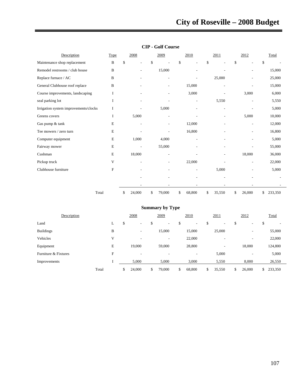# **City of Roseville – 2008 Budget**

| Description                           | Type         | 2008                           | 2009         | 2010         | 2011         | 2012                 | Total         |       |
|---------------------------------------|--------------|--------------------------------|--------------|--------------|--------------|----------------------|---------------|-------|
| Maintenance shop replacement          | $\, {\bf B}$ | \$<br>$\overline{\phantom{a}}$ | \$           | \$<br>L,     | \$           | \$<br>$\overline{a}$ | \$            |       |
| Remodel restrooms / club house        | B            |                                | 15,000       |              |              |                      | 15,000        |       |
| Replace furnace / AC                  | B            |                                |              |              | 25,000       |                      | 25,000        |       |
| General Clubhouse roof replace        | B            |                                |              | 15,000       |              |                      | 15,000        |       |
| Course improvements, landscaping      | I            |                                |              | 3,000        |              | 3,000                |               | 6,000 |
| seal parking lot                      | I            |                                |              | ÷,           | 5,550        |                      |               | 5,550 |
| Irrigation system improvements/clocks | Ι            |                                | 5,000        |              |              |                      |               | 5,000 |
| Greens covers                         | I            | 5,000                          | ٠            |              |              | 5,000                | 10,000        |       |
| Gas pump & tank                       | E            | $\overline{a}$                 | ٠            | 12,000       |              | ۰                    | 12,000        |       |
| Tee mowers / zero turn                | Ε            |                                |              | 16,800       |              |                      | 16,800        |       |
| Computer equipment                    | E            | 1,000                          | 4,000        |              |              |                      |               | 5,000 |
| Fairway mower                         | E            |                                | 55,000       |              |              |                      | 55,000        |       |
| Cushman                               | E            | 18,000                         |              |              |              | 18,000               | 36,000        |       |
| Pickup truck                          | V            |                                | ۰            | 22,000       |              | ٠                    | 22,000        |       |
| Clubhouse furniture                   | F            |                                | -            |              | 5,000        |                      |               | 5,000 |
|                                       |              |                                |              | ٠            |              |                      |               |       |
|                                       |              | $\qquad \qquad \blacksquare$   |              | ٠            |              | ٠                    |               |       |
| Total                                 |              | \$<br>24,000                   | \$<br>79,000 | \$<br>68,800 | \$<br>35,550 | \$<br>26,000         | \$<br>233,350 |       |

# **CIP - Golf Course**

| <b>Summary by Type</b> |              |    |        |    |                          |    |                          |    |        |    |                          |    |         |
|------------------------|--------------|----|--------|----|--------------------------|----|--------------------------|----|--------|----|--------------------------|----|---------|
| Description            |              |    | 2008   |    | 2009                     |    | 2010                     |    | 2011   |    | 2012                     |    | Total   |
| Land                   | L.           | \$ | ۰      | \$ | $\overline{\phantom{a}}$ | \$ | $\overline{\phantom{a}}$ | \$ | ٠      | \$ | $\overline{\phantom{a}}$ | \$ | -       |
| <b>Buildings</b>       | B            |    | ٠      |    | 15,000                   |    | 15,000                   |    | 25,000 |    | $\overline{\phantom{a}}$ |    | 55,000  |
| Vehicles               | V            |    | ٠      |    | $\overline{\phantom{a}}$ |    | 22,000                   |    | -      |    | $\overline{\phantom{a}}$ |    | 22,000  |
| Equipment              | E            |    | 19,000 |    | 59,000                   |    | 28,800                   |    | ۰.     |    | 18,000                   |    | 124,800 |
| Furniture & Fixtures   | $\mathbf{F}$ |    | ٠      |    | $\overline{\phantom{a}}$ |    | $\overline{\phantom{a}}$ |    | 5,000  |    | $\overline{\phantom{a}}$ |    | 5,000   |
| Improvements           |              |    | 5,000  |    | 5,000                    |    | 3,000                    |    | 5,550  |    | 8,000                    |    | 26,550  |
|                        | Total        | \$ | 24,000 | \$ | 79,000                   | \$ | 68,800                   | \$ | 35,550 | \$ | 26,000                   | S. | 233,350 |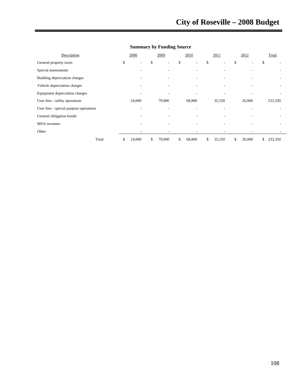# **City of Roseville – 2008 Budget**

| Description                            | 2008                     | 2009         | 2010                           | 2011         | 2012         | Total         |
|----------------------------------------|--------------------------|--------------|--------------------------------|--------------|--------------|---------------|
| General property taxes                 | \$<br>٠                  | \$<br>٠      | \$<br>$\overline{\phantom{a}}$ | \$           | \$           | \$            |
| Special assessments                    | ٠                        |              |                                |              |              |               |
| Building depreciation charges          | ٠                        |              |                                |              |              |               |
| Vehicle depreciation charges           |                          |              |                                |              |              |               |
| Equipment depreciation charges         | ۰                        |              |                                |              |              |               |
| User fees - utility operations         | 24,000                   | 79,000       | 68,800                         | 35,550       | 26,000       | 233,350       |
| User fees - special purpose operations | $\overline{\phantom{a}}$ |              |                                |              |              |               |
| General obligation bonds               |                          |              | ٠                              |              |              |               |
| <b>MSA</b> revenues                    | -                        |              | -                              |              |              |               |
| Other                                  | ۰                        |              | ٠                              |              |              |               |
| Total                                  | \$<br>24,000             | \$<br>79,000 | \$<br>68,800                   | \$<br>35,550 | \$<br>26,000 | \$<br>233,350 |

# **Summary by Funding Source**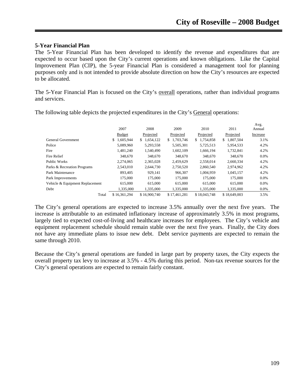## **5-Year Financial Plan**

The 5-Year Financial Plan has been developed to identify the revenue and expenditures that are expected to occur based upon the City's current operations and known obligations. Like the Capital Improvement Plan (CIP), the 5-year Financial Plan is considered a management tool for planning purposes only and is not intended to provide absolute direction on how the City's resources are expected to be allocated.

The 5-Year Financial Plan is focused on the City's overall operations, rather than individual programs and services.

|                                 | 2007            | 2008            | 2009            | 2010            | 2011            | Avg.<br>Annual |
|---------------------------------|-----------------|-----------------|-----------------|-----------------|-----------------|----------------|
|                                 | <b>Budget</b>   | Projected       | Projected       | Projected       | Projected       | Increase       |
| General Government              | 1,605,944<br>\$ | 1,654,122<br>S. | 1,703,746<br>\$ | 1,754,858<br>\$ | 1,807,504<br>\$ | 3.1%           |
| Police                          | 5,089,960       | 5,293,558       | 5,505,301       | 5,725,513       | 5,954,533       | 4.2%           |
| Fire                            | 1,481,240       | 1,540,490       | 1,602,109       | 1,666,194       | 1,732,841       | 4.2%           |
| Fire Relief                     | 348,670         | 348,670         | 348,670         | 348,670         | 348,670         | $0.0\%$        |
| Public Works                    | 2.274.065       | 2,365,028       | 2,459,629       | 2,558,014       | 2,660,334       | 4.2%           |
| Parks & Recreation Programs     | 2,543,010       | 2,644,730       | 2,750,520       | 2,860,540       | 2,974,962       | 4.2%           |
| Park Maintenance                | 893,405         | 929.141         | 966,307         | 1.004.959       | 1,045,157       | 4.2%           |
| Park Improvements               | 175,000         | 175,000         | 175,000         | 175,000         | 175,000         | $0.0\%$        |
| Vehicle & Equipment Replacement | 615,000         | 615,000         | 615,000         | 615,000         | 615,000         | $0.0\%$        |
| Debt                            | 1,335,000       | 1,335,000       | 1,335,000       | 1,335,000       | 1,335,000       | $0.0\%$        |
| Total                           | \$16.361.294    | \$16,900,740    | \$17.461.281    | \$18,043,748    | \$18,649,003    | 3.5%           |

The following table depicts the projected expenditures in the City's General operations:

The City's general operations are expected to increase 3.5% annually over the next five years. The increase is attributable to an estimated inflationary increase of approximately 3.5% in most programs, largely tied to expected cost-of-living and healthcare increases for employees. The City's vehicle and equipment replacement schedule should remain stable over the next five years. Finally, the City does not have any immediate plans to issue new debt. Debt service payments are expected to remain the same through 2010.

Because the City's general operations are funded in large part by property taxes, the City expects the overall property tax levy to increase at 3.5% - 4.5% during this period. Non-tax revenue sources for the City's general operations are expected to remain fairly constant.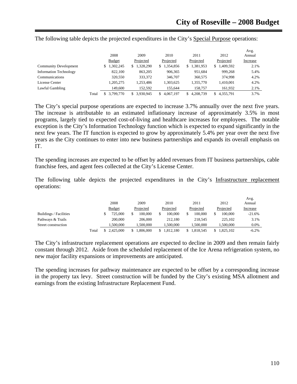|                               |       |                |                |                 |                  |                  | Avg.     |
|-------------------------------|-------|----------------|----------------|-----------------|------------------|------------------|----------|
|                               |       | 2008           | 2009           | 2010            | 2011             | 2012             | Annual   |
|                               |       | <b>Budget</b>  | Projected      | Projected       | Projected        | Projected        | Increase |
| <b>Community Development</b>  |       | ,302,245<br>\$ | 1,328,290<br>S | 1,354,856<br>S. | 1,381,953<br>\$. | 1,409,592<br>\$. | 2.1%     |
| <b>Information Technology</b> |       | 822,100        | 863,205        | 906,365         | 951,684          | 999,268          | 5.4%     |
| Communications                |       | 320,550        | 333,372        | 346,707         | 360,575          | 374,998          | 4.2%     |
| License Center                |       | 1,205,275      | 1,253,486      | 1,303,625       | 1,355,770        | 1,410,001        | 4.2%     |
| Lawful Gambling               |       | 149,600        | 152,592        | 155,644         | 158,757          | 161,932          | 2.1%     |
|                               | Total | 3.799.770      | 3.930.945      | 4,067,197       | 4.208.739<br>S.  | 4,355,791        | 3.7%     |

The following table depicts the projected expenditures in the City's Special Purpose operations:

The City's special purpose operations are expected to increase 3.7% annually over the next five years. The increase is attributable to an estimated inflationary increase of approximately 3.5% in most programs, largely tied to expected cost-of-living and healthcare increases for employees. The notable exception is the City's Information Technology function which is expected to expand significantly in the next few years. The IT function is expected to grow by approximately 5.4% per year over the next five years as the City continues to enter into new business partnerships and expands its overall emphasis on IT.

The spending increases are expected to be offset by added revenues from IT business partnerships, cable franchise fees, and agent fees collected at the City's License Center.

The following table depicts the projected expenditures in the City's Infrastructure replacement operations:

|                        |       | 2008          | 2009      | 2010      | 2011      | 2012      | Avg.<br>Annual |  |
|------------------------|-------|---------------|-----------|-----------|-----------|-----------|----------------|--|
|                        |       | <b>Budget</b> | Projected | Projected | Projected | Projected | Increase       |  |
| Buildings / Facilities |       | 725,000       | 100.000   | 100,000   | 100,000   | 100,000   | $-21.6%$       |  |
| Pathways & Trails      |       | 200,000       | 206,000   | 212,180   | 218.545   | 225,102   | 3.1%           |  |
| Street construction    |       | .500.000      | .500.000  | 1.500.000 | 1.500.000 | 1.500.000 | $0.0\%$        |  |
|                        | Total | 2.425,000     | 1.806.000 | .812.180  | 1.818.545 | 1.825.102 | $-6.2%$        |  |

The City's infrastructure replacement operations are expected to decline in 2009 and then remain fairly constant through 2012. Aside from the scheduled replacement of the Ice Arena refrigeration system, no new major facility expansions or improvements are anticipated.

The spending increases for pathway maintenance are expected to be offset by a corresponding increase in the property tax levy. Street construction will be funded by the City's existing MSA allotment and earnings from the existing Infrastructure Replacement Fund.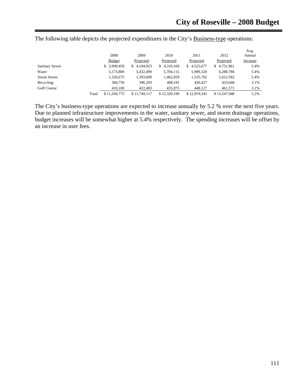|                    |       |               |                 |                  |              |                 | Avg.     |
|--------------------|-------|---------------|-----------------|------------------|--------------|-----------------|----------|
|                    |       | 2008          | 2009            | 2010             | 2011         | 2012            | Annual   |
|                    |       | <b>Budget</b> | Projected       | Projected        | Projected    | Projected       | Increase |
| Sanitary Sewer     |       | \$ 3,909,450  | 4,104,923<br>\$ | 4,310,169<br>\$. | \$4,525,677  | 4,751,961<br>S. | 5.4%     |
| Water              |       | 5,173,800     | 5,432,490       | 5,704,115        | 5,989,320    | 6,288,786       | 5.4%     |
| <b>Storm Sewer</b> |       | 1,326,675     | 1.393.009       | 1.462.659        | 1,535,792    | 1.612.582       | 5.4%     |
| Recycling          |       | 384,750       | 396,293         | 408,181          | 420,427      | 433,040         | 3.1%     |
| Golf Course        |       | 410,100       | 422,403         | 435,075          | 448.127      | 461,571         | 3.1%     |
|                    | Total | \$11,204,775  | \$11,749,117    | \$12,320,199     | \$12,919,343 | \$13,547,940    | 5.2%     |

The following table depicts the projected expenditures in the City's Business-type operations:

The City's business-type operations are expected to increase annually by 5.2 % over the next five years. Due to planned infrastructure improvements in the water, sanitary sewer, and storm drainage operations, budget increases will be somewhat higher at 5.4% respectively. The spending increases will be offset by an increase in user fees.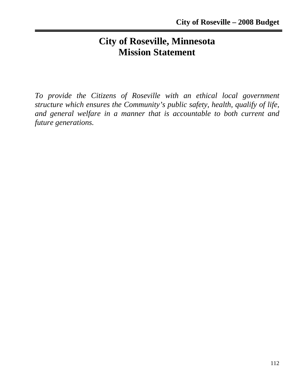# **City of Roseville, Minnesota Mission Statement**

*To provide the Citizens of Roseville with an ethical local government structure which ensures the Community's public safety, health, qualify of life, and general welfare in a manner that is accountable to both current and future generations.*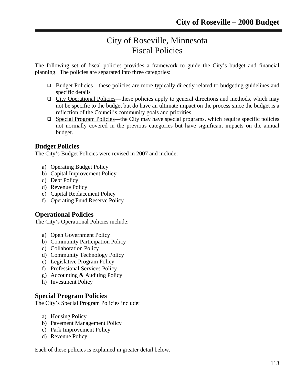# City of Roseville, Minnesota Fiscal Policies

The following set of fiscal policies provides a framework to guide the City's budget and financial planning. The policies are separated into three categories:

- □ Budget Policies—these policies are more typically directly related to budgeting guidelines and specific details
- $\Box$  City Operational Policies—these policies apply to general directions and methods, which may not be specific to the budget but do have an ultimate impact on the process since the budget is a reflection of the Council's community goals and priorities
- $\Box$  Special Program Policies—the City may have special programs, which require specific policies not normally covered in the previous categories but have significant impacts on the annual budget.

# **Budget Policies**

The City's Budget Policies were revised in 2007 and include:

- a) Operating Budget Policy
- b) Capital Improvement Policy
- c) Debt Policy
- d) Revenue Policy
- e) Capital Replacement Policy
- f) Operating Fund Reserve Policy

# **Operational Policies**

The City's Operational Policies include:

- a) Open Government Policy
- b) Community Participation Policy
- c) Collaboration Policy
- d) Community Technology Policy
- e) Legislative Program Policy
- f) Professional Services Policy
- g) Accounting & Auditing Policy
- h) Investment Policy

# **Special Program Policies**

The City's Special Program Policies include:

- a) Housing Policy
- b) Pavement Management Policy
- c) Park Improvement Policy
- d) Revenue Policy

Each of these policies is explained in greater detail below.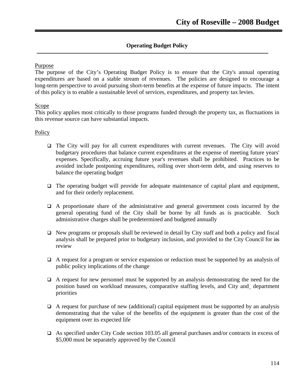# **Operating Budget Policy**

#### Purpose

The purpose of the City's Operating Budget Policy is to ensure that the City's annual operating expenditures are based on a stable stream of revenues. The policies are designed to encourage a long-term perspective to avoid pursuing short-term benefits at the expense of future impacts. The intent of this policy is to enable a sustainable level of services, expenditures, and property tax levies.

#### Scope

This policy applies most critically to those programs funded through the property tax, as fluctuations in this revenue source can have substantial impacts.

#### **Policy**

- $\Box$  The City will pay for all current expenditures with current revenues. The City will avoid budgetary procedures that balance current expenditures at the expense of meeting future years' expenses. Specifically, accruing future year's revenues shall be prohibited. Practices to be avoided include postponing expenditures, rolling over short-term debt, and using reserves to balance the operating budget
- $\Box$  The operating budget will provide for adequate maintenance of capital plant and equipment, and for their orderly replacement.
- A proportionate share of the administrative and general government costs incurred by the general operating fund of the City shall be borne by all funds as is practicable. Such administrative charges shall be predetermined and budgeted annually
- $\Box$  New programs or proposals shall be reviewed in detail by City staff and both a policy and fiscal analysis shall be prepared prior to budgetary inclusion, and provided to the City Council for its review
- $\Box$  A request for a program or service expansion or reduction must be supported by an analysis of public policy implications of the change
- $\Box$  A request for new personnel must be supported by an analysis demonstrating the need for the position based on workload measures, comparative staffing levels, and City and department priorities
- $\Box$  A request for purchase of new (additional) capital equipment must be supported by an analysis demonstrating that the value of the benefits of the equipment is greater than the cost of the equipment over its expected life
- As specified under City Code section 103.05 all general purchases and/or contracts in excess of \$5,000 must be separately approved by the Council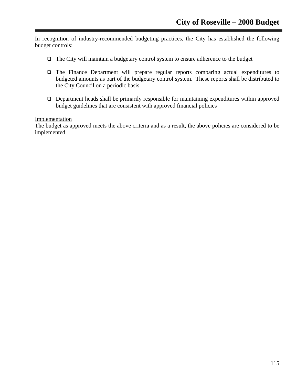In recognition of industry-recommended budgeting practices, the City has established the following budget controls:

- $\Box$  The City will maintain a budgetary control system to ensure adherence to the budget
- The Finance Department will prepare regular reports comparing actual expenditures to budgeted amounts as part of the budgetary control system. These reports shall be distributed to the City Council on a periodic basis.
- $\Box$  Department heads shall be primarily responsible for maintaining expenditures within approved budget guidelines that are consistent with approved financial policies

# Implementation

The budget as approved meets the above criteria and as a result, the above policies are considered to be implemented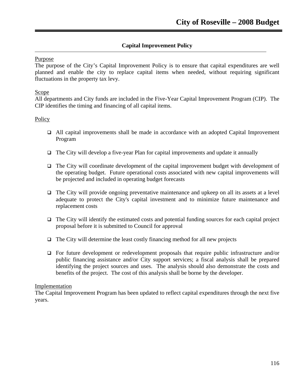# **Capital Improvement Policy**

#### Purpose

The purpose of the City's Capital Improvement Policy is to ensure that capital expenditures are well planned and enable the city to replace capital items when needed, without requiring significant fluctuations in the property tax levy.

#### **Scope**

All departments and City funds are included in the Five-Year Capital Improvement Program (CIP). The CIP identifies the timing and financing of all capital items.

#### **Policy**

- All capital improvements shall be made in accordance with an adopted Capital Improvement Program
- $\Box$  The City will develop a five-year Plan for capital improvements and update it annually
- The City will coordinate development of the capital improvement budget with development of the operating budget. Future operational costs associated with new capital improvements will be projected and included in operating budget forecasts
- $\Box$  The City will provide ongoing preventative maintenance and upkeep on all its assets at a level adequate to protect the City's capital investment and to minimize future maintenance and replacement costs
- $\Box$  The City will identify the estimated costs and potential funding sources for each capital project proposal before it is submitted to Council for approval
- $\Box$  The City will determine the least costly financing method for all new projects
- For future development or redevelopment proposals that require public infrastructure and/or public financing assistance and/or City support services; a fiscal analysis shall be prepared identifying the project sources and uses. The analysis should also demonstrate the costs and benefits of the project. The cost of this analysis shall be borne by the developer.

#### Implementation

The Capital Improvement Program has been updated to reflect capital expenditures through the next five years.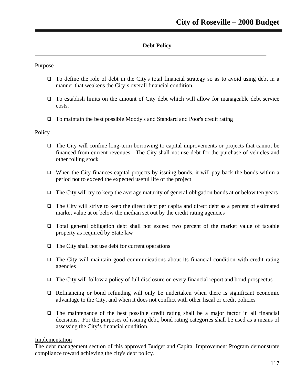# **Debt Policy**

#### Purpose

- To define the role of debt in the City's total financial strategy so as to avoid using debt in a manner that weakens the City's overall financial condition.
- $\Box$  To establish limits on the amount of City debt which will allow for manageable debt service costs.
- To maintain the best possible Moody's and Standard and Poor's credit rating

#### **Policy**

- The City will confine long-term borrowing to capital improvements or projects that cannot be financed from current revenues. The City shall not use debt for the purchase of vehicles and other rolling stock
- $\Box$  When the City finances capital projects by issuing bonds, it will pay back the bonds within a period not to exceed the expected useful life of the project
- $\Box$  The City will try to keep the average maturity of general obligation bonds at or below ten years
- $\Box$  The City will strive to keep the direct debt per capita and direct debt as a percent of estimated market value at or below the median set out by the credit rating agencies
- Total general obligation debt shall not exceed two percent of the market value of taxable property as required by State law
- $\Box$  The City shall not use debt for current operations
- The City will maintain good communications about its financial condition with credit rating agencies
- $\Box$  The City will follow a policy of full disclosure on every financial report and bond prospectus
- $\Box$  Refinancing or bond refunding will only be undertaken when there is significant economic advantage to the City, and when it does not conflict with other fiscal or credit policies
- $\Box$  The maintenance of the best possible credit rating shall be a major factor in all financial decisions. For the purposes of issuing debt, bond rating categories shall be used as a means of assessing the City's financial condition.

#### Implementation

The debt management section of this approved Budget and Capital Improvement Program demonstrate compliance toward achieving the city's debt policy.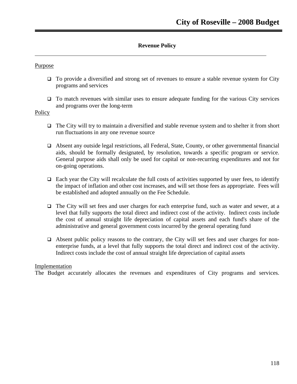# **Revenue Policy**

## Purpose

- □ To provide a diversified and strong set of revenues to ensure a stable revenue system for City programs and services
- $\Box$  To match revenues with similar uses to ensure adequate funding for the various City services and programs over the long-term

## Policy

- $\Box$  The City will try to maintain a diversified and stable revenue system and to shelter it from short run fluctuations in any one revenue source
- Absent any outside legal restrictions, all Federal, State, County, or other governmental financial aids, should be formally designated, by resolution, towards a specific program or service. General purpose aids shall only be used for capital or non-recurring expenditures and not for on-going operations.
- $\Box$  Each year the City will recalculate the full costs of activities supported by user fees, to identify the impact of inflation and other cost increases, and will set those fees as appropriate. Fees will be established and adopted annually on the Fee Schedule.
- The City will set fees and user charges for each enterprise fund, such as water and sewer, at a level that fully supports the total direct and indirect cost of the activity. Indirect costs include the cost of annual straight life depreciation of capital assets and each fund's share of the administrative and general government costs incurred by the general operating fund
- $\Box$  Absent public policy reasons to the contrary, the City will set fees and user charges for nonenterprise funds, at a level that fully supports the total direct and indirect cost of the activity. Indirect costs include the cost of annual straight life depreciation of capital assets

## Implementation

The Budget accurately allocates the revenues and expenditures of City programs and services.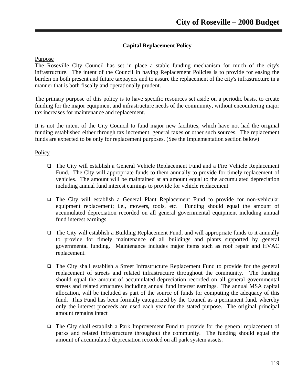# **Capital Replacement Policy**

#### Purpose

The Roseville City Council has set in place a stable funding mechanism for much of the city's infrastructure. The intent of the Council in having Replacement Policies is to provide for easing the burden on both present and future taxpayers and to assure the replacement of the city's infrastructure in a manner that is both fiscally and operationally prudent.

The primary purpose of this policy is to have specific resources set aside on a periodic basis, to create funding for the major equipment and infrastructure needs of the community, without encountering major tax increases for maintenance and replacement.

It is not the intent of the City Council to fund major new facilities, which have not had the original funding established either through tax increment, general taxes or other such sources. The replacement funds are expected to be only for replacement purposes. (See the Implementation section below)

#### **Policy**

- The City will establish a General Vehicle Replacement Fund and a Fire Vehicle Replacement Fund. The City will appropriate funds to them annually to provide for timely replacement of vehicles. The amount will be maintained at an amount equal to the accumulated depreciation including annual fund interest earnings to provide for vehicle replacement
- $\Box$  The City will establish a General Plant Replacement Fund to provide for non-vehicular equipment replacement; i.e., mowers, tools, etc. Funding should equal the amount of accumulated depreciation recorded on all general governmental equipment including annual fund interest earnings
- The City will establish a Building Replacement Fund, and will appropriate funds to it annually to provide for timely maintenance of all buildings and plants supported by general governmental funding. Maintenance includes major items such as roof repair and HVAC replacement.
- The City shall establish a Street Infrastructure Replacement Fund to provide for the general replacement of streets and related infrastructure throughout the community. The funding should equal the amount of accumulated depreciation recorded on all general governmental streets and related structures including annual fund interest earnings. The annual MSA capital allocation, will be included as part of the source of funds for computing the adequacy of this fund. This Fund has been formally categorized by the Council as a permanent fund, whereby only the interest proceeds are used each year for the stated purpose. The original principal amount remains intact
- The City shall establish a Park Improvement Fund to provide for the general replacement of parks and related infrastructure throughout the community. The funding should equal the amount of accumulated depreciation recorded on all park system assets.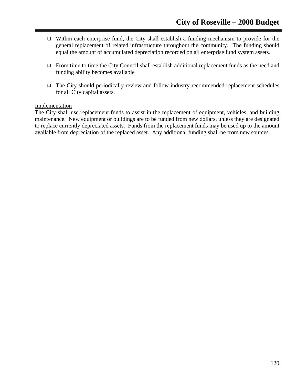- Within each enterprise fund, the City shall establish a funding mechanism to provide for the general replacement of related infrastructure throughout the community. The funding should equal the amount of accumulated depreciation recorded on all enterprise fund system assets.
- $\Box$  From time to time the City Council shall establish additional replacement funds as the need and funding ability becomes available
- $\Box$  The City should periodically review and follow industry-recommended replacement schedules for all City capital assets.

## Implementation

The City shall use replacement funds to assist in the replacement of equipment, vehicles, and building maintenance. New equipment or buildings are to be funded from new dollars, unless they are designated to replace currently depreciated assets. Funds from the replacement funds may be used up to the amount available from depreciation of the replaced asset. Any additional funding shall be from new sources.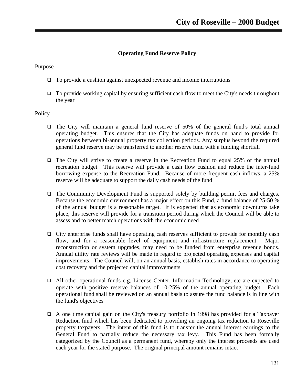# **Operating Fund Reserve Policy**

#### Purpose

- $\Box$  To provide a cushion against unexpected revenue and income interruptions
- $\Box$  To provide working capital by ensuring sufficient cash flow to meet the City's needs throughout the year

## **Policy**

- The City will maintain a general fund reserve of 50% of the general fund's total annual operating budget. This ensures that the City has adequate funds on hand to provide for operations between bi-annual property tax collection periods. Any surplus beyond the required general fund reserve may be transferred to another reserve fund with a funding shortfall
- $\Box$  The City will strive to create a reserve in the Recreation Fund to equal 25% of the annual recreation budget. This reserve will provide a cash flow cushion and reduce the inter-fund borrowing expense to the Recreation Fund. Because of more frequent cash inflows, a 25% reserve will be adequate to support the daily cash needs of the fund
- $\Box$  The Community Development Fund is supported solely by building permit fees and charges. Because the economic environment has a major effect on this Fund, a fund balance of 25-50 % of the annual budget is a reasonable target. It is expected that as economic downturns take place, this reserve will provide for a transition period during which the Council will be able to assess and to better match operations with the economic need
- $\Box$  City enterprise funds shall have operating cash reserves sufficient to provide for monthly cash flow, and for a reasonable level of equipment and infrastructure replacement. Major reconstruction or system upgrades, may need to be funded from enterprise revenue bonds. Annual utility rate reviews will be made in regard to projected operating expenses and capital improvements. The Council will, on an annual basis, establish rates in accordance to operating cost recovery and the projected capital improvements
- All other operational funds e.g. License Center, Information Technology, etc are expected to operate with positive reserve balances of 10-25% of the annual operating budget. Each operational fund shall be reviewed on an annual basis to assure the fund balance is in line with the fund's objectives
- A one time capital gain on the City's treasury portfolio in 1998 has provided for a Taxpayer Reduction fund which has been dedicated to providing an ongoing tax reduction to Roseville property taxpayers. The intent of this fund is to transfer the annual interest earnings to the General Fund to partially reduce the necessary tax levy. This Fund has been formally categorized by the Council as a permanent fund, whereby only the interest proceeds are used each year for the stated purpose. The original principal amount remains intact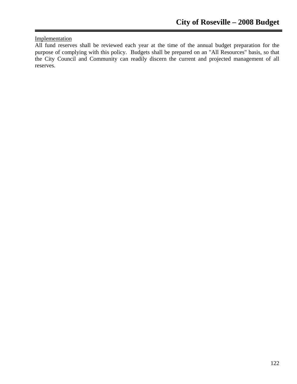# Implementation

All fund reserves shall be reviewed each year at the time of the annual budget preparation for the purpose of complying with this policy. Budgets shall be prepared on an "All Resources" basis, so that the City Council and Community can readily discern the current and projected management of all reserves.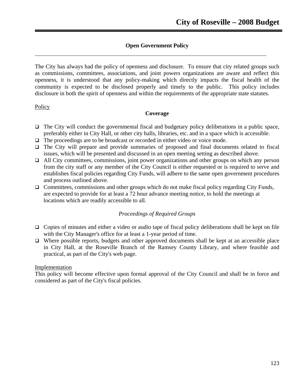# **Open Government Policy**

The City has always had the policy of openness and disclosure. To ensure that city related groups such as commissions, committees, associations, and joint powers organizations are aware and reflect this openness, it is understood that any policy-making which directly impacts the fiscal health of the community is expected to be disclosed properly and timely to the public. This policy includes disclosure in both the spirit of openness and within the requirements of the appropriate state statutes.

#### **Policy**

#### **Coverage**

- $\Box$  The City will conduct the governmental fiscal and budgetary policy deliberations in a public space, preferably either in City Hall, or other city halls, libraries, etc. and in a space which is accessible.
- The proceedings are to be broadcast or recorded in either video or voice mode.
- $\Box$  The City will prepare and provide summaries of proposed and final documents related to fiscal issues, which will be presented and discussed in an open meeting setting as described above.
- $\Box$  All City committees, commissions, joint power organizations and other groups on which any person from the city staff or any member of the City Council is either requested or is required to serve and establishes fiscal policies regarding City Funds, will adhere to the same open government procedures and process outlined above.
- $\Box$  Committees, commissions and other groups which do not make fiscal policy regarding City Funds, are expected to provide for at least a 72 hour advance meeting notice, to hold the meetings at locations which are readily accessible to all.

## *Proceedings of Required Groups*

- $\Box$  Copies of minutes and either a video or audio tape of fiscal policy deliberations shall be kept on file with the City Manager's office for at least a 1-year period of time.
- $\Box$  Where possible reports, budgets and other approved documents shall be kept at an accessible place in City Hall, at the Roseville Branch of the Ramsey County Library, and where feasible and practical, as part of the City's web page.

## Implementation

This policy will become effective upon formal approval of the City Council and shall be in force and considered as part of the City's fiscal policies.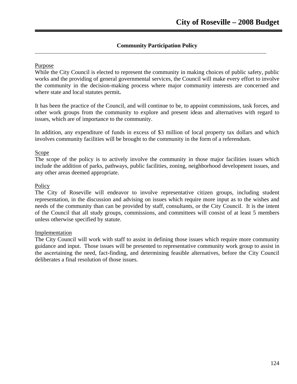# **Community Participation Policy**

#### Purpose

While the City Council is elected to represent the community in making choices of public safety, public works and the providing of general governmental services, the Council will make every effort to involve the community in the decision-making process where major community interests are concerned and where state and local statutes permit**.** 

It has been the practice of the Council, and will continue to be, to appoint commissions, task forces, and other work groups from the community to explore and present ideas and alternatives with regard to issues, which are of importance to the community.

In addition, any expenditure of funds in excess of \$3 million of local property tax dollars and which involves community facilities will be brought to the community in the form of a referendum.

#### Scope

The scope of the policy is to actively involve the community in those major facilities issues which include the addition of parks, pathways, public facilities, zoning, neighborhood development issues, and any other areas deemed appropriate.

#### **Policy**

The City of Roseville will endeavor to involve representative citizen groups, including student representation, in the discussion and advising on issues which require more input as to the wishes and needs of the community than can be provided by staff, consultants, or the City Council. It is the intent of the Council that all study groups, commissions, and committees will consist of at least 5 members unless otherwise specified by statute.

#### Implementation

The City Council will work with staff to assist in defining those issues which require more community guidance and input. Those issues will be presented to representative community work group to assist in the ascertaining the need, fact-finding, and determining feasible alternatives, before the City Council deliberates a final resolution of those issues.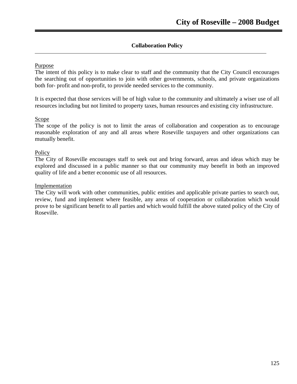# **Collaboration Policy**

# Purpose

The intent of this policy is to make clear to staff and the community that the City Council encourages the searching out of opportunities to join with other governments, schools, and private organizations both for- profit and non-profit, to provide needed services to the community.

It is expected that those services will be of high value to the community and ultimately a wiser use of all resources including but not limited to property taxes, human resources and existing city infrastructure.

## Scope

The scope of the policy is not to limit the areas of collaboration and cooperation as to encourage reasonable exploration of any and all areas where Roseville taxpayers and other organizations can mutually benefit.

## Policy

The City of Roseville encourages staff to seek out and bring forward, areas and ideas which may be explored and discussed in a public manner so that our community may benefit in both an improved quality of life and a better economic use of all resources.

#### Implementation

The City will work with other communities, public entities and applicable private parties to search out, review, fund and implement where feasible, any areas of cooperation or collaboration which would prove to be significant benefit to all parties and which would fulfill the above stated policy of the City of Roseville.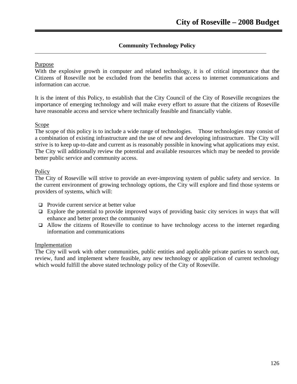# **Community Technology Policy**

# Purpose

With the explosive growth in computer and related technology, it is of critical importance that the Citizens of Roseville not be excluded from the benefits that access to internet communications and information can accrue.

It is the intent of this Policy, to establish that the City Council of the City of Roseville recognizes the importance of emerging technology and will make every effort to assure that the citizens of Roseville have reasonable access and service where technically feasible and financially viable.

## Scope

The scope of this policy is to include a wide range of technologies. Those technologies may consist of a combination of existing infrastructure and the use of new and developing infrastructure. The City will strive is to keep up-to-date and current as is reasonably possible in knowing what applications may exist. The City will additionally review the potential and available resources which may be needed to provide better public service and community access.

## Policy

The City of Roseville will strive to provide an ever-improving system of public safety and service. In the current environment of growing technology options, the City will explore and find those systems or providers of systems, which will:

- $\Box$  Provide current service at better value
- $\Box$  Explore the potential to provide improved ways of providing basic city services in ways that will enhance and better protect the community
- $\Box$  Allow the citizens of Roseville to continue to have technology access to the internet regarding information and communications

## **Implementation**

The City will work with other communities, public entities and applicable private parties to search out, review, fund and implement where feasible, any new technology or application of current technology which would fulfill the above stated technology policy of the City of Roseville.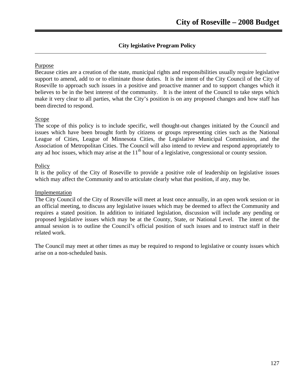# **City legislative Program Policy**

## Purpose

Because cities are a creation of the state, municipal rights and responsibilities usually require legislative support to amend, add to or to eliminate those duties. It is the intent of the City Council of the City of Roseville to approach such issues in a positive and proactive manner and to support changes which it believes to be in the best interest of the community. It is the intent of the Council to take steps which make it very clear to all parties, what the City's position is on any proposed changes and how staff has been directed to respond.

# Scope

The scope of this policy is to include specific, well thought-out changes initiated by the Council and issues which have been brought forth by citizens or groups representing cities such as the National League of Cities, League of Minnesota Cities, the Legislative Municipal Commission, and the Association of Metropolitan Cities. The Council will also intend to review and respond appropriately to any ad hoc issues, which may arise at the  $11<sup>th</sup>$  hour of a legislative, congressional or county session.

## **Policy**

It is the policy of the City of Roseville to provide a positive role of leadership on legislative issues which may affect the Community and to articulate clearly what that position, if any, may be.

## Implementation

The City Council of the City of Roseville will meet at least once annually, in an open work session or in an official meeting, to discuss any legislative issues which may be deemed to affect the Community and requires a stated position. In addition to initiated legislation, discussion will include any pending or proposed legislative issues which may be at the County, State, or National Level. The intent of the annual session is to outline the Council's official position of such issues and to instruct staff in their related work.

The Council may meet at other times as may be required to respond to legislative or county issues which arise on a non-scheduled basis.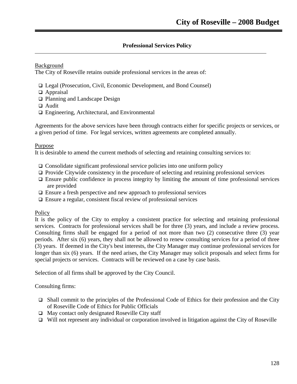# **Professional Services Policy**

Background

The City of Roseville retains outside professional services in the areas of:

- Legal (Prosecution, Civil, Economic Development, and Bond Counsel)
- □ Appraisal
- □ Planning and Landscape Design
- □ Audit
- Engineering, Architectural, and Environmental

Agreements for the above services have been through contracts either for specific projects or services, or a given period of time. For legal services, written agreements are completed annually.

## Purpose

It is desirable to amend the current methods of selecting and retaining consulting services to:

- $\Box$  Consolidate significant professional service policies into one uniform policy
- $\Box$  Provide Citywide consistency in the procedure of selecting and retaining professional services
- $\Box$  Ensure public confidence in process integrity by limiting the amount of time professional services are provided
- $\Box$  Ensure a fresh perspective and new approach to professional services
- $\Box$  Ensure a regular, consistent fiscal review of professional services

## **Policy**

It is the policy of the City to employ a consistent practice for selecting and retaining professional services. Contracts for professional services shall be for three (3) years, and include a review process. Consulting firms shall be engaged for a period of not more than two (2) consecutive three (3) year periods. After six (6) years, they shall not be allowed to renew consulting services for a period of three (3) years. If deemed in the City's best interests, the City Manager may continue professional services for longer than six (6) years. If the need arises, the City Manager may solicit proposals and select firms for special projects or services. Contracts will be reviewed on a case by case basis.

Selection of all firms shall be approved by the City Council.

Consulting firms:

- $\Box$  Shall commit to the principles of the Professional Code of Ethics for their profession and the City of Roseville Code of Ethics for Public Officials
- $\Box$  May contact only designated Roseville City staff
- $\Box$  Will not represent any individual or corporation involved in litigation against the City of Roseville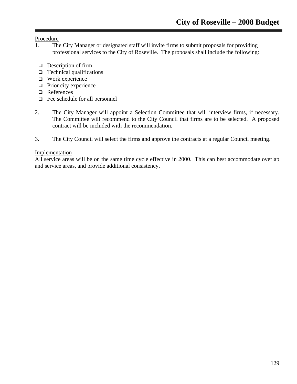Procedure

- 1. The City Manager or designated staff will invite firms to submit proposals for providing professional services to the City of Roseville. The proposals shall include the following:
	- $\Box$  Description of firm
	- $\Box$  Technical qualifications
	- Work experience
	- $\Box$  Prior city experience
	- **Q** References
	- Fee schedule for all personnel
- 2. The City Manager will appoint a Selection Committee that will interview firms, if necessary. The Committee will recommend to the City Council that firms are to be selected. A proposed contract will be included with the recommendation.
- 3. The City Council will select the firms and approve the contracts at a regular Council meeting.

# Implementation

All service areas will be on the same time cycle effective in 2000. This can best accommodate overlap and service areas, and provide additional consistency.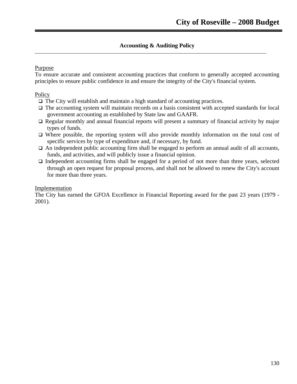# **Accounting & Auditing Policy**

# Purpose

To ensure accurate and consistent accounting practices that conform to generally accepted accounting principles to ensure public confidence in and ensure the integrity of the City's financial system.

# Policy

- The City will establish and maintain a high standard of accounting practices.
- $\Box$  The accounting system will maintain records on a basis consistent with accepted standards for local government accounting as established by State law and GAAFR.
- $\Box$  Regular monthly and annual financial reports will present a summary of financial activity by major types of funds.
- Where possible, the reporting system will also provide monthly information on the total cost of specific services by type of expenditure and, if necessary, by fund.
- $\Box$  An independent public accounting firm shall be engaged to perform an annual audit of all accounts, funds, and activities, and will publicly issue a financial opinion.
- $\Box$  Independent accounting firms shall be engaged for a period of not more than three years, selected through an open request for proposal process, and shall not be allowed to renew the City's account for more than three years.

#### Implementation

The City has earned the GFOA Excellence in Financial Reporting award for the past 23 years (1979 - 2001).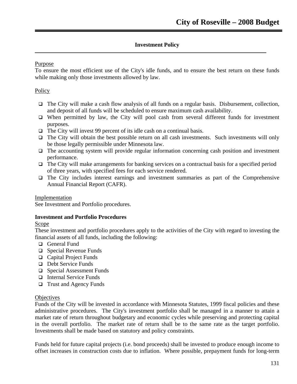# **Investment Policy**

# Purpose

To ensure the most efficient use of the City's idle funds, and to ensure the best return on these funds while making only those investments allowed by law.

# Policy

- $\Box$  The City will make a cash flow analysis of all funds on a regular basis. Disbursement, collection, and deposit of all funds will be scheduled to ensure maximum cash availability.
- $\Box$  When permitted by law, the City will pool cash from several different funds for investment purposes.
- $\Box$  The City will invest 99 percent of its idle cash on a continual basis.
- $\Box$  The City will obtain the best possible return on all cash investments. Such investments will only be those legally permissible under Minnesota law.
- $\Box$  The accounting system will provide regular information concerning cash position and investment performance.
- $\Box$  The City will make arrangements for banking services on a contractual basis for a specified period of three years, with specified fees for each service rendered.
- $\Box$  The City includes interest earnings and investment summaries as part of the Comprehensive Annual Financial Report (CAFR).

Implementation

See Investment and Portfolio procedures.

## **Investment and Portfolio Procedures**

## **Scope**

These investment and portfolio procedures apply to the activities of the City with regard to investing the financial assets of all funds, including the following:

- General Fund
- □ Special Revenue Funds
- Capital Project Funds
- Debt Service Funds
- □ Special Assessment Funds
- □ Internal Service Funds
- $\Box$  Trust and Agency Funds

## **Objectives**

Funds of the City will be invested in accordance with Minnesota Statutes, 1999 fiscal policies and these administrative procedures. The City's investment portfolio shall be managed in a manner to attain a market rate of return throughout budgetary and economic cycles while preserving and protecting capital in the overall portfolio. The market rate of return shall be to the same rate as the target portfolio. Investments shall be made based on statutory and policy constraints.

Funds held for future capital projects (i.e. bond proceeds) shall be invested to produce enough income to offset increases in construction costs due to inflation. Where possible, prepayment funds for long-term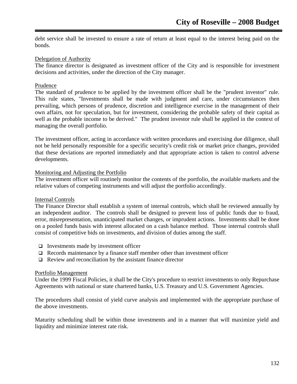debt service shall be invested to ensure a rate of return at least equal to the interest being paid on the bonds.

## Delegation of Authority

The finance director is designated as investment officer of the City and is responsible for investment decisions and activities, under the direction of the City manager.

#### Prudence

The standard of prudence to be applied by the investment officer shall be the "prudent investor" rule. This rule states, "Investments shall be made with judgment and care, under circumstances then prevailing, which persons of prudence, discretion and intelligence exercise in the management of their own affairs, not for speculation, but for investment, considering the probable safety of their capital as well as the probable income to be derived." The prudent investor rule shall be applied in the context of managing the overall portfolio.

The investment officer, acting in accordance with written procedures and exercising due diligence, shall not be held personally responsible for a specific security's credit risk or market price changes, provided that these deviations are reported immediately and that appropriate action is taken to control adverse developments.

#### Monitoring and Adjusting the Portfolio

The investment officer will routinely monitor the contents of the portfolio, the available markets and the relative values of competing instruments and will adjust the portfolio accordingly.

#### Internal Controls

The Finance Director shall establish a system of internal controls, which shall be reviewed annually by an independent auditor. The controls shall be designed to prevent loss of public funds due to fraud, error, misrepresentation, unanticipated market changes, or imprudent actions. Investments shall be done on a pooled funds basis with interest allocated on a cash balance method. Those internal controls shall consist of competitive bids on investments, and division of duties among the staff.

- $\Box$  Investments made by investment officer
- $\Box$  Records maintenance by a finance staff member other than investment officer
- $\Box$  Review and reconciliation by the assistant finance director

#### Portfolio Management

Under the 1999 Fiscal Policies, it shall be the City's procedure to restrict investments to only Repurchase Agreements with national or state chartered banks, U.S. Treasury and U.S. Government Agencies.

The procedures shall consist of yield curve analysis and implemented with the appropriate purchase of the above investments.

Maturity scheduling shall be within those investments and in a manner that will maximize yield and liquidity and minimize interest rate risk.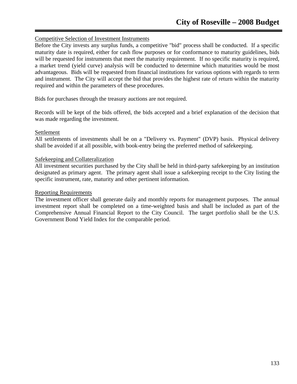# Competitive Selection of Investment Instruments

Before the City invests any surplus funds, a competitive "bid" process shall be conducted. If a specific maturity date is required, either for cash flow purposes or for conformance to maturity guidelines, bids will be requested for instruments that meet the maturity requirement. If no specific maturity is required, a market trend (yield curve) analysis will be conducted to determine which maturities would be most advantageous. Bids will be requested from financial institutions for various options with regards to term and instrument. The City will accept the bid that provides the highest rate of return within the maturity required and within the parameters of these procedures.

Bids for purchases through the treasury auctions are not required.

Records will be kept of the bids offered, the bids accepted and a brief explanation of the decision that was made regarding the investment.

## Settlement

All settlements of investments shall be on a "Delivery vs. Payment" (DVP) basis. Physical delivery shall be avoided if at all possible, with book-entry being the preferred method of safekeeping.

#### Safekeeping and Collateralization

All investment securities purchased by the City shall be held in third-party safekeeping by an institution designated as primary agent. The primary agent shall issue a safekeeping receipt to the City listing the specific instrument, rate, maturity and other pertinent information.

#### Reporting Requirements

The investment officer shall generate daily and monthly reports for management purposes. The annual investment report shall be completed on a time-weighted basis and shall be included as part of the Comprehensive Annual Financial Report to the City Council. The target portfolio shall be the U.S. Government Bond Yield Index for the comparable period.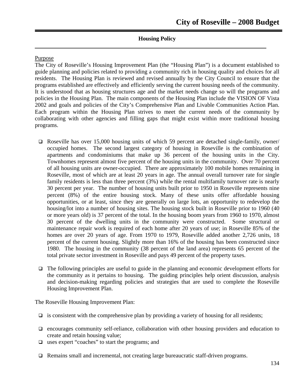# **Housing Policy**

#### Purpose

The City of Roseville's Housing Improvement Plan (the "Housing Plan") is a document established to guide planning and policies related to providing a community rich in housing quality and choices for all residents. The Housing Plan is reviewed and revised annually by the City Council to ensure that the programs established are effectively and efficiently serving the current housing needs of the community. It is understood that as housing structures age and the market needs change so will the programs and policies in the Housing Plan. The main components of the Housing Plan include the VISION OF Vista 2002 and goals and policies of the City's Comprehensive Plan and Livable Communities Action Plan. Each program within the Housing Plan strives to meet the current needs of the community by collaborating with other agencies and filling gaps that might exist within more traditional housing programs.

- Roseville has over 15,000 housing units of which 59 percent are detached single-family, owner/ occupied homes. The second largest category of housing in Roseville is the combination of apartments and condominiums that make up 36 percent of the housing units in the City. Townhomes represent almost five percent of the housing units in the community. Over 70 percent of all housing units are owner-occupied. There are approximately 100 mobile homes remaining in Roseville, most of which are at least 20 years in age. The annual overall turnover rate for single family residents is less than three percent (3%) while the rental multifamily turnover rate is nearly 30 percent per year. The number of housing units built prior to 1950 in Roseville represents nine percent (8%) of the entire housing stock. Many of these units offer affordable housing opportunities, or at least, since they are generally on large lots, an opportunity to redevelop the housing/lot into a number of housing sites. The housing stock built in Roseville prior to 1960 (40 or more years old) is 37 percent of the total. In the housing boom years from 1960 to 1970, almost 30 percent of the dwelling units in the community were constructed. Some structural or maintenance repair work is required of each home after 20 years of use; in Roseville 85% of the homes are over 20 years of age. From 1970 to 1979, Roseville added another 2,726 units, 18 percent of the current housing. Slightly more than 16% of the housing has been constructed since 1980. The housing in the community (38 percent of the land area) represents 65 percent of the total private sector investment in Roseville and pays 49 percent of the property taxes.
- $\Box$  The following principles are useful to guide in the planning and economic development efforts for the community as it pertains to housing. The guiding principles help orient discussion, analysis and decision-making regarding policies and strategies that are used to complete the Roseville Housing Improvement Plan.

The Roseville Housing Improvement Plan:

- $\Box$  is consistent with the comprehensive plan by providing a variety of housing for all residents;
- $\Box$  encourages community self-reliance, collaboration with other housing providers and education to create and retain housing value;
- uses expert "coaches" to start the programs; and
- $\Box$  Remains small and incremental, not creating large bureaucratic staff-driven programs.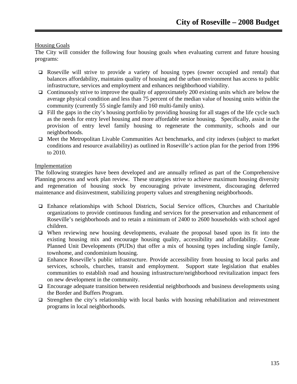## Housing Goals

The City will consider the following four housing goals when evaluating current and future housing programs:

- Roseville will strive to provide a variety of housing types (owner occupied and rental) that balances affordability, maintains quality of housing and the urban environment has access to public infrastructure, services and employment and enhances neighborhood viability.
- $\Box$  Continuously strive to improve the quality of approximately 200 existing units which are below the average physical condition and less than 75 percent of the median value of housing units within the community (currently 55 single family and 160 multi-family units).
- $\Box$  Fill the gaps in the city's housing portfolio by providing housing for all stages of the life cycle such as the needs for entry level housing and more affordable senior housing. Specifically, assist in the provision of entry level family housing to regenerate the community, schools and our neighborhoods.
- $\Box$  Meet the Metropolitan Livable Communities Act benchmarks, and city indexes (subject to market conditions and resource availability) as outlined in Roseville's action plan for the period from 1996 to 2010.

## Implementation

The following strategies have been developed and are annually refined as part of the Comprehensive Planning process and work plan review. These strategies strive to achieve maximum housing diversity and regeneration of housing stock by encouraging private investment, discouraging deferred maintenance and disinvestment, stabilizing property values and strengthening neighborhoods.

- Enhance relationships with School Districts, Social Service offices, Churches and Charitable organizations to provide continuous funding and services for the preservation and enhancement of Roseville's neighborhoods and to retain a minimum of 2400 to 2600 households with school aged children.
- $\Box$  When reviewing new housing developments, evaluate the proposal based upon its fit into the existing housing mix and encourage housing quality, accessibility and affordability. Create Planned Unit Developments (PUDs) that offer a mix of housing types including single family, townhome, and condominium housing.
- Enhance Roseville's public infrastructure. Provide accessibility from housing to local parks and services, schools, churches, transit and employment. Support state legislation that enables communities to establish road and housing infrastructure/neighborhood revitalization impact fees on new development in the community.
- $\Box$  Encourage adequate transition between residential neighborhoods and business developments using the Border and Buffers Program.
- $\Box$  Strengthen the city's relationship with local banks with housing rehabilitation and reinvestment programs in local neighborhoods.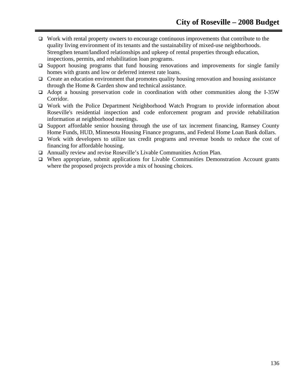- $\Box$  Work with rental property owners to encourage continuous improvements that contribute to the quality living environment of its tenants and the sustainability of mixed-use neighborhoods. Strengthen tenant/landlord relationships and upkeep of rental properties through education, inspections, permits, and rehabilitation loan programs.
- $\Box$  Support housing programs that fund housing renovations and improvements for single family homes with grants and low or deferred interest rate loans.
- $\Box$  Create an education environment that promotes quality housing renovation and housing assistance through the Home & Garden show and technical assistance.
- $\Box$  Adopt a housing preservation code in coordination with other communities along the I-35W Corridor.
- Work with the Police Department Neighborhood Watch Program to provide information about Roseville's residential inspection and code enforcement program and provide rehabilitation information at neighborhood meetings.
- $\Box$  Support affordable senior housing through the use of tax increment financing, Ramsey County Home Funds, HUD, Minnesota Housing Finance programs, and Federal Home Loan Bank dollars.
- Work with developers to utilize tax credit programs and revenue bonds to reduce the cost of financing for affordable housing.
- Annually review and revise Roseville's Livable Communities Action Plan.
- When appropriate, submit applications for Livable Communities Demonstration Account grants where the proposed projects provide a mix of housing choices.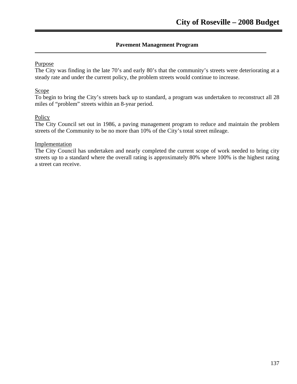# **Pavement Management Program**

# Purpose

The City was finding in the late 70's and early 80's that the community's streets were deteriorating at a steady rate and under the current policy, the problem streets would continue to increase.

# Scope

To begin to bring the City's streets back up to standard, a program was undertaken to reconstruct all 28 miles of "problem" streets within an 8-year period.

## Policy

The City Council set out in 1986, a paving management program to reduce and maintain the problem streets of the Community to be no more than 10% of the City's total street mileage.

## Implementation

The City Council has undertaken and nearly completed the current scope of work needed to bring city streets up to a standard where the overall rating is approximately 80% where 100% is the highest rating a street can receive.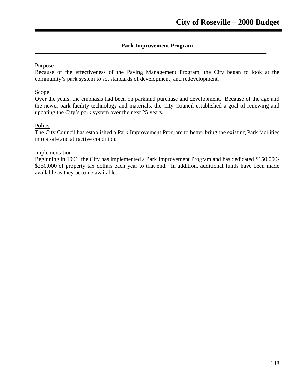# **Park Improvement Program**

# Purpose

Because of the effectiveness of the Paving Management Program, the City began to look at the community's park system to set standards of development, and redevelopment.

# **Scope**

Over the years, the emphasis had been on parkland purchase and development. Because of the age and the newer park facility technology and materials, the City Council established a goal of renewing and updating the City's park system over the next 25 years.

## Policy

The City Council has established a Park Improvement Program to better bring the existing Park facilities into a safe and attractive condition.

## **Implementation**

Beginning in 1991, the City has implemented a Park Improvement Program and has dedicated \$150,000- \$250,000 of property tax dollars each year to that end. In addition, additional funds have been made available as they become available.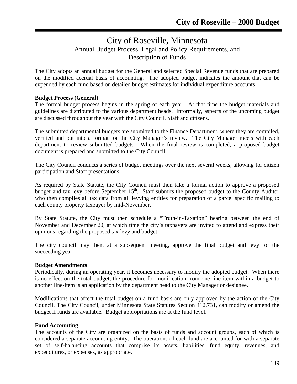# City of Roseville, Minnesota Annual Budget Process, Legal and Policy Requirements, and Description of Funds

The City adopts an annual budget for the General and selected Special Revenue funds that are prepared on the modified accrual basis of accounting. The adopted budget indicates the amount that can be expended by each fund based on detailed budget estimates for individual expenditure accounts.

# **Budget Process (General)**

The formal budget process begins in the spring of each year. At that time the budget materials and guidelines are distributed to the various department heads. Informally, aspects of the upcoming budget are discussed throughout the year with the City Council, Staff and citizens.

The submitted departmental budgets are submitted to the Finance Department, where they are compiled, verified and put into a format for the City Manager's review. The City Manager meets with each department to review submitted budgets. When the final review is completed, a proposed budget document is prepared and submitted to the City Council.

The City Council conducts a series of budget meetings over the next several weeks, allowing for citizen participation and Staff presentations.

As required by State Statute, the City Council must then take a formal action to approve a proposed budget and tax levy before September  $15<sup>th</sup>$ . Staff submits the proposed budget to the County Auditor who then compiles all tax data from all levying entities for preparation of a parcel specific mailing to each county property taxpayer by mid-November.

By State Statute, the City must then schedule a "Truth-in-Taxation" hearing between the end of November and December 20, at which time the city's taxpayers are invited to attend and express their opinions regarding the proposed tax levy and budget.

The city council may then, at a subsequent meeting, approve the final budget and levy for the succeeding year.

## **Budget Amendments**

Periodically, during an operating year, it becomes necessary to modify the adopted budget. When there is no effect on the total budget, the procedure for modification from one line item within a budget to another line-item is an application by the department head to the City Manager or designee.

Modifications that affect the total budget on a fund basis are only approved by the action of the City Council. The City Council, under Minnesota State Statutes Section 412.731, can modify or amend the budget if funds are available. Budget appropriations are at the fund level.

## **Fund Accounting**

The accounts of the City are organized on the basis of funds and account groups, each of which is considered a separate accounting entity. The operations of each fund are accounted for with a separate set of self-balancing accounts that comprise its assets, liabilities, fund equity, revenues, and expenditures, or expenses, as appropriate.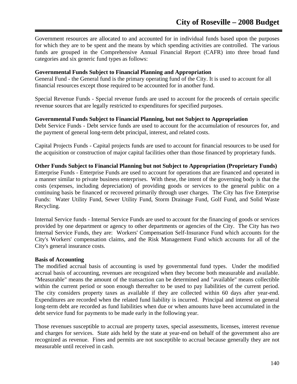Government resources are allocated to and accounted for in individual funds based upon the purposes for which they are to be spent and the means by which spending activities are controlled. The various funds are grouped in the Comprehensive Annual Financial Report (CAFR) into three broad fund categories and six generic fund types as follows:

#### **Governmental Funds Subject to Financial Planning and Appropriation**

General Fund - the General fund is the primary operating fund of the City. It is used to account for all financial resources except those required to be accounted for in another fund.

Special Revenue Funds - Special revenue funds are used to account for the proceeds of certain specific revenue sources that are legally restricted to expenditures for specified purposes.

#### **Governmental Funds Subject to Financial Planning, but not Subject to Appropriation**

Debt Service Funds - Debt service funds are used to account for the accumulation of resources for, and the payment of general long-term debt principal, interest, and related costs.

Capital Projects Funds - Capital projects funds are used to account for financial resources to be used for the acquisition or construction of major capital facilities other than those financed by proprietary funds.

#### **Other Funds Subject to Financial Planning but not Subject to Appropriation (Proprietary Funds)**

Enterprise Funds - Enterprise Funds are used to account for operations that are financed and operated in a manner similar to private business enterprises. With these, the intent of the governing body is that the costs (expenses, including depreciation) of providing goods or services to the general public on a continuing basis be financed or recovered primarily through user charges. The City has five Enterprise Funds: Water Utility Fund, Sewer Utility Fund, Storm Drainage Fund, Golf Fund, and Solid Waste Recycling.

Internal Service funds - Internal Service Funds are used to account for the financing of goods or services provided by one department or agency to other departments or agencies of the City. The City has two Internal Service Funds, they are: Workers' Compensation Self-Insurance Fund which accounts for the City's Workers' compensation claims, and the Risk Management Fund which accounts for all of the City's general insurance costs.

#### **Basis of Accounting**

The modified accrual basis of accounting is used by governmental fund types. Under the modified accrual basis of accounting, revenues are recognized when they become both measurable and available. "Measurable" means the amount of the transaction can be determined and "available" means collectible within the current period or soon enough thereafter to be used to pay liabilities of the current period. The city considers property taxes as available if they are collected within 60 days after year-end. Expenditures are recorded when the related fund liability is incurred. Principal and interest on general long-term debt are recorded as fund liabilities when due or when amounts have been accumulated in the debt service fund for payments to be made early in the following year.

Those revenues susceptible to accrual are property taxes, special assessments, licenses, interest revenue and charges for services. State aids held by the state at year-end on behalf of the government also are recognized as revenue. Fines and permits are not susceptible to accrual because generally they are not measurable until received in cash.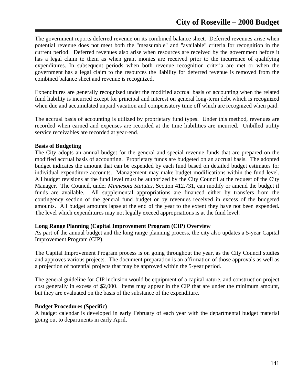The government reports deferred revenue on its combined balance sheet. Deferred revenues arise when potential revenue does not meet both the "measurable" and "available" criteria for recognition in the current period. Deferred revenues also arise when resources are received by the government before it has a legal claim to them as when grant monies are received prior to the incurrence of qualifying expenditures. In subsequent periods when both revenue recognition criteria are met or when the government has a legal claim to the resources the liability for deferred revenue is removed from the combined balance sheet and revenue is recognized.

Expenditures are generally recognized under the modified accrual basis of accounting when the related fund liability is incurred except for principal and interest on general long-term debt which is recognized when due and accumulated unpaid vacation and compensatory time off which are recognized when paid.

The accrual basis of accounting is utilized by proprietary fund types. Under this method, revenues are recorded when earned and expenses are recorded at the time liabilities are incurred. Unbilled utility service receivables are recorded at year-end.

#### **Basis of Budgeting**

The City adopts an annual budget for the general and special revenue funds that are prepared on the modified accrual basis of accounting. Proprietary funds are budgeted on an accrual basis. The adopted budget indicates the amount that can be expended by each fund based on detailed budget estimates for individual expenditure accounts. Management may make budget modifications within the fund level. All budget revisions at the fund level must be authorized by the City Council at the request of the City Manager. The Council, under *Minnesota Statutes*, Section 412.731, can modify or amend the budget if funds are available. All supplemental appropriations are financed either by transfers from the contingency section of the general fund budget or by revenues received in excess of the budgeted amounts. All budget amounts lapse at the end of the year to the extent they have not been expended. The level which expenditures may not legally exceed appropriations is at the fund level.

#### **Long Range Planning (Capital Improvement Program (CIP) Overview**

As part of the annual budget and the long range planning process, the city also updates a 5-year Capital Improvement Program (CIP).

The Capital Improvement Program process is on going throughout the year, as the City Council studies and approves various projects. The document preparation is an affirmation of those approvals as well as a projection of potential projects that may be approved within the 5-year period.

The general guideline for CIP inclusion would be equipment of a capital nature, and construction project cost generally in excess of \$2,000. Items may appear in the CIP that are under the minimum amount, but they are evaluated on the basis of the substance of the expenditure.

#### **Budget Procedures (Specific)**

A budget calendar is developed in early February of each year with the departmental budget material going out to departments in early April.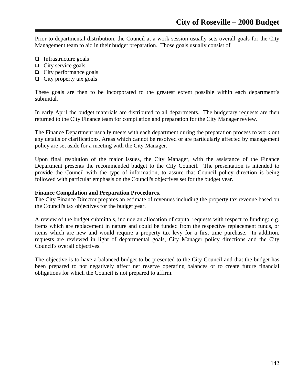Prior to departmental distribution, the Council at a work session usually sets overall goals for the City Management team to aid in their budget preparation. Those goals usually consist of

- $\Box$  Infrastructure goals
- $\Box$  City service goals
- $\Box$  City performance goals
- $\Box$  City property tax goals

These goals are then to be incorporated to the greatest extent possible within each department's submittal.

In early April the budget materials are distributed to all departments. The budgetary requests are then returned to the City Finance team for compilation and preparation for the City Manager review.

The Finance Department usually meets with each department during the preparation process to work out any details or clarifications. Areas which cannot be resolved or are particularly affected by management policy are set aside for a meeting with the City Manager.

Upon final resolution of the major issues, the City Manager, with the assistance of the Finance Department presents the recommended budget to the City Council. The presentation is intended to provide the Council with the type of information, to assure that Council policy direction is being followed with particular emphasis on the Council's objectives set for the budget year.

#### **Finance Compilation and Preparation Procedures.**

The City Finance Director prepares an estimate of revenues including the property tax revenue based on the Council's tax objectives for the budget year.

A review of the budget submittals, include an allocation of capital requests with respect to funding: e.g. items which are replacement in nature and could be funded from the respective replacement funds, or items which are new and would require a property tax levy for a first time purchase. In addition, requests are reviewed in light of departmental goals, City Manager policy directions and the City Council's overall objectives.

The objective is to have a balanced budget to be presented to the City Council and that the budget has been prepared to not negatively affect net reserve operating balances or to create future financial obligations for which the Council is not prepared to affirm.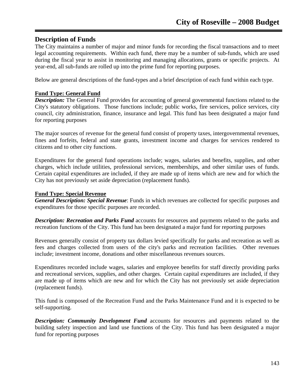# **Description of Funds**

The City maintains a number of major and minor funds for recording the fiscal transactions and to meet legal accounting requirements. Within each fund, there may be a number of sub-funds, which are used during the fiscal year to assist in monitoring and managing allocations, grants or specific projects. At year-end, all sub-funds are rolled up into the prime fund for reporting purposes.

Below are general descriptions of the fund-types and a brief description of each fund within each type.

## **Fund Type: General Fund**

*Description:* The General Fund provides for accounting of general governmental functions related to the City's statutory obligations. Those functions include; public works, fire services, police services, city council, city administration, finance, insurance and legal. This fund has been designated a major fund for reporting purposes

The major sources of revenue for the general fund consist of property taxes, intergovernmental revenues, fines and forfeits, federal and state grants, investment income and charges for services rendered to citizens and to other city functions.

Expenditures for the general fund operations include; wages, salaries and benefits, supplies, and other charges, which include utilities, professional services, memberships, and other similar uses of funds. Certain capital expenditures are included, if they are made up of items which are new and for which the City has not previously set aside depreciation (replacement funds).

## **Fund Type: Special Revenue**

*General Description: Special Revenue*: Funds in which revenues are collected for specific purposes and expenditures for those specific purposes are recorded.

*Description: Recreation and Parks Fund* accounts for resources and payments related to the parks and recreation functions of the City. This fund has been designated a major fund for reporting purposes

Revenues generally consist of property tax dollars levied specifically for parks and recreation as well as fees and charges collected from users of the city's parks and recreation facilities. Other revenues include; investment income, donations and other miscellaneous revenues sources.

Expenditures recorded include wages, salaries and employee benefits for staff directly providing parks and recreational services, supplies, and other charges. Certain capital expenditures are included, if they are made up of items which are new and for which the City has not previously set aside depreciation (replacement funds).

This fund is composed of the Recreation Fund and the Parks Maintenance Fund and it is expected to be self-supporting.

*Description: Community Development Fund* accounts for resources and payments related to the building safety inspection and land use functions of the City. This fund has been designated a major fund for reporting purposes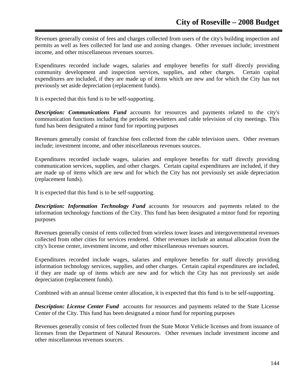Revenues generally consist of fees and charges collected from users of the city's building inspection and permits as well as fees collected for land use and zoning changes. Other revenues include; investment income, and other miscellaneous revenues sources.

Expenditures recorded include wages, salaries and employee benefits for staff directly providing community development and inspection services, supplies, and other charges. Certain capital expenditures are included, if they are made up of items which are new and for which the City has not previously set aside depreciation (replacement funds).

It is expected that this fund is to be self-supporting.

*Description: Communications Fund* accounts for resources and payments related to the city's communication functions including the periodic newsletters and cable television of city meetings. This fund has been designated a minor fund for reporting purposes

Revenues generally consist of franchise fees collected from the cable television users. Other revenues include; investment income, and other miscellaneous revenues sources.

Expenditures recorded include wages, salaries and employee benefits for staff directly providing communication services, supplies, and other charges. Certain capital expenditures are included, if they are made up of items which are new and for which the City has not previously set aside depreciation (replacement funds).

It is expected that this fund is to be self-supporting.

**Description: Information Technology Fund** accounts for resources and payments related to the information technology functions of the City. This fund has been designated a minor fund for reporting purposes

Revenues generally consist of rents collected from wireless tower leases and intergovernmental revenues collected from other cities for services rendered. Other revenues include an annual allocation from the city's license center, investment income, and other miscellaneous revenues sources.

Expenditures recorded include wages, salaries and employee benefits for staff directly providing information technology services, supplies, and other charges. Certain capital expenditures are included, if they are made up of items which are new and for which the City has not previously set aside depreciation (replacement funds).

Combined with an annual license center allocation, it is expected that this fund is to be self-supporting.

**Description: License Center Fund** accounts for resources and payments related to the State License Center of the City. This fund has been designated a minor fund for reporting purposes

Revenues generally consist of fees collected from the State Motor Vehicle licenses and from issuance of licenses from the Department of Natural Resources. Other revenues include investment income and other miscellaneous revenues sources.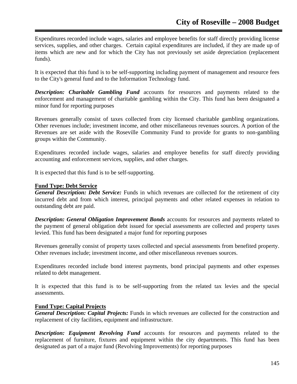Expenditures recorded include wages, salaries and employee benefits for staff directly providing license services, supplies, and other charges. Certain capital expenditures are included, if they are made up of items which are new and for which the City has not previously set aside depreciation (replacement funds).

It is expected that this fund is to be self-supporting including payment of management and resource fees to the City's general fund and to the Information Technology fund.

*Description: Charitable Gambling Fund* accounts for resources and payments related to the enforcement and management of charitable gambling within the City. This fund has been designated a minor fund for reporting purposes

Revenues generally consist of taxes collected from city licensed charitable gambling organizations. Other revenues include; investment income, and other miscellaneous revenues sources. A portion of the Revenues are set aside with the Roseville Community Fund to provide for grants to non-gambling groups within the Community.

Expenditures recorded include wages, salaries and employee benefits for staff directly providing accounting and enforcement services, supplies, and other charges.

It is expected that this fund is to be self-supporting.

#### **Fund Type: Debt Service**

*General Description: Debt Service:* Funds in which revenues are collected for the retirement of city incurred debt and from which interest, principal payments and other related expenses in relation to outstanding debt are paid.

*Description: General Obligation Improvement Bonds* accounts for resources and payments related to the payment of general obligation debt issued for special assessments are collected and property taxes levied. This fund has been designated a major fund for reporting purposes

Revenues generally consist of property taxes collected and special assessments from benefited property. Other revenues include; investment income, and other miscellaneous revenues sources.

Expenditures recorded include bond interest payments, bond principal payments and other expenses related to debt management.

It is expected that this fund is to be self-supporting from the related tax levies and the special assessments.

## **Fund Type: Capital Projects**

*General Description: Capital Projects:* Funds in which revenues are collected for the construction and replacement of city facilities, equipment and infrastructure.

*Description: Equipment Revolving Fund* accounts for resources and payments related to the replacement of furniture, fixtures and equipment within the city departments. This fund has been designated as part of a major fund (Revolving Improvements) for reporting purposes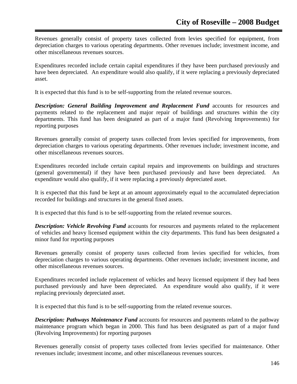Revenues generally consist of property taxes collected from levies specified for equipment, from depreciation charges to various operating departments. Other revenues include; investment income, and other miscellaneous revenues sources.

Expenditures recorded include certain capital expenditures if they have been purchased previously and have been depreciated. An expenditure would also qualify, if it were replacing a previously depreciated asset.

It is expected that this fund is to be self-supporting from the related revenue sources.

*Description: General Building Improvement and Replacement Fund accounts for resources and* payments related to the replacement and major repair of buildings and structures within the city departments. This fund has been designated as part of a major fund (Revolving Improvements) for reporting purposes

Revenues generally consist of property taxes collected from levies specified for improvements, from depreciation charges to various operating departments. Other revenues include; investment income, and other miscellaneous revenues sources.

Expenditures recorded include certain capital repairs and improvements on buildings and structures (general governmental) if they have been purchased previously and have been depreciated. An expenditure would also qualify, if it were replacing a previously depreciated asset.

It is expected that this fund be kept at an amount approximately equal to the accumulated depreciation recorded for buildings and structures in the general fixed assets.

It is expected that this fund is to be self-supporting from the related revenue sources.

*Description: Vehicle Revolving Fund* accounts for resources and payments related to the replacement of vehicles and heavy licensed equipment within the city departments. This fund has been designated a minor fund for reporting purposes

Revenues generally consist of property taxes collected from levies specified for vehicles, from depreciation charges to various operating departments. Other revenues include; investment income, and other miscellaneous revenues sources.

Expenditures recorded include replacement of vehicles and heavy licensed equipment if they had been purchased previously and have been depreciated. An expenditure would also qualify, if it were replacing previously depreciated asset.

It is expected that this fund is to be self-supporting from the related revenue sources.

*Description: Pathways Maintenance Fund* accounts for resources and payments related to the pathway maintenance program which began in 2000. This fund has been designated as part of a major fund (Revolving Improvements) for reporting purposes

Revenues generally consist of property taxes collected from levies specified for maintenance. Other revenues include; investment income, and other miscellaneous revenues sources.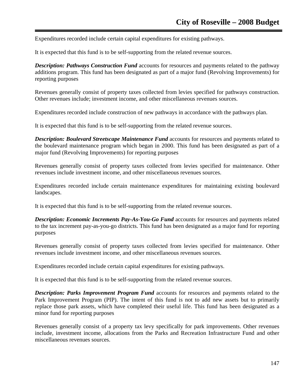Expenditures recorded include certain capital expenditures for existing pathways.

It is expected that this fund is to be self-supporting from the related revenue sources.

*Description: Pathways Construction Fund* accounts for resources and payments related to the pathway additions program. This fund has been designated as part of a major fund (Revolving Improvements) for reporting purposes

Revenues generally consist of property taxes collected from levies specified for pathways construction. Other revenues include; investment income, and other miscellaneous revenues sources.

Expenditures recorded include construction of new pathways in accordance with the pathways plan.

It is expected that this fund is to be self-supporting from the related revenue sources.

*Description: Boulevard Streetscape Maintenance Fund* accounts for resources and payments related to the boulevard maintenance program which began in 2000. This fund has been designated as part of a major fund (Revolving Improvements) for reporting purposes

Revenues generally consist of property taxes collected from levies specified for maintenance. Other revenues include investment income, and other miscellaneous revenues sources.

Expenditures recorded include certain maintenance expenditures for maintaining existing boulevard landscapes.

It is expected that this fund is to be self-supporting from the related revenue sources.

*Description: Economic Increments Pay-As-You-Go Fund accounts for resources and payments related* to the tax increment pay-as-you-go districts. This fund has been designated as a major fund for reporting purposes

Revenues generally consist of property taxes collected from levies specified for maintenance. Other revenues include investment income, and other miscellaneous revenues sources.

Expenditures recorded include certain capital expenditures for existing pathways.

It is expected that this fund is to be self-supporting from the related revenue sources.

*Description: Parks Improvement Program Fund* accounts for resources and payments related to the Park Improvement Program (PIP). The intent of this fund is not to add new assets but to primarily replace those park assets, which have completed their useful life. This fund has been designated as a minor fund for reporting purposes

Revenues generally consist of a property tax levy specifically for park improvements. Other revenues include, investment income, allocations from the Parks and Recreation Infrastructure Fund and other miscellaneous revenues sources.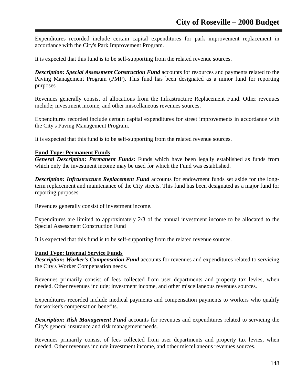Expenditures recorded include certain capital expenditures for park improvement replacement in accordance with the City's Park Improvement Program.

It is expected that this fund is to be self-supporting from the related revenue sources.

*Description: Special Assessment Construction Fund* accounts for resources and payments related to the Paving Management Program (PMP). This fund has been designated as a minor fund for reporting purposes

Revenues generally consist of allocations from the Infrastructure Replacement Fund. Other revenues include; investment income, and other miscellaneous revenues sources.

Expenditures recorded include certain capital expenditures for street improvements in accordance with the City's Paving Management Program.

It is expected that this fund is to be self-supporting from the related revenue sources.

#### **Fund Type: Permanent Funds**

*General Description: Permanent Funds:* Funds which have been legally established as funds from which only the investment income may be used for which the Fund was established.

*Description: Infrastructure Replacement Fund* accounts for endowment funds set aside for the longterm replacement and maintenance of the City streets. This fund has been designated as a major fund for reporting purposes

Revenues generally consist of investment income.

Expenditures are limited to approximately 2/3 of the annual investment income to be allocated to the Special Assessment Construction Fund

It is expected that this fund is to be self-supporting from the related revenue sources.

#### **Fund Type: Internal Service Funds**

*Description: Worker's Compensation Fund* accounts for revenues and expenditures related to servicing the City's Worker Compensation needs.

Revenues primarily consist of fees collected from user departments and property tax levies, when needed. Other revenues include; investment income, and other miscellaneous revenues sources.

Expenditures recorded include medical payments and compensation payments to workers who qualify for worker's compensation benefits.

*Description: Risk Management Fund* accounts for revenues and expenditures related to servicing the City's general insurance and risk management needs.

Revenues primarily consist of fees collected from user departments and property tax levies, when needed. Other revenues include investment income, and other miscellaneous revenues sources.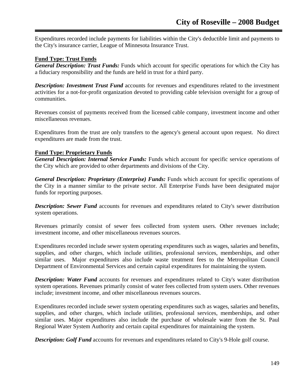Expenditures recorded include payments for liabilities within the City's deductible limit and payments to the City's insurance carrier, League of Minnesota Insurance Trust.

## **Fund Type: Trust Funds**

*General Description: Trust Funds:* Funds which account for specific operations for which the City has a fiduciary responsibility and the funds are held in trust for a third party.

*Description: Investment Trust Fund* accounts for revenues and expenditures related to the investment activities for a not-for-profit organization devoted to providing cable television oversight for a group of communities.

Revenues consist of payments received from the licensed cable company, investment income and other miscellaneous revenues.

Expenditures from the trust are only transfers to the agency's general account upon request. No direct expenditures are made from the trust.

#### **Fund Type: Proprietary Funds**

*General Description: Internal Service Funds:* Funds which account for specific service operations of the City which are provided to other departments and divisions of the City.

*General Description: Proprietary (Enterprise) Funds:* Funds which account for specific operations of the City in a manner similar to the private sector. All Enterprise Funds have been designated major funds for reporting purposes.

*Description: Sewer Fund* accounts for revenues and expenditures related to City's sewer distribution system operations.

Revenues primarily consist of sewer fees collected from system users. Other revenues include; investment income, and other miscellaneous revenues sources.

Expenditures recorded include sewer system operating expenditures such as wages, salaries and benefits, supplies, and other charges, which include utilities, professional services, memberships, and other similar uses. Major expenditures also include waste treatment fees to the Metropolitan Council Department of Environmental Services and certain capital expenditures for maintaining the system.

**Description: Water Fund** accounts for revenues and expenditures related to City's water distribution system operations. Revenues primarily consist of water fees collected from system users. Other revenues include; investment income, and other miscellaneous revenues sources.

Expenditures recorded include sewer system operating expenditures such as wages, salaries and benefits, supplies, and other charges, which include utilities, professional services, memberships, and other similar uses. Major expenditures also include the purchase of wholesale water from the St. Paul Regional Water System Authority and certain capital expenditures for maintaining the system.

*Description: Golf Fund* accounts for revenues and expenditures related to City's 9-Hole golf course.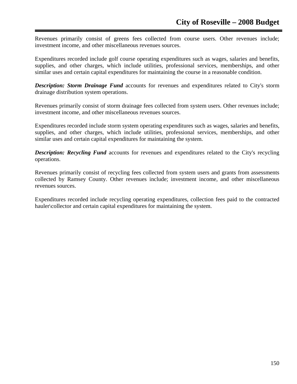Revenues primarily consist of greens fees collected from course users. Other revenues include; investment income, and other miscellaneous revenues sources.

Expenditures recorded include golf course operating expenditures such as wages, salaries and benefits, supplies, and other charges, which include utilities, professional services, memberships, and other similar uses and certain capital expenditures for maintaining the course in a reasonable condition.

*Description: Storm Drainage Fund* accounts for revenues and expenditures related to City's storm drainage distribution system operations.

Revenues primarily consist of storm drainage fees collected from system users. Other revenues include; investment income, and other miscellaneous revenues sources.

Expenditures recorded include storm system operating expenditures such as wages, salaries and benefits, supplies, and other charges, which include utilities, professional services, memberships, and other similar uses and certain capital expenditures for maintaining the system.

**Description: Recycling Fund** accounts for revenues and expenditures related to the City's recycling operations.

Revenues primarily consist of recycling fees collected from system users and grants from assessments collected by Ramsey County. Other revenues include; investment income, and other miscellaneous revenues sources.

Expenditures recorded include recycling operating expenditures, collection fees paid to the contracted hauler\collector and certain capital expenditures for maintaining the system.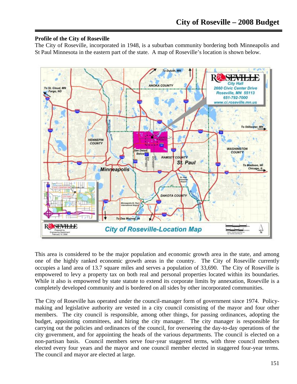## **Profile of the City of Roseville**

The City of Roseville, incorporated in 1948, is a suburban community bordering both Minneapolis and St Paul Minnesota in the eastern part of the state. A map of Roseville's location is shown below.



This area is considered to be the major population and economic growth area in the state, and among one of the highly ranked economic growth areas in the country. The City of Roseville currently occupies a land area of 13.7 square miles and serves a population of 33,690. The City of Roseville is empowered to levy a property tax on both real and personal properties located within its boundaries. While it also is empowered by state statute to extend its corporate limits by annexation, Roseville is a completely developed community and is bordered on all sides by other incorporated communities.

The City of Roseville has operated under the council-manager form of government since 1974. Policymaking and legislative authority are vested in a city council consisting of the mayor and four other members. The city council is responsible, among other things, for passing ordinances, adopting the budget, appointing committees, and hiring the city manager. The city manager is responsible for carrying out the policies and ordinances of the council, for overseeing the day-to-day operations of the city government, and for appointing the heads of the various departments. The council is elected on a non-partisan basis. Council members serve four-year staggered terms, with three council members elected every four years and the mayor and one council member elected in staggered four-year terms. The council and mayor are elected at large.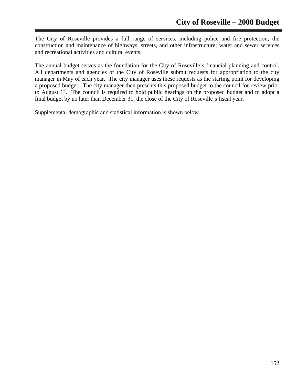The City of Roseville provides a full range of services, including police and fire protection; the construction and maintenance of highways, streets, and other infrastructure; water and sewer services and recreational activities and cultural events.

The annual budget serves as the foundation for the City of Roseville's financial planning and control. All departments and agencies of the City of Roseville submit requests for appropriation to the city manager in May of each year. The city manager uses these requests as the starting point for developing a proposed budget. The city manager then presents this proposed budget to the council for review prior to August  $1<sup>st</sup>$ . The council is required to hold public hearings on the proposed budget and to adopt a final budget by no later than December 31, the close of the City of Roseville's fiscal year.

Supplemental demographic and statistical information is shown below.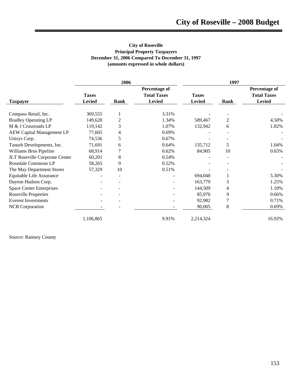#### **City of Roseville Principal Property Taxpayers December 31, 2006 Compared To December 31, 1997 (amounts expressed in whole dollars)**

|                                  | 2006                          |      |                                                      | 1997                          |          |                                                             |
|----------------------------------|-------------------------------|------|------------------------------------------------------|-------------------------------|----------|-------------------------------------------------------------|
| <b>Taxpayer</b>                  | <b>Taxes</b><br><b>Levied</b> | Rank | Percentage of<br><b>Total Taxes</b><br><b>Levied</b> | <b>Taxes</b><br><b>Levied</b> | Rank     | <b>Percentage of</b><br><b>Total Taxes</b><br><b>Levied</b> |
|                                  |                               |      |                                                      |                               |          |                                                             |
| Compass Retail, Inc.             | 369,555                       |      | 3.31%                                                |                               |          |                                                             |
| <b>Bradley Operating LP</b>      | 149,628                       | 2    | 1.34%                                                | 589,467                       | 2        | 4.50%                                                       |
| M & J Crossroads LP              | 119,142                       | 3    | 1.07%                                                | 132,942                       | 6        | 1.02%                                                       |
| <b>AEW Capital Management LP</b> | 77,605                        | 4    | 0.69%                                                |                               |          |                                                             |
| Unisys Corp.                     | 74,536                        | 5    | 0.67%                                                |                               |          |                                                             |
| Tanurb Developments, Inc.        | 71,691                        | 6    | 0.64%                                                | 135,712                       | 5        | 1.04%                                                       |
| Williams Bros Pipeline           | 68,914                        |      | 0.62%                                                | 84,905                        | 10       | 0.65%                                                       |
| JLT Roseville Corporate Center   | 60,201                        | 8    | 0.54%                                                |                               | $\equiv$ |                                                             |
| Rosedale Commons LP              | 58,265                        | 9    | 0.52%                                                |                               |          |                                                             |
| The May Department Stores        | 57,329                        | 10   | 0.51%                                                |                               |          |                                                             |
| Equitable Life Assurance         |                               |      |                                                      | 694,048                       |          | 5.30%                                                       |
| Dayton Hudson Corp.              |                               |      |                                                      | 163,779                       | 3        | 1.25%                                                       |
| <b>Space Center Enterprises</b>  |                               |      |                                                      | 144,509                       | 4        | 1.10%                                                       |
| <b>Roseville Properties</b>      |                               |      |                                                      | 85,976                        | 9        | 0.66%                                                       |
| <b>Everest Investments</b>       |                               |      |                                                      | 92,982                        | 7        | 0.71%                                                       |
| <b>NCR</b> Corporation           |                               |      |                                                      | 90,005                        | 8        | 0.69%                                                       |
|                                  | 1,106,865                     |      | 9.91%                                                | 2,214,324                     |          | 16.92%                                                      |

Source: Ramsey County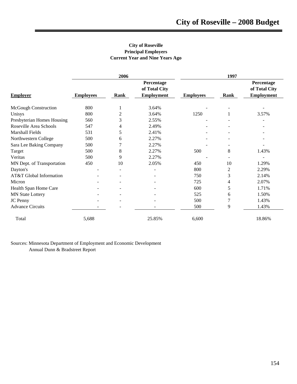#### **City of Roseville Principal Employers Current Year and Nine Years Ago**

|                             | 2006             |                |                             | 1997             |      |                             |
|-----------------------------|------------------|----------------|-----------------------------|------------------|------|-----------------------------|
|                             |                  |                | Percentage<br>of Total City |                  |      | Percentage<br>of Total City |
| <b>Employer</b>             | <b>Employees</b> | <b>Rank</b>    | <b>Employment</b>           | <b>Employees</b> | Rank | <b>Employment</b>           |
| <b>McGough Construction</b> | 800              | 1              | 3.64%                       |                  |      |                             |
| Unisys                      | 800              | 2              | 3.64%                       | 1250             |      | 3.57%                       |
| Presbyterian Homes Housing  | 560              | 3              | 2.55%                       |                  |      |                             |
| Roseville Area Schools      | 547              | 4              | 2.49%                       |                  |      |                             |
| Marshall Fields             | 531              | 5              | 2.41%                       |                  |      |                             |
| Northwestern College        | 500              | 6              | 2.27%                       |                  |      |                             |
| Sara Lee Baking Company     | 500              | 7              | 2.27%                       |                  |      |                             |
| Target                      | 500              | 8              | 2.27%                       | 500              | 8    | 1.43%                       |
| Veritas                     | 500              | 9              | 2.27%                       |                  |      |                             |
| MN Dept. of Transportation  | 450              | 10             | 2.05%                       | 450              | 10   | 1.29%                       |
| Dayton's                    |                  | $\blacksquare$ |                             | 800              | 2    | 2.29%                       |
| AT&T Global Information     |                  |                |                             | 750              | 3    | 2.14%                       |
| Micron                      |                  |                |                             | 725              | 4    | 2.07%                       |
| Health Span Home Care       |                  |                |                             | 600              | 5    | 1.71%                       |
| <b>MN State Lottery</b>     |                  |                |                             | 525              | 6    | 1.50%                       |
| JC Penny                    |                  |                |                             | 500              | 7    | 1.43%                       |
| <b>Advance Circuits</b>     |                  |                |                             | 500              | 9    | 1.43%                       |
| Total                       | 5,688            |                | 25.85%                      | 6,600            |      | 18.86%                      |

Sources: Minnesota Department of Employment and Economic Development Annual Dunn & Bradstreet Report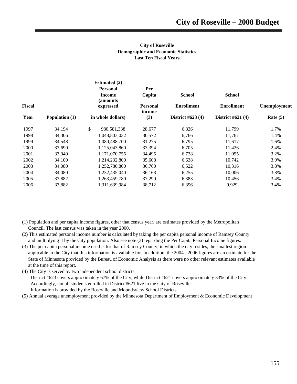#### **City of Roseville Demographic and Economic Statistics Last Ten Fiscal Years**

|               |                | <b>Estimated (2)</b>      |                           |                    |                    |              |
|---------------|----------------|---------------------------|---------------------------|--------------------|--------------------|--------------|
|               |                | <b>Personal</b>           | Per                       |                    |                    |              |
|               |                | <b>Income</b><br>(amounts | Capita                    | <b>School</b>      | <b>School</b>      |              |
| <b>Fiscal</b> |                | expressed                 | <b>Personal</b><br>income | <b>Enrollment</b>  | <b>Enrollment</b>  | Unemployment |
| Year          | Population (1) | in whole dollars)         | (3)                       | District $#623(4)$ | District $#621(4)$ | Rate $(5)$   |
| 1997          | 34,194         | \$<br>980,581,338         | 28,677                    | 6,826              | 11,799             | 1.7%         |
| 1998          | 34,306         | 1,048,803,032             | 30,572                    | 6,766              | 11,767             | 1.4%         |
| 1999          | 34,548         | 1.080.488.700             | 31,275                    | 6,795              | 11,617             | 1.6%         |
| 2000          | 33,690         | 1,125,043,860             | 33,394                    | 6,705              | 11,426             | 2.4%         |
| 2001          | 33,949         | 1,171,070,755             | 34,495                    | 6,738              | 11,095             | 3.2%         |
| 2002          | 34,100         | 1,214,232,800             | 35,608                    | 6,638              | 10,742             | 3.9%         |
| 2003          | 34,080         | 1,252,780,800             | 36,760                    | 6,522              | 10,316             | 3.8%         |
| 2004          | 34,080         | 1,232,435,040             | 36,163                    | 6,255              | 10,006             | 3.8%         |
| 2005          | 33,882         | 1,263,459,780             | 37,290                    | 6,383              | 10,456             | 3.4%         |
| 2006          | 33,882         | 1,311,639,984             | 38,712                    | 6,396              | 9,929              | 3.4%         |
|               |                |                           |                           |                    |                    |              |

- (1) Population and per capita income figures, other that census year, are estimates provided by the Metropolitan Council. The last census was taken in the year 2000.
- (2) This estimated personal income number is calculated by taking the per capita personal income of Ramsey County and multiplying it by the City population. Also see note (3) regarding the Per Capita Personal Income figures.
- (3) The per capita personal income used is for that of Ramsey County, in which the city resides, the smallest region applicable to the City that this information is available for. In addition, the 2004 - 2006 figures are an estimate for the State of Minnesota provided by the Bureau of Economic Analysis as there were no other relevant estimates available at the time of this report.
- (4) The City is served by two independent school districts.

 District #623 covers approximately 67% of the City, while District #621 covers approximately 33% of the City. Accordingly, not all students enrolled in District #621 live in the City of Roseville. Information is provided by the Roseville and Moundsview School Districts.

(5) Annual average unemployment provided by the Minnesota Department of Employment & Economic Development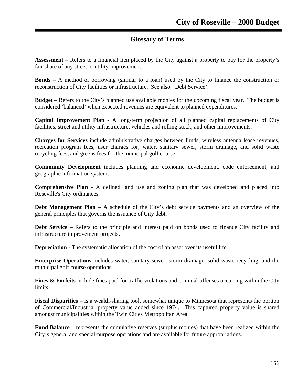# **Glossary of Terms**

**Assessment** – Refers to a financial lien placed by the City against a property to pay for the property's fair share of any street or utility improvement.

**Bonds** – A method of borrowing (similar to a loan) used by the City to finance the construction or reconstruction of City facilities or infrastructure. See also, 'Debt Service'.

**Budget** – Refers to the City's planned use available monies for the upcoming fiscal year. The budget is considered 'balanced' when expected revenues are equivalent to planned expenditures.

**Capital Improvement Plan** - A long-term projection of all planned capital replacements of City facilities, street and utility infrastructure, vehicles and rolling stock, and other improvements.

**Charges for Services** include administrative charges between funds, wireless antenna lease revenues, recreation program fees, user charges for; water, sanitary sewer, storm drainage, and solid waste recycling fees, and greens fees for the municipal golf course.

**Community Development** includes planning and economic development, code enforcement, and geographic information systems.

**Comprehensive Plan** - A defined land use and zoning plan that was developed and placed into Roseville's City ordinances.

**Debt Management Plan** – A schedule of the City's debt service payments and an overview of the general principles that governs the issuance of City debt.

**Debt Service** – Refers to the principle and interest paid on bonds used to finance City facility and infrastructure improvement projects.

**Depreciation -** The systematic allocation of the cost of an asset over its useful life.

**Enterprise Operations** includes water, sanitary sewer, storm drainage, solid waste recycling, and the municipal golf course operations.

**Fines & Forfeits** include fines paid for traffic violations and criminal offenses occurring within the City limits.

**Fiscal Disparities** – is a wealth-sharing tool, somewhat unique to Minnesota that represents the portion of Commercial/Industrial property value added since 1974. This captured property value is shared amongst municipalities within the Twin Cities Metropolitan Area.

**Fund Balance** – represents the cumulative reserves (surplus monies) that have been realized within the City's general and special-purpose operations and are available for future appropriations.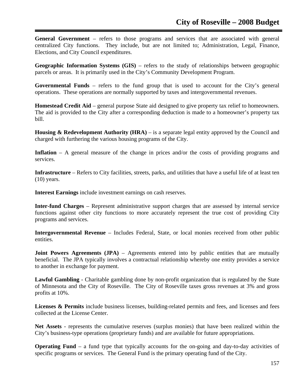**General Government** – refers to those programs and services that are associated with general centralized City functions. They include, but are not limited to; Administration, Legal, Finance, Elections, and City Council expenditures.

**Geographic Information Systems (GIS)** – refers to the study of relationships between geographic parcels or areas. It is primarily used in the City's Community Development Program.

**Governmental Funds** – refers to the fund group that is used to account for the City's general operations. These operations are normally supported by taxes and intergovernmental revenues.

**Homestead Credit Aid** – general purpose State aid designed to give property tax relief to homeowners. The aid is provided to the City after a corresponding deduction is made to a homeowner's property tax bill.

**Housing & Redevelopment Authority (HRA)** – is a separate legal entity approved by the Council and charged with furthering the various housing programs of the City.

**Inflation** – A general measure of the change in prices and/or the costs of providing programs and services.

**Infrastructure** – Refers to City facilities, streets, parks, and utilities that have a useful life of at least ten  $(10)$  years.

**Interest Earnings** include investment earnings on cash reserves.

**Inter-fund Charges** – Represent administrative support charges that are assessed by internal service functions against other city functions to more accurately represent the true cost of providing City programs and services.

**Intergovernmental Revenue** – Includes Federal, State, or local monies received from other public entities.

**Joint Powers Agreements (JPA)** – Agreements entered into by public entities that are mutually beneficial. The JPA typically involves a contractual relationship whereby one entity provides a service to another in exchange for payment.

**Lawful Gambling** - Charitable gambling done by non-profit organization that is regulated by the State of Minnesota and the City of Roseville. The City of Roseville taxes gross revenues at 3% and gross profits at 10%.

Licenses & Permits include business licenses, building-related permits and fees, and licenses and fees collected at the License Center.

**Net Assets** - represents the cumulative reserves (surplus monies) that have been realized within the City's business-type operations (proprietary funds) and are available for future appropriations.

**Operating Fund** – a fund type that typically accounts for the on-going and day-to-day activities of specific programs or services. The General Fund is the primary operating fund of the City.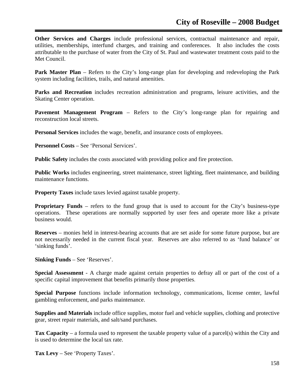**Other Services and Charges** include professional services, contractual maintenance and repair, utilities, memberships, interfund charges, and training and conferences. It also includes the costs attributable to the purchase of water from the City of St. Paul and wastewater treatment costs paid to the Met Council.

**Park Master Plan** – Refers to the City's long-range plan for developing and redeveloping the Park system including facilities, trails, and natural amenities.

Parks and Recreation includes recreation administration and programs, leisure activities, and the Skating Center operation.

**Pavement Management Program** – Refers to the City's long-range plan for repairing and reconstruction local streets.

**Personal Services** includes the wage, benefit, and insurance costs of employees.

**Personnel Costs** – See 'Personal Services'.

**Public Safety** includes the costs associated with providing police and fire protection.

**Public Works** includes engineering, street maintenance, street lighting, fleet maintenance, and building maintenance functions.

**Property Taxes** include taxes levied against taxable property.

**Proprietary Funds** – refers to the fund group that is used to account for the City's business-type operations. These operations are normally supported by user fees and operate more like a private business would.

**Reserves** – monies held in interest-bearing accounts that are set aside for some future purpose, but are not necessarily needed in the current fiscal year. Reserves are also referred to as 'fund balance' or 'sinking funds'.

**Sinking Funds** – See 'Reserves'.

**Special Assessment** - A charge made against certain properties to defray all or part of the cost of a specific capital improvement that benefits primarily those properties.

**Special Purpose** functions include information technology, communications, license center, lawful gambling enforcement, and parks maintenance.

**Supplies and Materials** include office supplies, motor fuel and vehicle supplies, clothing and protective gear, street repair materials, and salt/sand purchases.

**Tax Capacity** – a formula used to represent the taxable property value of a parcel(s) within the City and is used to determine the local tax rate.

**Tax Levy** – See 'Property Taxes'.